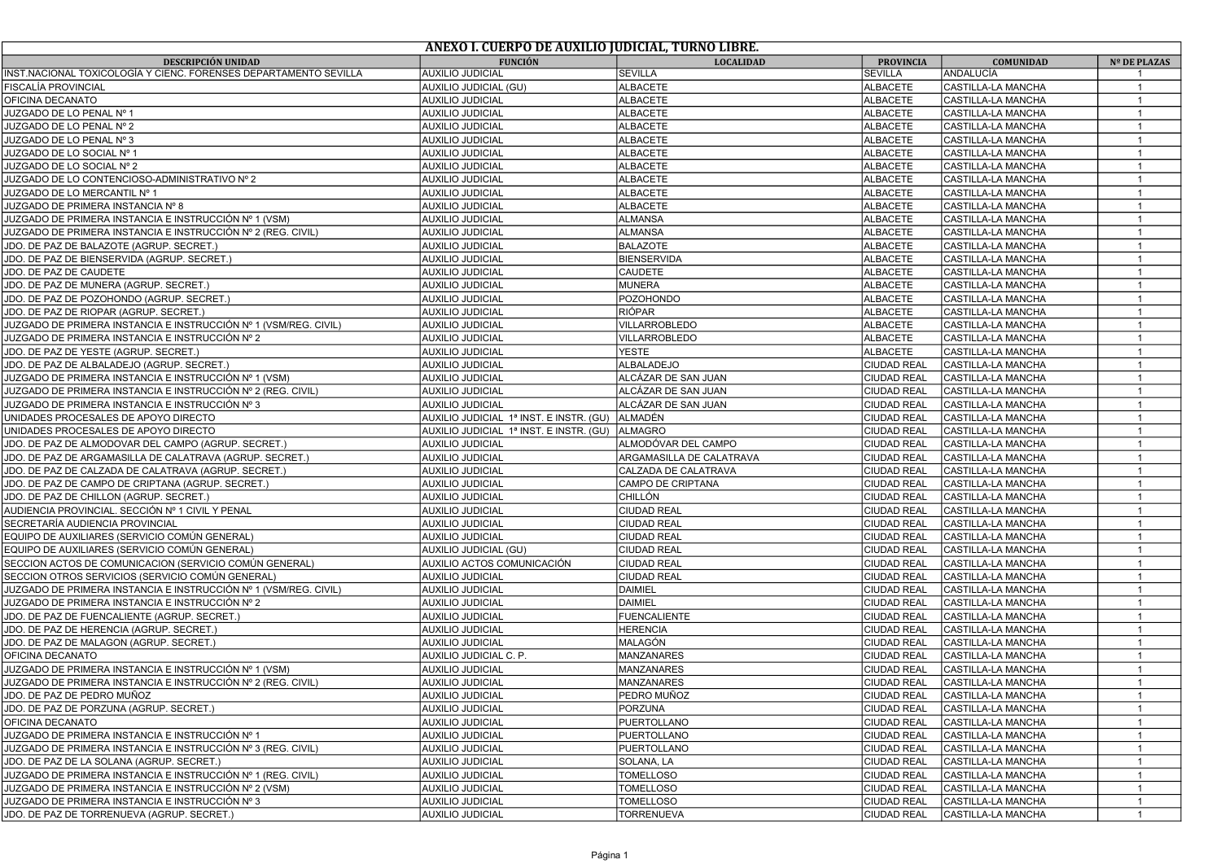|                                                                  | ANEXO I. CUERPO DE AUXILIO JUDICIAL, TURNO LIBRE. |                          |                    |                    |                |
|------------------------------------------------------------------|---------------------------------------------------|--------------------------|--------------------|--------------------|----------------|
| <b>DESCRIPCIÓN UNIDAD</b>                                        | <b>FUNCIÓN</b>                                    | <b>LOCALIDAD</b>         | <b>PROVINCIA</b>   | <b>COMUNIDAD</b>   | Nº DE PLAZAS   |
| INST.NACIONAL TOXICOLOGÍA Y CIENC. FORENSES DEPARTAMENTO SEVILLA | <b>AUXILIO JUDICIAL</b>                           | <b>SEVILLA</b>           | SEVILLA            | <b>ANDALUCÍA</b>   |                |
| FISCALÍA PROVINCIAL                                              | AUXILIO JUDICIAL (GU)                             | <b>ALBACETE</b>          | <b>ALBACETE</b>    | CASTILLA-LA MANCHA |                |
| OFICINA DECANATO                                                 | <b>AUXILIO JUDICIAL</b>                           | <b>ALBACETE</b>          | <b>ALBACETE</b>    | CASTILLA-LA MANCHA |                |
| JUZGADO DE LO PENAL Nº 1                                         | <b>AUXILIO JUDICIAL</b>                           | <b>ALBACETE</b>          | <b>ALBACETE</b>    | CASTILLA-LA MANCHA |                |
| JUZGADO DE LO PENAL Nº 2                                         | <b>AUXILIO JUDICIAL</b>                           | <b>ALBACETE</b>          | <b>ALBACETE</b>    | CASTILLA-LA MANCHA |                |
| JUZGADO DE LO PENAL Nº 3                                         | <b>AUXILIO JUDICIAL</b>                           | <b>ALBACETE</b>          | <b>ALBACETE</b>    | CASTILLA-LA MANCHA | $\overline{1}$ |
| JUZGADO DE LO SOCIAL Nº 1                                        | <b>AUXILIO JUDICIAL</b>                           | <b>ALBACETE</b>          | <b>ALBACETE</b>    | CASTILLA-LA MANCHA |                |
| JUZGADO DE LO SOCIAL Nº 2                                        | <b>AUXILIO JUDICIAL</b>                           | <b>ALBACETE</b>          | <b>ALBACETE</b>    | CASTILLA-LA MANCHA | $\mathbf{1}$   |
| JUZGADO DE LO CONTENCIOSO-ADMINISTRATIVO Nº 2                    | <b>AUXILIO JUDICIAL</b>                           | ALBACETE                 | ALBACETE           | CASTILLA-LA MANCHA |                |
| JUZGADO DE LO MERCANTIL Nº 1                                     | <b>AUXILIO JUDICIAL</b>                           | <b>ALBACETE</b>          | <b>ALBACETE</b>    | CASTILLA-LA MANCHA | $\overline{1}$ |
| JUZGADO DE PRIMERA INSTANCIA Nº 8                                | <b>AUXILIO JUDICIAL</b>                           | <b>ALBACETE</b>          | ALBACETE           | CASTILLA-LA MANCHA |                |
| JUZGADO DE PRIMERA INSTANCIA E INSTRUCCIÓN № 1 (VSM)             | <b>AUXILIO JUDICIAL</b>                           | <b>ALMANSA</b>           | <b>ALBACETE</b>    | CASTILLA-LA MANCHA | $\overline{1}$ |
| JUZGADO DE PRIMERA INSTANCIA E INSTRUCCIÓN № 2 (REG. CIVIL)      | <b>AUXILIO JUDICIAL</b>                           | <b>ALMANSA</b>           | <b>ALBACETE</b>    | CASTILLA-LA MANCHA | $\mathbf{1}$   |
| JDO. DE PAZ DE BALAZOTE (AGRUP. SECRET.)                         | <b>AUXILIO JUDICIAL</b>                           | <b>BALAZOTE</b>          | <b>ALBACETE</b>    | CASTILLA-LA MANCHA | $\overline{1}$ |
| JDO. DE PAZ DE BIENSERVIDA (AGRUP. SECRET.)                      | <b>AUXILIO JUDICIAL</b>                           | <b>BIENSERVIDA</b>       | <b>ALBACETE</b>    | CASTILLA-LA MANCHA | $\overline{1}$ |
| JDO. DE PAZ DE CAUDETE                                           | <b>AUXILIO JUDICIAL</b>                           | CAUDETE                  | <b>ALBACETE</b>    | CASTILLA-LA MANCHA | $\overline{1}$ |
| JDO. DE PAZ DE MUNERA (AGRUP. SECRET.)                           | <b>AUXILIO JUDICIAL</b>                           | <b>MUNERA</b>            | ALBACETE           | CASTILLA-LA MANCHA | $\mathbf{1}$   |
| JDO. DE PAZ DE POZOHONDO (AGRUP. SECRET.)                        | <b>AUXILIO JUDICIAL</b>                           | <b>POZOHONDO</b>         | <b>ALBACETE</b>    | CASTILLA-LA MANCHA | $\mathbf{1}$   |
| JDO. DE PAZ DE RIOPAR (AGRUP. SECRET.)                           | <b>AUXILIO JUDICIAL</b>                           | <b>RIÓPAR</b>            | ALBACETE           | CASTILLA-LA MANCHA | $\overline{1}$ |
| JUZGADO DE PRIMERA INSTANCIA E INSTRUCCIÓN № 1 (VSM/REG. CIVIL)  | <b>AUXILIO JUDICIAL</b>                           | <b>VILLARROBLEDO</b>     | <b>ALBACETE</b>    | CASTILLA-LA MANCHA | $\overline{1}$ |
| JUZGADO DE PRIMERA INSTANCIA E INSTRUCCIÓN Nº 2                  | <b>AUXILIO JUDICIAL</b>                           | VILLARROBLEDO            | ALBACETE           | CASTILLA-LA MANCHA | $\overline{1}$ |
| JDO. DE PAZ DE YESTE (AGRUP. SECRET.)                            | <b>AUXILIO JUDICIAL</b>                           | <b>YESTE</b>             | <b>ALBACETE</b>    | CASTILLA-LA MANCHA | $\overline{1}$ |
| JDO. DE PAZ DE ALBALADEJO (AGRUP. SECRET.)                       | <b>AUXILIO JUDICIAL</b>                           | ALBALADEJO               | <b>CIUDAD REAL</b> | CASTILLA-LA MANCHA | $\overline{1}$ |
| JUZGADO DE PRIMERA INSTANCIA E INSTRUCCIÓN № 1 (VSM)             | <b>AUXILIO JUDICIAL</b>                           | ALCÁZAR DE SAN JUAN      | <b>CIUDAD REAL</b> | CASTILLA-LA MANCHA | $\overline{1}$ |
| JUZGADO DE PRIMERA INSTANCIA E INSTRUCCIÓN Nº 2 (REG. CIVIL)     | <b>AUXILIO JUDICIAL</b>                           | ALCÁZAR DE SAN JUAN      | <b>CIUDAD REAL</b> | CASTILLA-LA MANCHA | $\overline{1}$ |
| JUZGADO DE PRIMERA INSTANCIA E INSTRUCCIÓN № 3                   | <b>AUXILIO JUDICIAL</b>                           | ALCÁZAR DE SAN JUAN      | <b>CIUDAD REAL</b> | CASTILLA-LA MANCHA |                |
| UNIDADES PROCESALES DE APOYO DIRECTO                             | AUXILIO JUDICIAL 1ª INST. E INSTR. (GU)           | ALMADÉN                  | CIUDAD REAL        | CASTILLA-LA MANCHA |                |
| UNIDADES PROCESALES DE APOYO DIRECTO                             | AUXILIO JUDICIAL 1ª INST. E INSTR. (GU)           | ALMAGRO                  | <b>CIUDAD REAL</b> | CASTILLA-LA MANCHA |                |
| JDO. DE PAZ DE ALMODOVAR DEL CAMPO (AGRUP. SECRET.)              | <b>AUXILIO JUDICIAL</b>                           | ALMODÓVAR DEL CAMPO      | CIUDAD REAL        | CASTILLA-LA MANCHA |                |
| JDO. DE PAZ DE ARGAMASILLA DE CALATRAVA (AGRUP. SECRET.)         | <b>AUXILIO JUDICIAL</b>                           | ARGAMASILLA DE CALATRAVA | CIUDAD REAL        | CASTILLA-LA MANCHA |                |
| JDO. DE PAZ DE CALZADA DE CALATRAVA (AGRUP. SECRET.)             | <b>AUXILIO JUDICIAL</b>                           | CALZADA DE CALATRAVA     | CIUDAD REAL        | CASTILLA-LA MANCHA | $\overline{1}$ |
| JDO. DE PAZ DE CAMPO DE CRIPTANA (AGRUP. SECRET.)                | <b>AUXILIO JUDICIAL</b>                           | CAMPO DE CRIPTANA        | CIUDAD REAL        | CASTILLA-LA MANCHA |                |
| JDO. DE PAZ DE CHILLON (AGRUP. SECRET.)                          | <b>AUXILIO JUDICIAL</b>                           | <b>CHILLÓN</b>           | <b>CIUDAD REAL</b> | CASTILLA-LA MANCHA | $\mathbf{1}$   |
| AUDIENCIA PROVINCIAL. SECCIÓN № 1 CIVIL Y PENAL                  | <b>AUXILIO JUDICIAL</b>                           | <b>CIUDAD REAL</b>       | CIUDAD REAL        | CASTILLA-LA MANCHA |                |
| SECRETARÍA AUDIENCIA PROVINCIAL                                  | <b>AUXILIO JUDICIAL</b>                           | <b>CIUDAD REAL</b>       | <b>CIUDAD REAL</b> | CASTILLA-LA MANCHA | $\overline{1}$ |
| EQUIPO DE AUXILIARES (SERVICIO COMÚN GENERAL)                    | <b>AUXILIO JUDICIAL</b>                           | <b>CIUDAD REAL</b>       | CIUDAD REAL        | CASTILLA-LA MANCHA |                |
| EQUIPO DE AUXILIARES (SERVICIO COMÚN GENERAL)                    | AUXILIO JUDICIAL (GU)                             | <b>CIUDAD REAL</b>       | <b>CIUDAD REAL</b> | CASTILLA-LA MANCHA | $\overline{1}$ |
| SECCION ACTOS DE COMUNICACION (SERVICIO COMÚN GENERAL)           | AUXILIO ACTOS COMUNICACIÓN                        | <b>CIUDAD REAL</b>       | <b>CIUDAD REAL</b> | CASTILLA-LA MANCHA | $\overline{1}$ |
| SECCION OTROS SERVICIOS (SERVICIO COMÚN GENERAL)                 | <b>AUXILIO JUDICIAL</b>                           | <b>CIUDAD REAL</b>       | <b>CIUDAD REAL</b> | CASTILLA-LA MANCHA | $\overline{1}$ |
| JUZGADO DE PRIMERA INSTANCIA E INSTRUCCIÓN № 1 (VSM/REG. CIVIL)  | <b>AUXILIO JUDICIAL</b>                           | <b>DAIMIEL</b>           | CIUDAD REAL        | CASTILLA-LA MANCHA | $\overline{1}$ |
| JUZGADO DE PRIMERA INSTANCIA E INSTRUCCIÓN № 2                   | <b>AUXILIO JUDICIAL</b>                           | <b>DAIMIEL</b>           | CIUDAD REAL        | CASTILLA-LA MANCHA | $\overline{1}$ |
| JDO. DE PAZ DE FUENCALIENTE (AGRUP. SECRET.)                     | <b>AUXILIO JUDICIAL</b>                           | <b>FUENCALIENTE</b>      | CIUDAD REAL        | CASTILLA-LA MANCHA | $\overline{1}$ |
| JDO. DE PAZ DE HERENCIA (AGRUP. SECRET.)                         | <b>AUXILIO JUDICIAL</b>                           | <b>HERENCIA</b>          | <b>CIUDAD REAL</b> | CASTILLA-LA MANCHA | $\mathbf{1}$   |
| JDO. DE PAZ DE MALAGON (AGRUP. SECRET.)                          | <b>AUXILIO JUDICIAL</b>                           | MALAGÓN                  | CIUDAD REAL        | CASTILLA-LA MANCHA | $\overline{1}$ |
| OFICINA DECANATO                                                 | AUXILIO JUDICIAL C. P.                            | <b>MANZANARES</b>        | <b>CIUDAD REAL</b> | CASTILLA-LA MANCHA | $\overline{1}$ |
| JUZGADO DE PRIMERA INSTANCIA E INSTRUCCIÓN № 1 (VSM)             | <b>AUXILIO JUDICIAL</b>                           | <b>MANZANARES</b>        | <b>CIUDAD REAL</b> | CASTILLA-LA MANCHA | $\overline{1}$ |
| JUZGADO DE PRIMERA INSTANCIA E INSTRUCCIÓN Nº 2 (REG. CIVIL)     | <b>AUXILIO JUDICIAL</b>                           | <b>MANZANARES</b>        | <b>CIUDAD REAL</b> | CASTILLA-LA MANCHA | $\mathbf{1}$   |
| JDO. DE PAZ DE PEDRO MUNOZ                                       | <b>AUXILIO JUDICIAL</b>                           | PEDRO MUÑOZ              | <b>CIUDAD REAL</b> | CASTILLA-LA MANCHA | $\mathbf{1}$   |
| JDO. DE PAZ DE PORZUNA (AGRUP. SECRET.)                          | <b>AUXILIO JUDICIAL</b>                           | <b>PORZUNA</b>           | CIUDAD REAL        | CASTILLA-LA MANCHA | $\overline{1}$ |
| OFICINA DECANATO                                                 | <b>AUXILIO JUDICIAL</b>                           | <b>PUERTOLLANO</b>       | <b>CIUDAD REAL</b> | CASTILLA-LA MANCHA | $\mathbf{1}$   |
| JUZGADO DE PRIMERA INSTANCIA E INSTRUCCIÓN Nº 1                  | <b>AUXILIO JUDICIAL</b>                           | <b>PUERTOLLANO</b>       | <b>CIUDAD REAL</b> | CASTILLA-LA MANCHA |                |
| JUZGADO DE PRIMERA INSTANCIA E INSTRUCCIÓN Nº 3 (REG. CIVIL)     | <b>AUXILIO JUDICIAL</b>                           | PUERTOLLANO              | <b>CIUDAD REAL</b> | CASTILLA-LA MANCHA |                |
| JDO. DE PAZ DE LA SOLANA (AGRUP. SECRET.)                        | <b>AUXILIO JUDICIAL</b>                           | SOLANA, LA               | CIUDAD REAL        | CASTILLA-LA MANCHA |                |
| JUZGADO DE PRIMERA INSTANCIA E INSTRUCCIÓN Nº 1 (REG. CIVIL)     | <b>AUXILIO JUDICIAL</b>                           | <b>TOMELLOSO</b>         | CIUDAD REAL        | CASTILLA-LA MANCHA | $\overline{1}$ |
| JUZGADO DE PRIMERA INSTANCIA E INSTRUCCIÓN № 2 (VSM)             | AUXILIO JUDICIAL                                  | TOMELLOSO                | CIUDAD REAL        | CASTILLA-LA MANCHA |                |
| JUZGADO DE PRIMERA INSTANCIA E INSTRUCCIÓN Nº 3                  | <b>AUXILIO JUDICIAL</b>                           | TOMELLOSO                | <b>CIUDAD REAL</b> | CASTILLA-LA MANCHA | $\overline{1}$ |
| JDO. DE PAZ DE TORRENUEVA (AGRUP. SECRET.)                       | <b>AUXILIO JUDICIAL</b>                           | <b>TORRENUEVA</b>        | <b>CIUDAD REAL</b> | CASTILLA-LA MANCHA | $\overline{1}$ |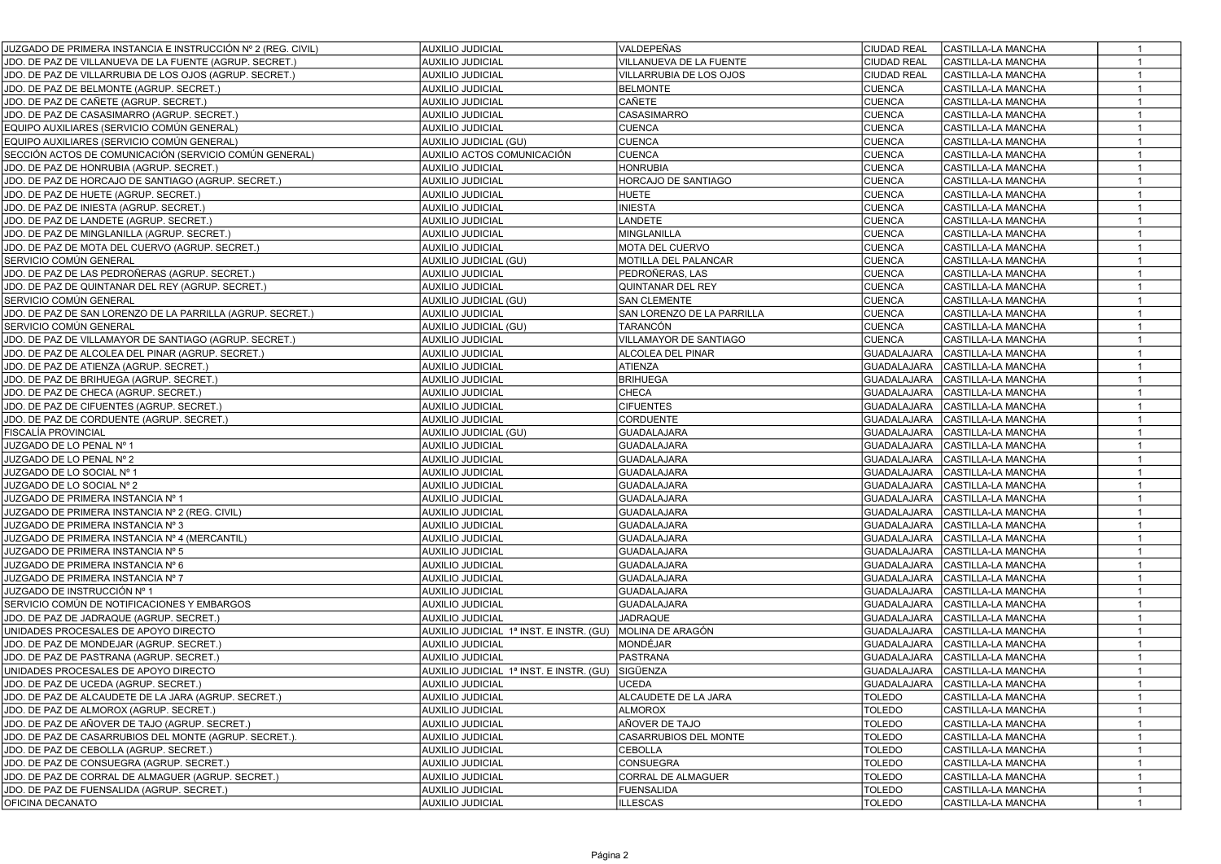| JUZGADO DE PRIMERA INSTANCIA E INSTRUCCIÓN № 2 (REG. CIVIL) | <b>AUXILIO JUDICIAL</b>                 | VALDEPEÑAS                 | <b>CIUDAD REAL</b><br>CASTILLA-LA MANCHA<br>$\overline{1}$ |
|-------------------------------------------------------------|-----------------------------------------|----------------------------|------------------------------------------------------------|
| JDO. DE PAZ DE VILLANUEVA DE LA FUENTE (AGRUP. SECRET.)     | <b>AUXILIO JUDICIAL</b>                 | VILLANUEVA DE LA FUENTE    | <b>CIUDAD REAL</b><br>CASTILLA-LA MANCHA<br>$\overline{1}$ |
| JDO. DE PAZ DE VILLARRUBIA DE LOS OJOS (AGRUP. SECRET.)     | <b>AUXILIO JUDICIAL</b>                 | VILLARRUBIA DE LOS OJOS    | <b>CIUDAD REAL</b><br>CASTILLA-LA MANCHA<br>$\mathbf{1}$   |
| JDO. DE PAZ DE BELMONTE (AGRUP. SECRET.)                    | <b>AUXILIO JUDICIAL</b>                 | <b>BELMONTE</b>            | <b>CUENCA</b><br>CASTILLA-LA MANCHA<br>$\mathbf{1}$        |
| JDO. DE PAZ DE CAÑETE (AGRUP. SECRET.)                      | <b>AUXILIO JUDICIAL</b>                 | CAÑETE                     | <b>CUENCA</b><br>CASTILLA-LA MANCHA                        |
| JDO. DE PAZ DE CASASIMARRO (AGRUP. SECRET.)                 | <b>AUXILIO JUDICIAL</b>                 | CASASIMARRO                | <b>CUENCA</b><br>CASTILLA-LA MANCHA<br>$\mathbf{1}$        |
| EQUIPO AUXILIARES (SERVICIO COMÚN GENERAL)                  | <b>AUXILIO JUDICIAL</b>                 | <b>CUENCA</b>              | <b>CUENCA</b><br>CASTILLA-LA MANCHA<br>$\mathbf{1}$        |
| EQUIPO AUXILIARES (SERVICIO COMÚN GENERAL)                  | AUXILIO JUDICIAL (GU)                   | <b>CUENCA</b>              | <b>CUENCA</b><br>CASTILLA-LA MANCHA<br>$\mathbf{1}$        |
| SECCIÓN ACTOS DE COMUNICACIÓN (SERVICIO COMÚN GENERAL)      | AUXILIO ACTOS COMUNICACIÓN              | <b>CUENCA</b>              | <b>CUENCA</b><br>CASTILLA-LA MANCHA<br>$\overline{1}$      |
| JDO. DE PAZ DE HONRUBIA (AGRUP. SECRET.)                    | <b>AUXILIO JUDICIAL</b>                 | <b>HONRUBIA</b>            | <b>CUENCA</b><br>$\mathbf{1}$<br>CASTILLA-LA MANCHA        |
| JDO. DE PAZ DE HORCAJO DE SANTIAGO (AGRUP. SECRET.)         | <b>AUXILIO JUDICIAL</b>                 | HORCAJO DE SANTIAGO        | <b>CUENCA</b><br>CASTILLA-LA MANCHA<br>$\overline{1}$      |
| JDO. DE PAZ DE HUETE (AGRUP. SECRET.)                       | <b>AUXILIO JUDICIAL</b>                 | <b>HUETE</b>               | $\mathbf{1}$<br><b>CUENCA</b><br>CASTILLA-LA MANCHA        |
| JDO. DE PAZ DE INIESTA (AGRUP. SECRET.)                     | <b>AUXILIO JUDICIAL</b>                 | <b>INIESTA</b>             | <b>CUENCA</b><br>CASTILLA-LA MANCHA<br>$\overline{1}$      |
| JDO. DE PAZ DE LANDETE (AGRUP. SECRET.)                     | <b>AUXILIO JUDICIAL</b>                 | LANDETE                    | <b>CUENCA</b><br>CASTILLA-LA MANCHA<br>$\mathbf{1}$        |
| JDO. DE PAZ DE MINGLANILLA (AGRUP. SECRET.)                 | <b>AUXILIO JUDICIAL</b>                 | MINGLANILLA                | <b>CUENCA</b><br>CASTILLA-LA MANCHA<br>$\overline{1}$      |
| JDO. DE PAZ DE MOTA DEL CUERVO (AGRUP. SECRET.)             | <b>AUXILIO JUDICIAL</b>                 | MOTA DEL CUERVO            | <b>CUENCA</b><br>CASTILLA-LA MANCHA<br>$\mathbf{1}$        |
| SERVICIO COMÚN GENERAL                                      | AUXILIO JUDICIAL (GU)                   | MOTILLA DEL PALANCAR       | <b>CUENCA</b><br>CASTILLA-LA MANCHA<br>$\overline{1}$      |
| JDO. DE PAZ DE LAS PEDROÑERAS (AGRUP. SECRET.)              | <b>AUXILIO JUDICIAL</b>                 | PEDROÑERAS, LAS            | <b>CUENCA</b><br>CASTILLA-LA MANCHA<br>$\overline{1}$      |
| JDO. DE PAZ DE QUINTANAR DEL REY (AGRUP. SECRET.)           | <b>AUXILIO JUDICIAL</b>                 | QUINTANAR DEL REY          | <b>CUENCA</b><br>CASTILLA-LA MANCHA<br>$\overline{1}$      |
| SERVICIO COMÚN GENERAL                                      | AUXILIO JUDICIAL (GU)                   | <b>SAN CLEMENTE</b>        | <b>CUENCA</b><br>$\mathbf{1}$<br>CASTILLA-LA MANCHA        |
| JDO. DE PAZ DE SAN LORENZO DE LA PARRILLA (AGRUP. SECRET.)  | <b>AUXILIO JUDICIAL</b>                 | SAN LORENZO DE LA PARRILLA | <b>CUENCA</b><br>$\mathbf{1}$<br>CASTILLA-LA MANCHA        |
| SERVICIO COMÚN GENERAL                                      | AUXILIO JUDICIAL (GU)                   | TARANCÓN                   | <b>CUENCA</b><br>CASTILLA-LA MANCHA<br>$\overline{1}$      |
| JDO. DE PAZ DE VILLAMAYOR DE SANTIAGO (AGRUP. SECRET.)      | <b>AUXILIO JUDICIAL</b>                 | VILLAMAYOR DE SANTIAGO     | <b>CUENCA</b><br>CASTILLA-LA MANCHA                        |
| JDO. DE PAZ DE ALCOLEA DEL PINAR (AGRUP. SECRET.)           | <b>AUXILIO JUDICIAL</b>                 | ALCOLEA DEL PINAR          | <b>GUADALAJARA</b><br>CASTILLA-LA MANCHA                   |
| JDO. DE PAZ DE ATIENZA (AGRUP. SECRET.)                     | <b>AUXILIO JUDICIAL</b>                 | <b>ATIENZA</b>             | <b>GUADALAJARA</b><br>CASTILLA-LA MANCHA                   |
| JDO. DE PAZ DE BRIHUEGA (AGRUP. SECRET.)                    | <b>AUXILIO JUDICIAL</b>                 | <b>BRIHUEGA</b>            | GUADALAJARA<br>CASTILLA-LA MANCHA<br>$\overline{1}$        |
| JDO. DE PAZ DE CHECA (AGRUP. SECRET.)                       | <b>AUXILIO JUDICIAL</b>                 | CHECA                      | <b>GUADALAJARA</b><br>CASTILLA-LA MANCHA<br>$\overline{1}$ |
| JDO. DE PAZ DE CIFUENTES (AGRUP. SECRET.)                   | <b>AUXILIO JUDICIAL</b>                 | <b>CIFUENTES</b>           | GUADALAJARA<br>CASTILLA-LA MANCHA                          |
| JDO. DE PAZ DE CORDUENTE (AGRUP. SECRET.)                   | <b>AUXILIO JUDICIAL</b>                 | <b>CORDUENTE</b>           | <b>GUADALAJARA</b><br>CASTILLA-LA MANCHA<br>$\mathbf{1}$   |
| FISCALÍA PROVINCIAL                                         | AUXILIO JUDICIAL (GU)                   | <b>GUADALAJARA</b>         | CASTILLA-LA MANCHA<br>GUADALAJARA                          |
| JUZGADO DE LO PENAL Nº 1                                    | <b>AUXILIO JUDICIAL</b>                 | <b>GUADALAJARA</b>         | GUADALAJARA<br>CASTILLA-LA MANCHA<br>$\mathbf{1}$          |
| JUZGADO DE LO PENAL Nº 2                                    | <b>AUXILIO JUDICIAL</b>                 | GUADALAJARA                | GUADALAJARA<br>CASTILLA-LA MANCHA<br>$\mathbf{1}$          |
| JUZGADO DE LO SOCIAL Nº 1                                   | <b>AUXILIO JUDICIAL</b>                 | <b>GUADALAJARA</b>         | <b>GUADALAJARA</b><br>CASTILLA-LA MANCHA<br>$\mathbf{1}$   |
| JUZGADO DE LO SOCIAL Nº 2                                   | <b>AUXILIO JUDICIAL</b>                 | <b>GUADALAJARA</b>         | <b>GUADALAJARA</b><br>CASTILLA-LA MANCHA<br>$\mathbf{1}$   |
| JUZGADO DE PRIMERA INSTANCIA Nº 1                           | <b>AUXILIO JUDICIAL</b>                 | <b>GUADALAJARA</b>         | <b>GUADALAJARA</b><br>CASTILLA-LA MANCHA<br>$\mathbf{1}$   |
| JUZGADO DE PRIMERA INSTANCIA Nº 2 (REG. CIVIL)              | <b>AUXILIO JUDICIAL</b>                 | <b>GUADALAJARA</b>         | CASTILLA-LA MANCHA<br><b>GUADALAJARA</b><br>$\overline{1}$ |
| JUZGADO DE PRIMERA INSTANCIA Nº 3                           | <b>AUXILIO JUDICIAL</b>                 | <b>GUADALAJARA</b>         | $\mathbf{1}$<br><b>GUADALAJARA</b><br>CASTILLA-LA MANCHA   |
| JUZGADO DE PRIMERA INSTANCIA Nº 4 (MERCANTIL)               | <b>AUXILIO JUDICIAL</b>                 | <b>GUADALAJARA</b>         | GUADALAJARA<br>CASTILLA-LA MANCHA<br>$\mathbf{1}$          |
| JUZGADO DE PRIMERA INSTANCIA Nº 5                           | <b>AUXILIO JUDICIAL</b>                 | <b>GUADALAJARA</b>         | GUADALAJARA<br>CASTILLA-LA MANCHA<br>$\mathbf{1}$          |
| JUZGADO DE PRIMERA INSTANCIA Nº 6                           | <b>AUXILIO JUDICIAL</b>                 | <b>GUADALAJARA</b>         | GUADALAJARA<br>CASTILLA-LA MANCHA<br>$\overline{1}$        |
| JUZGADO DE PRIMERA INSTANCIA Nº 7                           | <b>AUXILIO JUDICIAL</b>                 | <b>GUADALAJARA</b>         | GUADALAJARA<br>CASTILLA-LA MANCHA<br>$\mathbf{1}$          |
| JUZGADO DE INSTRUCCIÓN № 1                                  | <b>AUXILIO JUDICIAL</b>                 | <b>GUADALAJARA</b>         | <b>GUADALAJARA</b><br>CASTILLA-LA MANCHA<br>$\overline{1}$ |
| SERVICIO COMÚN DE NOTIFICACIONES Y EMBARGOS                 | <b>AUXILIO JUDICIAL</b>                 | <b>GUADALAJARA</b>         | <b>GUADALAJARA</b><br>CASTILLA-LA MANCHA<br>$\overline{1}$ |
| JDO. DE PAZ DE JADRAQUE (AGRUP. SECRET.)                    | <b>AUXILIO JUDICIAL</b>                 | <b>JADRAQUE</b>            | <b>GUADALAJARA</b><br>CASTILLA-LA MANCHA<br>$\overline{1}$ |
| UNIDADES PROCESALES DE APOYO DIRECTO                        | AUXILIO JUDICIAL 1ª INST. E INSTR. (GU) | MOLINA DE ARAGÓN           | <b>GUADALAJARA</b><br>CASTILLA-LA MANCHA<br>$\overline{1}$ |
| JDO. DE PAZ DE MONDEJAR (AGRUP. SECRET.)                    | <b>AUXILIO JUDICIAL</b>                 | MONDÉJAR                   | <b>GUADALAJARA</b><br>CASTILLA-LA MANCHA<br>$\mathbf{1}$   |
| JDO. DE PAZ DE PASTRANA (AGRUP. SECRET.)                    | <b>AUXILIO JUDICIAL</b>                 | PASTRANA                   | <b>GUADALAJARA</b><br>CASTILLA-LA MANCHA<br>$\overline{1}$ |
| UNIDADES PROCESALES DE APOYO DIRECTO                        | AUXILIO JUDICIAL 1ª INST. E INSTR. (GU) | SIGÜENZA                   | <b>GUADALAJARA</b><br>CASTILLA-LA MANCHA                   |
| JDO. DE PAZ DE UCEDA (AGRUP. SECRET.)                       | <b>AUXILIO JUDICIAL</b>                 | <b>UCEDA</b>               | CASTILLA-LA MANCHA<br><b>GUADALAJARA</b>                   |
| JDO. DE PAZ DE ALCAUDETE DE LA JARA (AGRUP. SECRET.)        | <b>AUXILIO JUDICIAL</b>                 | ALCAUDETE DE LA JARA       | TOLEDO<br> CASTILLA-LA MANCHA<br>$\mathbf{1}$              |
| JDO. DE PAZ DE ALMOROX (AGRUP. SECRET.)                     | <b>AUXILIO JUDICIAL</b>                 | ALMOROX                    | TOLEDO<br>CASTILLA-LA MANCHA<br>$\mathbf{1}$               |
| JDO. DE PAZ DE AÑOVER DE TAJO (AGRUP. SECRET.)              | <b>AUXILIO JUDICIAL</b>                 | AÑOVER DE TAJO             | <b>TOLEDO</b><br>CASTILLA-LA MANCHA<br>$\mathbf{1}$        |
| JDO. DE PAZ DE CASARRUBIOS DEL MONTE (AGRUP. SECRET.).      | <b>AUXILIO JUDICIAL</b>                 | CASARRUBIOS DEL MONTE      | <b>TOLEDO</b><br>CASTILLA-LA MANCHA<br>$\mathbf{1}$        |
| JDO, DE PAZ DE CEBOLLA (AGRUP, SECRET.)                     | <b>AUXILIO JUDICIAL</b>                 | <b>CEBOLLA</b>             | <b>TOLEDO</b><br>CASTILLA-LA MANCHA<br>$\mathbf{1}$        |
| JDO. DE PAZ DE CONSUEGRA (AGRUP. SECRET.)                   | <b>AUXILIO JUDICIAL</b>                 | <b>CONSUEGRA</b>           | <b>TOLEDO</b><br>CASTILLA-LA MANCHA                        |
| JDO. DE PAZ DE CORRAL DE ALMAGUER (AGRUP. SECRET.)          | <b>AUXILIO JUDICIAL</b>                 | CORRAL DE ALMAGUER         | <b>TOLEDO</b><br>CASTILLA-LA MANCHA<br>$\mathbf{1}$        |
| JDO. DE PAZ DE FUENSALIDA (AGRUP. SECRET.)                  | <b>AUXILIO JUDICIAL</b>                 | <b>FUENSALIDA</b>          | <b>TOLEDO</b><br>CASTILLA-LA MANCHA<br>$\mathbf{1}$        |
| OFICINA DECANATO                                            | <b>AUXILIO JUDICIAL</b>                 | <b>ILLESCAS</b>            | <b>TOLEDO</b><br>CASTILLA-LA MANCHA<br>$\mathbf{1}$        |
|                                                             |                                         |                            |                                                            |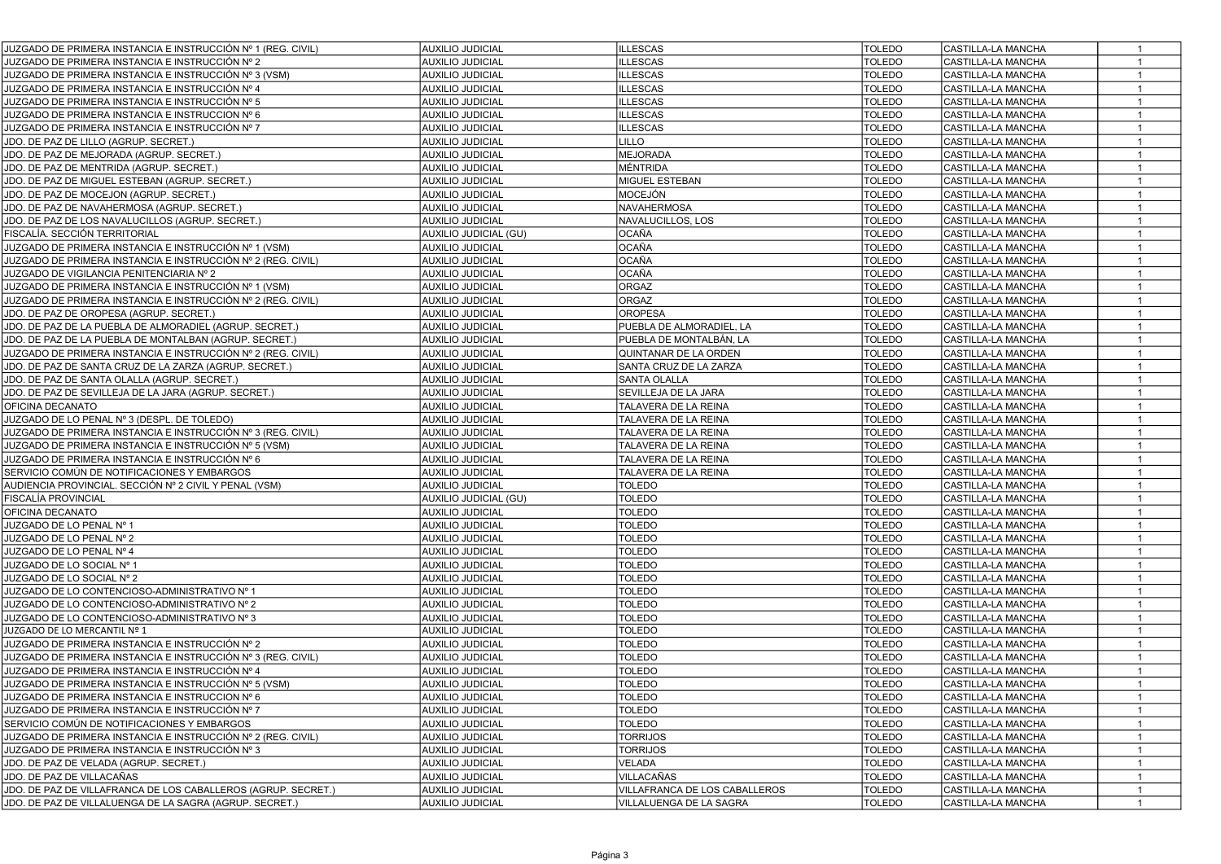| JUZGADO DE PRIMERA INSTANCIA E INSTRUCCIÓN Nº 1 (REG. CIVIL)  | <b>AUXILIO JUDICIAL</b> | <b>ILLESCAS</b>               | <b>TOLEDO</b> | CASTILLA-LA MANCHA        | $\mathbf{1}$   |
|---------------------------------------------------------------|-------------------------|-------------------------------|---------------|---------------------------|----------------|
| JUZGADO DE PRIMERA INSTANCIA E INSTRUCCIÓN № 2                | <b>AUXILIO JUDICIAL</b> | <b>LLESCAS</b>                | <b>TOLEDO</b> | <b>CASTILLA-LA MANCHA</b> | $\mathbf{1}$   |
| JUZGADO DE PRIMERA INSTANCIA E INSTRUCCIÓN № 3 (VSM).         | <b>AUXILIO JUDICIAL</b> | <b>LLESCAS</b>                | <b>TOLEDO</b> | CASTILLA-LA MANCHA        | 1              |
| JUZGADO DE PRIMERA INSTANCIA E INSTRUCCIÓN № 4                | <b>AUXILIO JUDICIAL</b> | <b>LLESCAS</b>                | <b>TOLEDO</b> | CASTILLA-LA MANCHA        | $\mathbf{1}$   |
| JUZGADO DE PRIMERA INSTANCIA E INSTRUCCIÓN № 5                | <b>AUXILIO JUDICIAL</b> | <b>LLESCAS</b>                | <b>TOLEDO</b> | CASTILLA-LA MANCHA        | $\mathbf{1}$   |
| JUZGADO DE PRIMERA INSTANCIA E INSTRUCCION № 6                | <b>AUXILIO JUDICIAL</b> | <b>ILLESCAS</b>               | <b>TOLEDO</b> | CASTILLA-LA MANCHA        | $\mathbf{1}$   |
| JUZGADO DE PRIMERA INSTANCIA E INSTRUCCIÓN № 7                | <b>AUXILIO JUDICIAL</b> | <b>ILLESCAS</b>               | <b>TOLEDO</b> | CASTILLA-LA MANCHA        | $\mathbf{1}$   |
| JDO. DE PAZ DE LILLO (AGRUP. SECRET.)                         | <b>AUXILIO JUDICIAL</b> | LILLO                         | <b>TOLEDO</b> | CASTILLA-LA MANCHA        | $\mathbf{1}$   |
| JDO. DE PAZ DE MEJORADA (AGRUP. SECRET.)                      | <b>AUXILIO JUDICIAL</b> | <b>MEJORADA</b>               | <b>TOLEDO</b> | CASTILLA-LA MANCHA        | $\mathbf{1}$   |
| JDO. DE PAZ DE MENTRIDA (AGRUP. SECRET.)                      | <b>AUXILIO JUDICIAL</b> | MÉNTRIDA                      | <b>TOLEDO</b> | CASTILLA-LA MANCHA        | $\overline{1}$ |
| JDO. DE PAZ DE MIGUEL ESTEBAN (AGRUP. SECRET.)                | <b>AUXILIO JUDICIAL</b> | MIGUEL ESTEBAN                | <b>TOLEDO</b> | CASTILLA-LA MANCHA        | $\mathbf{1}$   |
| JDO. DE PAZ DE MOCEJON (AGRUP. SECRET.)                       | <b>AUXILIO JUDICIAL</b> | <b>MOCEJÓN</b>                | <b>TOLEDO</b> | CASTILLA-LA MANCHA        | $\mathbf{1}$   |
| JDO. DE PAZ DE NAVAHERMOSA (AGRUP. SECRET.)                   | <b>AUXILIO JUDICIAL</b> | <b>NAVAHERMOSA</b>            | <b>TOLEDO</b> | CASTILLA-LA MANCHA        | $\mathbf{1}$   |
| JDO. DE PAZ DE LOS NAVALUCILLOS (AGRUP. SECRET.)              | <b>AUXILIO JUDICIAL</b> | NAVALUCILLOS, LOS             | <b>TOLEDO</b> | CASTILLA-LA MANCHA        | $\mathbf{1}$   |
| FISCALÍA. SECCIÓN TERRITORIAL                                 | AUXILIO JUDICIAL (GU)   | <b>OCAÑA</b>                  | <b>TOLEDO</b> | CASTILLA-LA MANCHA        | $\mathbf{1}$   |
| JUZGADO DE PRIMERA INSTANCIA E INSTRUCCIÓN № 1 (VSM)          | <b>AUXILIO JUDICIAL</b> | <b>OCAÑA</b>                  | <b>TOLEDO</b> | CASTILLA-LA MANCHA        | $\mathbf{1}$   |
| JUZGADO DE PRIMERA INSTANCIA E INSTRUCCIÓN № 2 (REG. CIVIL)   | <b>AUXILIO JUDICIAL</b> | OCAÑA                         | <b>TOLEDO</b> | CASTILLA-LA MANCHA        | $\mathbf{1}$   |
| JUZGADO DE VIGILANCIA PENITENCIARIA Nº 2                      | <b>AUXILIO JUDICIAL</b> | OCAÑA                         | <b>TOLEDO</b> | CASTILLA-LA MANCHA        | $\mathbf{1}$   |
| JUZGADO DE PRIMERA INSTANCIA E INSTRUCCIÓN № 1 (VSM)          | <b>AUXILIO JUDICIAL</b> | ORGAZ                         | <b>TOLEDO</b> | CASTILLA-LA MANCHA        | $\mathbf{1}$   |
| JUZGADO DE PRIMERA INSTANCIA E INSTRUCCIÓN № 2 (REG. CIVIL)   | <b>AUXILIO JUDICIAL</b> | ORGAZ                         | <b>TOLEDO</b> | CASTILLA-LA MANCHA        | $\mathbf{1}$   |
| JDO. DE PAZ DE OROPESA (AGRUP. SECRET.)                       | <b>AUXILIO JUDICIAL</b> | <b>OROPESA</b>                | <b>TOLEDO</b> | CASTILLA-LA MANCHA        |                |
| JDO. DE PAZ DE LA PUEBLA DE ALMORADIEL (AGRUP. SECRET.)       | <b>AUXILIO JUDICIAL</b> | PUEBLA DE ALMORADIEL, LA      | <b>TOLEDO</b> | CASTILLA-LA MANCHA        | $\mathbf{1}$   |
| JDO. DE PAZ DE LA PUEBLA DE MONTALBAN (AGRUP. SECRET.)        | <b>AUXILIO JUDICIAL</b> | PUEBLA DE MONTALBÁN, LA       | <b>TOLEDO</b> | CASTILLA-LA MANCHA        | $\mathbf{1}$   |
| JUZGADO DE PRIMERA INSTANCIA E INSTRUCCIÓN № 2 (REG. CIVIL)   | <b>AUXILIO JUDICIAL</b> | QUINTANAR DE LA ORDEN         | <b>TOLEDO</b> | CASTILLA-LA MANCHA        | 1              |
| JDO. DE PAZ DE SANTA CRUZ DE LA ZARZA (AGRUP. SECRET.)        | <b>AUXILIO JUDICIAL</b> | SANTA CRUZ DE LA ZARZA        | <b>TOLEDO</b> | CASTILLA-LA MANCHA        | $\mathbf{1}$   |
| JDO. DE PAZ DE SANTA OLALLA (AGRUP. SECRET.)                  | <b>AUXILIO JUDICIAL</b> | SANTA OLALLA                  | <b>TOLEDO</b> | CASTILLA-LA MANCHA        | $\mathbf{1}$   |
| JDO. DE PAZ DE SEVILLEJA DE LA JARA (AGRUP. SECRET.)          | <b>AUXILIO JUDICIAL</b> | SEVILLEJA DE LA JARA          | <b>TOLEDO</b> | CASTILLA-LA MANCHA        | $\mathbf{1}$   |
| OFICINA DECANATO                                              | <b>AUXILIO JUDICIAL</b> | TALAVERA DE LA REINA          | <b>TOLEDO</b> | CASTILLA-LA MANCHA        | $\mathbf{1}$   |
| JUZGADO DE LO PENAL Nº 3 (DESPL. DE TOLEDO)                   | <b>AUXILIO JUDICIAL</b> | TALAVERA DE LA REINA          | <b>TOLEDO</b> | CASTILLA-LA MANCHA        | $\mathbf{1}$   |
| JUZGADO DE PRIMERA INSTANCIA E INSTRUCCIÓN № 3 (REG. CIVIL)   | <b>AUXILIO JUDICIAL</b> | TALAVERA DE LA REINA          | <b>TOLEDO</b> | CASTILLA-LA MANCHA        | $\mathbf{1}$   |
| JUZGADO DE PRIMERA INSTANCIA E INSTRUCCIÓN № 5 (VSM)          | <b>AUXILIO JUDICIAL</b> | TALAVERA DE LA REINA          | <b>TOLEDO</b> | CASTILLA-LA MANCHA        | $\mathbf{1}$   |
| JUZGADO DE PRIMERA INSTANCIA E INSTRUCCIÓN Nº 6               | <b>AUXILIO JUDICIAL</b> | TALAVERA DE LA REINA          | <b>TOLEDO</b> | CASTILLA-LA MANCHA        | $\mathbf{1}$   |
| SERVICIO COMÚN DE NOTIFICACIONES Y EMBARGOS                   | <b>AUXILIO JUDICIAL</b> | TALAVERA DE LA REINA          | <b>TOLEDO</b> | CASTILLA-LA MANCHA        | $\overline{1}$ |
| AUDIENCIA PROVINCIAL. SECCIÓN Nº 2 CIVIL Y PENAL (VSM)        | <b>AUXILIO JUDICIAL</b> | <b>TOLEDO</b>                 | <b>TOLEDO</b> | CASTILLA-LA MANCHA        | $\mathbf{1}$   |
| FISCALÍA PROVINCIAL                                           | AUXILIO JUDICIAL (GU)   | <b>TOLEDO</b>                 | <b>TOLEDO</b> | CASTILLA-LA MANCHA        | $\mathbf{1}$   |
| OFICINA DECANATO                                              | <b>AUXILIO JUDICIAL</b> | <b>TOLEDO</b>                 | <b>TOLEDO</b> | CASTILLA-LA MANCHA        | $\mathbf{1}$   |
| JUZGADO DE LO PENAL Nº 1                                      | <b>AUXILIO JUDICIAL</b> | <b>TOLEDO</b>                 | <b>TOLEDO</b> | CASTILLA-LA MANCHA        | $\mathbf{1}$   |
| JUZGADO DE LO PENAL Nº 2                                      | <b>AUXILIO JUDICIAL</b> | <b>TOLEDO</b>                 | <b>TOLEDO</b> | CASTILLA-LA MANCHA        | $\mathbf{1}$   |
| JUZGADO DE LO PENAL Nº 4                                      | <b>AUXILIO JUDICIAL</b> | <b>TOLEDO</b>                 | <b>TOLEDO</b> | CASTILLA-LA MANCHA        | $\overline{1}$ |
| JUZGADO DE LO SOCIAL Nº 1                                     | <b>AUXILIO JUDICIAL</b> | <b>TOLEDO</b>                 | <b>TOLEDO</b> | CASTILLA-LA MANCHA        | $\mathbf{1}$   |
| JUZGADO DE LO SOCIAL Nº 2                                     | <b>AUXILIO JUDICIAL</b> | <b>TOLEDO</b>                 | <b>TOLEDO</b> | CASTILLA-LA MANCHA        | $\overline{1}$ |
| JUZGADO DE LO CONTENCIOSO-ADMINISTRATIVO Nº 1                 | <b>AUXILIO JUDICIAL</b> | <b>TOLEDO</b>                 | <b>TOLEDO</b> | CASTILLA-LA MANCHA        | $\mathbf{1}$   |
| JUZGADO DE LO CONTENCIOSO-ADMINISTRATIVO Nº 2                 | <b>AUXILIO JUDICIAL</b> | <b>TOLEDO</b>                 | <b>TOLEDO</b> | CASTILLA-LA MANCHA        | $\mathbf{1}$   |
| JUZGADO DE LO CONTENCIOSO-ADMINISTRATIVO Nº 3                 | <b>AUXILIO JUDICIAL</b> | <b>TOLEDO</b>                 | <b>TOLEDO</b> | CASTILLA-LA MANCHA        | $\mathbf{1}$   |
| JUZGADO DE LO MERCANTIL Nº 1                                  | <b>AUXILIO JUDICIAL</b> | <b>TOLEDO</b>                 | <b>TOLEDO</b> | CASTILLA-LA MANCHA        |                |
| JUZGADO DE PRIMERA INSTANCIA E INSTRUCCIÓN Nº 2               | <b>AUXILIO JUDICIAL</b> | TOLEDO                        | <b>TOLEDO</b> | CASTILLA-LA MANCHA        | 1              |
| JUZGADO DE PRIMERA INSTANCIA E INSTRUCCIÓN № 3 (REG. CIVIL)   | <b>AUXILIO JUDICIAL</b> | TOLEDO                        | <b>TOLEDO</b> | CASTILLA-LA MANCHA        |                |
| JUZGADO DE PRIMERA INSTANCIA E INSTRUCCIÓN Nº 4               | <b>AUXILIO JUDICIAL</b> | <b>TOLEDO</b>                 | <b>TOLEDO</b> | CASTILLA-LA MANCHA        | $\mathbf{1}$   |
| JUZGADO DE PRIMERA INSTANCIA E INSTRUCCIÓN № 5 (VSM)          | <b>AUXILIO JUDICIAL</b> | <b>TOLEDO</b>                 | <b>TOLEDO</b> | CASTILLA-LA MANCHA        | $\mathbf{1}$   |
| JUZGADO DE PRIMERA INSTANCIA E INSTRUCCION № 6                | <b>AUXILIO JUDICIAL</b> | <b>TOLEDO</b>                 | <b>TOLEDO</b> | CASTILLA-LA MANCHA        | $\mathbf{1}$   |
| JUZGADO DE PRIMERA INSTANCIA E INSTRUCCIÓN № 7                | <b>AUXILIO JUDICIAL</b> | <b>TOLEDO</b>                 | <b>TOLEDO</b> | CASTILLA-LA MANCHA        | $\mathbf{1}$   |
| SERVICIO COMÚN DE NOTIFICACIONES Y EMBARGOS                   | <b>AUXILIO JUDICIAL</b> | <b>TOLEDO</b>                 | <b>TOLEDO</b> | CASTILLA-LA MANCHA        | $\mathbf{1}$   |
| JUZGADO DE PRIMERA INSTANCIA E INSTRUCCIÓN № 2 (REG. CIVIL)   | <b>AUXILIO JUDICIAL</b> | <b>TORRIJOS</b>               | <b>TOLEDO</b> | CASTILLA-LA MANCHA        | $\mathbf{1}$   |
| JUZGADO DE PRIMERA INSTANCIA E INSTRUCCIÓN № 3                | <b>AUXILIO JUDICIAL</b> | <b>TORRIJOS</b>               | <b>TOLEDO</b> | CASTILLA-LA MANCHA        | $\overline{1}$ |
| JDO. DE PAZ DE VELADA (AGRUP. SECRET.)                        | <b>AUXILIO JUDICIAL</b> | VELADA                        | <b>TOLEDO</b> | CASTILLA-LA MANCHA        | $\mathbf{1}$   |
| JDO. DE PAZ DE VILLACAÑAS                                     | <b>AUXILIO JUDICIAL</b> | <b>VILLACAÑAS</b>             | <b>TOLEDO</b> | CASTILLA-LA MANCHA        | $\mathbf{1}$   |
| JDO. DE PAZ DE VILLAFRANCA DE LOS CABALLEROS (AGRUP. SECRET.) | AUXILIO JUDICIAL        | VILLAFRANCA DE LOS CABALLEROS | <b>TOLEDO</b> | CASTILLA-LA MANCHA        | $\mathbf{1}$   |
| JDO. DE PAZ DE VILLALUENGA DE LA SAGRA (AGRUP. SECRET.)       | AUXILIO JUDICIAL        | VILLALUENGA DE LA SAGRA       | <b>TOLEDO</b> | CASTILLA-LA MANCHA        | $\mathbf{1}$   |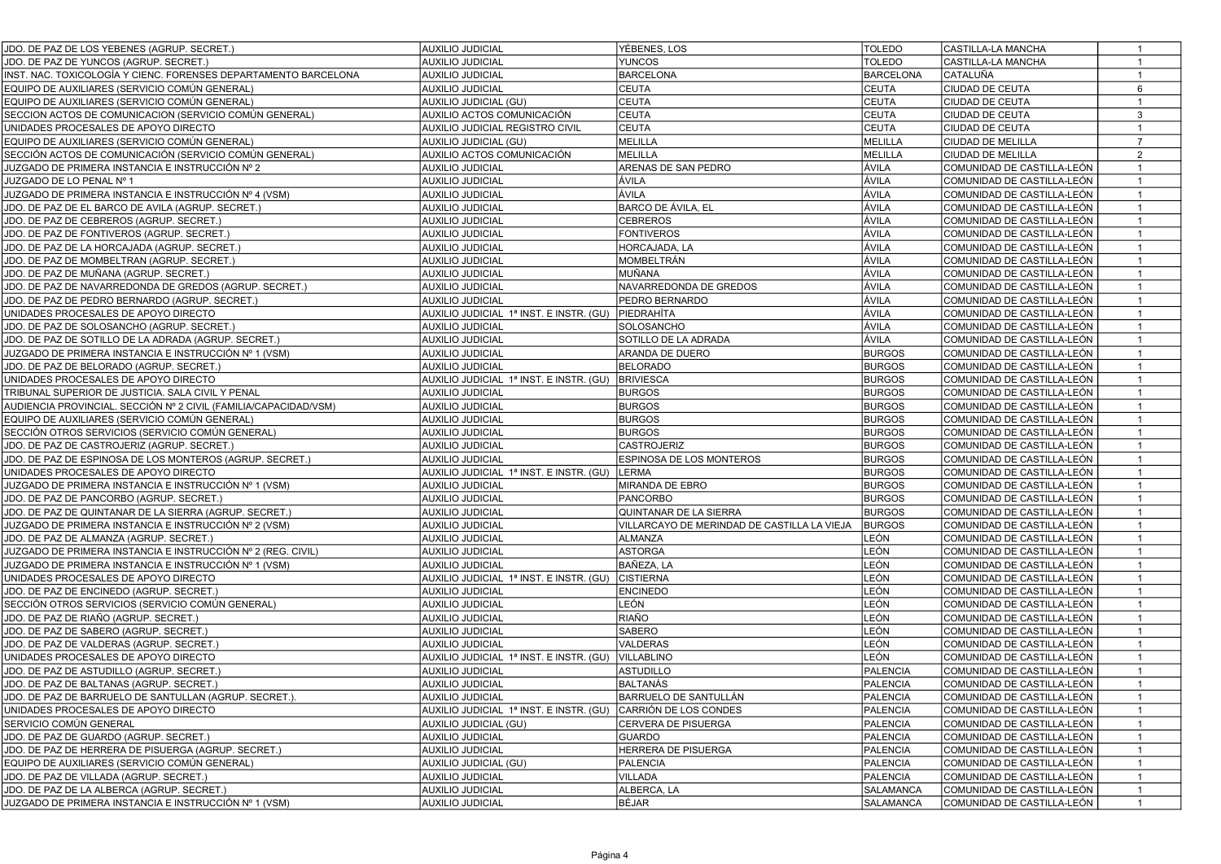| JDO. DE PAZ DE LOS YEBENES (AGRUP. SECRET.)                     | <b>AUXILIO JUDICIAL</b>                 | YÉBENES, LOS                                | <b>TOLEDO</b>    | CASTILLA-LA MANCHA         | $\overline{1}$  |
|-----------------------------------------------------------------|-----------------------------------------|---------------------------------------------|------------------|----------------------------|-----------------|
| JDO. DE PAZ DE YUNCOS (AGRUP. SECRET.)                          | <b>AUXILIO JUDICIAL</b>                 | <b>YUNCOS</b>                               | <b>TOLEDO</b>    | CASTILLA-LA MANCHA         | $\overline{1}$  |
| INST. NAC. TOXICOLOGÍA Y CIENC. FORENSES DEPARTAMENTO BARCELONA | <b>AUXILIO JUDICIAL</b>                 | <b>BARCELONA</b>                            | <b>BARCELONA</b> | CATALUÑA                   |                 |
| EQUIPO DE AUXILIARES (SERVICIO COMÚN GENERAL)                   | <b>AUXILIO JUDICIAL</b>                 | <b>CEUTA</b>                                | <b>CEUTA</b>     | <b>CIUDAD DE CEUTA</b>     | $6\phantom{.0}$ |
| EQUIPO DE AUXILIARES (SERVICIO COMÚN GENERAL)                   | AUXILIO JUDICIAL (GU)                   | <b>CEUTA</b>                                | <b>CEUTA</b>     | CIUDAD DE CEUTA            | $\mathbf{1}$    |
| SECCION ACTOS DE COMUNICACION (SERVICIO COMÚN GENERAL)          | AUXILIO ACTOS COMUNICACIÓN              | <b>CEUTA</b>                                | <b>CEUTA</b>     | CIUDAD DE CEUTA            | $\mathbf{3}$    |
| UNIDADES PROCESALES DE APOYO DIRECTO                            | AUXILIO JUDICIAL REGISTRO CIVIL         | <b>CEUTA</b>                                | <b>CEUTA</b>     | CIUDAD DE CEUTA            | $\mathbf{1}$    |
| EQUIPO DE AUXILIARES (SERVICIO COMÚN GENERAL)                   | AUXILIO JUDICIAL (GU)                   | MELILLA                                     | MELILLA          | CIUDAD DE MELILLA          | $\overline{7}$  |
| SECCIÓN ACTOS DE COMUNICACIÓN (SERVICIO COMÚN GENERAL)          | AUXILIO ACTOS COMUNICACIÓN              | MELILLA                                     | MELILLA          | CIUDAD DE MELILLA          | $\overline{2}$  |
| JUZGADO DE PRIMERA INSTANCIA E INSTRUCCIÓN № 2                  | <b>AUXILIO JUDICIAL</b>                 | ARENAS DE SAN PEDRO                         | ÁVILA            | COMUNIDAD DE CASTILLA-LEÓN | $\mathbf{1}$    |
| JUZGADO DE LO PENAL Nº 1                                        | <b>AUXILIO JUDICIAL</b>                 | ÁVILA                                       | ÁVILA            | COMUNIDAD DE CASTILLA-LEÓN | $\overline{1}$  |
| JUZGADO DE PRIMERA INSTANCIA E INSTRUCCIÓN № 4 (VSM)            | <b>AUXILIO JUDICIAL</b>                 | ÁVILA                                       | ÁVILA            | COMUNIDAD DE CASTILLA-LEÓN | $\mathbf{1}$    |
| JDO. DE PAZ DE EL BARCO DE AVILA (AGRUP. SECRET.)               | <b>AUXILIO JUDICIAL</b>                 | BARCO DE ÁVILA, EL                          | ÁVILA            | COMUNIDAD DE CASTILLA-LEÓN | $\overline{1}$  |
| JDO. DE PAZ DE CEBREROS (AGRUP. SECRET.)                        | <b>AUXILIO JUDICIAL</b>                 | <b>CEBREROS</b>                             | ÁVILA            | COMUNIDAD DE CASTILLA-LEÓN | $\overline{1}$  |
| JDO. DE PAZ DE FONTIVEROS (AGRUP. SECRET.)                      | <b>AUXILIO JUDICIAL</b>                 | <b>FONTIVEROS</b>                           | ÁVILA            | COMUNIDAD DE CASTILLA-LEÓN | $\overline{1}$  |
| JDO. DE PAZ DE LA HORCAJADA (AGRUP. SECRET.)                    | <b>AUXILIO JUDICIAL</b>                 | HORCAJADA, LA                               | ÁVILA            | COMUNIDAD DE CASTILLA-LEÓN | $\overline{1}$  |
| JDO. DE PAZ DE MOMBELTRAN (AGRUP. SECRET.)                      | <b>AUXILIO JUDICIAL</b>                 | MOMBELTRÁN                                  | ÁVILA            | COMUNIDAD DE CASTILLA-LEÓN | $\overline{1}$  |
| JDO. DE PAZ DE MUÑANA (AGRUP. SECRET.)                          | <b>AUXILIO JUDICIAL</b>                 | MUÑANA                                      | ÁVILA            | COMUNIDAD DE CASTILLA-LEÓN | $\overline{1}$  |
| JDO. DE PAZ DE NAVARREDONDA DE GREDOS (AGRUP. SECRET.)          | <b>AUXILIO JUDICIAL</b>                 | NAVARREDONDA DE GREDOS                      | ÁVILA            | COMUNIDAD DE CASTILLA-LEÓN | $\overline{1}$  |
| JDO. DE PAZ DE PEDRO BERNARDO (AGRUP. SECRET.)                  | <b>AUXILIO JUDICIAL</b>                 | PEDRO BERNARDO                              | ÁVILA            | COMUNIDAD DE CASTILLA-LEÓN | $\mathbf{1}$    |
| UNIDADES PROCESALES DE APOYO DIRECTO                            | AUXILIO JUDICIAL 1ª INST. E INSTR. (GU) | PIEDRAHÍTA                                  | ÁVILA            | COMUNIDAD DE CASTILLA-LEÓN | $\overline{1}$  |
| JDO. DE PAZ DE SOLOSANCHO (AGRUP. SECRET.)                      | <b>AUXILIO JUDICIAL</b>                 | SOLOSANCHO                                  | ÁVILA            | COMUNIDAD DE CASTILLA-LEÓN | $\overline{1}$  |
| JDO. DE PAZ DE SOTILLO DE LA ADRADA (AGRUP. SECRET.)            | <b>AUXILIO JUDICIAL</b>                 | SOTILLO DE LA ADRADA                        | ÁVILA            | COMUNIDAD DE CASTILLA-LEÓN | $\overline{1}$  |
| JUZGADO DE PRIMERA INSTANCIA E INSTRUCCIÓN № 1 (VSM)            | <b>AUXILIO JUDICIAL</b>                 | ARANDA DE DUERO                             | <b>BURGOS</b>    | COMUNIDAD DE CASTILLA-LEÓN |                 |
| JDO. DE PAZ DE BELORADO (AGRUP. SECRET.)                        | <b>AUXILIO JUDICIAL</b>                 | <b>BELORADO</b>                             | <b>BURGOS</b>    | COMUNIDAD DE CASTILLA-LEÓN | -1              |
| UNIDADES PROCESALES DE APOYO DIRECTO                            | AUXILIO JUDICIAL 1ª INST. E INSTR. (GU) | <b>BRIVIESCA</b>                            | <b>BURGOS</b>    | COMUNIDAD DE CASTILLA-LEÓN | $\overline{1}$  |
| TRIBUNAL SUPERIOR DE JUSTICIA. SALA CIVIL Y PENAL               | <b>AUXILIO JUDICIAL</b>                 | <b>BURGOS</b>                               | <b>BURGOS</b>    | COMUNIDAD DE CASTILLA-LEÓN | $\overline{1}$  |
| AUDIENCIA PROVINCIAL. SECCIÓN № 2 CIVIL (FAMILIA/CAPACIDAD/VSM) | AUXILIO JUDICIAL                        | <b>BURGOS</b>                               | <b>BURGOS</b>    | COMUNIDAD DE CASTILLA-LEÓN | $\overline{1}$  |
| EQUIPO DE AUXILIARES (SERVICIO COMÚN GENERAL)                   | <b>AUXILIO JUDICIAL</b>                 | <b>BURGOS</b>                               | <b>BURGOS</b>    | COMUNIDAD DE CASTILLA-LEÓN | $\overline{1}$  |
| SECCIÓN OTROS SERVICIOS (SERVICIO COMÚN GENERAL)                | <b>AUXILIO JUDICIAL</b>                 | <b>BURGOS</b>                               | <b>BURGOS</b>    | COMUNIDAD DE CASTILLA-LEÓN | $\mathbf{1}$    |
| JDO. DE PAZ DE CASTROJERIZ (AGRUP. SECRET.)                     | AUXILIO JUDICIAL                        | <b>CASTROJERIZ</b>                          | <b>BURGOS</b>    | COMUNIDAD DE CASTILLA-LEÓN | $\mathbf{1}$    |
| JDO. DE PAZ DE ESPINOSA DE LOS MONTEROS (AGRUP. SECRET.)        | AUXILIO JUDICIAL                        | <b>ESPINOSA DE LOS MONTEROS</b>             | <b>BURGOS</b>    | COMUNIDAD DE CASTILLA-LEÓN | $\overline{1}$  |
| UNIDADES PROCESALES DE APOYO DIRECTO                            | AUXILIO JUDICIAL 1ª INST. E INSTR. (GU) | LERMA                                       | <b>BURGOS</b>    | COMUNIDAD DE CASTILLA-LEÓN | $\overline{1}$  |
| JUZGADO DE PRIMERA INSTANCIA E INSTRUCCIÓN № 1 (VSM)            | <b>AUXILIO JUDICIAL</b>                 | MIRANDA DE EBRO                             | <b>BURGOS</b>    | COMUNIDAD DE CASTILLA-LEÓN | $\overline{1}$  |
| JDO. DE PAZ DE PANCORBO (AGRUP. SECRET.)                        | <b>AUXILIO JUDICIAL</b>                 | PANCORBO                                    | <b>BURGOS</b>    | COMUNIDAD DE CASTILLA-LEÓN | $\overline{1}$  |
| JDO. DE PAZ DE QUINTANAR DE LA SIERRA (AGRUP. SECRET.)          | <b>AUXILIO JUDICIAL</b>                 | QUINTANAR DE LA SIERRA                      | <b>BURGOS</b>    | COMUNIDAD DE CASTILLA-LEÓN | $\overline{1}$  |
| JUZGADO DE PRIMERA INSTANCIA E INSTRUCCIÓN № 2 (VSM)            | <b>AUXILIO JUDICIAL</b>                 | VILLARCAYO DE MERINDAD DE CASTILLA LA VIEJA | <b>BURGOS</b>    | COMUNIDAD DE CASTILLA-LEÓN | $\mathbf{1}$    |
| JDO. DE PAZ DE ALMANZA (AGRUP. SECRET.)                         | <b>AUXILIO JUDICIAL</b>                 | <b>ALMANZA</b>                              | LEÓN             | COMUNIDAD DE CASTILLA-LEÓN | $\overline{1}$  |
| JUZGADO DE PRIMERA INSTANCIA E INSTRUCCIÓN № 2 (REG. CIVIL)     | <b>AUXILIO JUDICIAL</b>                 | <b>ASTORGA</b>                              | LEÓN             | COMUNIDAD DE CASTILLA-LEÓN | $\mathbf{1}$    |
| JUZGADO DE PRIMERA INSTANCIA E INSTRUCCIÓN № 1 (VSM)            | <b>AUXILIO JUDICIAL</b>                 | BAÑEZA, LA                                  | LEÓN             | COMUNIDAD DE CASTILLA-LEÓN | $\overline{1}$  |
| UNIDADES PROCESALES DE APOYO DIRECTO                            | AUXILIO JUDICIAL 1ª INST. E INSTR. (GU) | <b>CISTIERNA</b>                            | LEÓN             | COMUNIDAD DE CASTILLA-LEÓN | $\overline{1}$  |
| JDO. DE PAZ DE ENCINEDO (AGRUP. SECRET.)                        | <b>AUXILIO JUDICIAL</b>                 | <b>ENCINEDO</b>                             | LEÓN             | COMUNIDAD DE CASTILLA-LEÓN | $\overline{1}$  |
| SECCIÓN OTROS SERVICIOS (SERVICIO COMÚN GENERAL)                | <b>AUXILIO JUDICIAL</b>                 | LEÓN                                        | LEÓN             | COMUNIDAD DE CASTILLA-LEÓN | $\overline{1}$  |
| JDO. DE PAZ DE RIAÑO (AGRUP. SECRET.)                           | <b>AUXILIO JUDICIAL</b>                 | RIAÑO                                       | LEÓN             | COMUNIDAD DE CASTILLA-LEÓN | $\overline{1}$  |
| JDO. DE PAZ DE SABERO (AGRUP. SECRET.)                          | <b>AUXILIO JUDICIAL</b>                 | SABERO                                      | LEÓN             | COMUNIDAD DE CASTILLA-LEÓN | $\overline{1}$  |
| JDO. DE PAZ DE VALDERAS (AGRUP. SECRET.)                        | <b>AUXILIO JUDICIAL</b>                 | VALDERAS                                    | LEÓN             | COMUNIDAD DE CASTILLA-LEÓN | $\overline{1}$  |
| UNIDADES PROCESALES DE APOYO DIRECTO                            | AUXILIO JUDICIAL 1ª INST. E INSTR. (GU) | VILLABLINO                                  | LEÓN             | COMUNIDAD DE CASTILLA-LEÓN | $\overline{1}$  |
| JDO. DE PAZ DE ASTUDILLO (AGRUP. SECRET.)                       | <b>AUXILIO JUDICIAL</b>                 | ASTUDILLO                                   | <b>PALENCIA</b>  | COMUNIDAD DE CASTILLA-LEÓN | $\overline{1}$  |
| JDO. DE PAZ DE BALTANAS (AGRUP. SECRET.)                        | <b>AUXILIO JUDICIAL</b>                 | <b>BALTANÁS</b>                             | <b>PALENCIA</b>  | COMUNIDAD DE CASTILLA-LEÓN |                 |
| JDO. DE PAZ DE BARRUELO DE SANTULLAN (AGRUP. SECRET.).          | <b>AUXILIO JUDICIAL</b>                 | BARRUELO DE SANTULLAN                       | <b>PALENCIA</b>  | COMUNIDAD DE CASTILLA-LEÓN | $\overline{1}$  |
| UNIDADES PROCESALES DE APOYO DIRECTO                            | AUXILIO JUDICIAL 1ª INST. E INSTR. (GU) | CARRIÓN DE LOS CONDES                       | PALENCIA         | COMUNIDAD DE CASTILLA-LEÓN | -1              |
| SERVICIO COMÚN GENERAL                                          | AUXILIO JUDICIAL (GU)                   | CERVERA DE PISUERGA                         | PALENCIA         | COMUNIDAD DE CASTILLA-LEÓN | $\overline{1}$  |
| JDO. DE PAZ DE GUARDO (AGRUP. SECRET.)                          | <b>AUXILIO JUDICIAL</b>                 | <b>GUARDO</b>                               | PALENCIA         | COMUNIDAD DE CASTILLA-LEÓN | $\overline{1}$  |
| JDO. DE PAZ DE HERRERA DE PISUERGA (AGRUP. SECRET.)             | <b>AUXILIO JUDICIAL</b>                 | HERRERA DE PISUERGA                         | PALENCIA         | COMUNIDAD DE CASTILLA-LEÓN | $\mathbf{1}$    |
| EQUIPO DE AUXILIARES (SERVICIO COMÚN GENERAL)                   | AUXILIO JUDICIAL (GU)                   | PALENCIA                                    | PALENCIA         | COMUNIDAD DE CASTILLA-LEÓN | $\mathbf{1}$    |
| JDO. DE PAZ DE VILLADA (AGRUP. SECRET.)                         | AUXILIO JUDICIAL                        | VILLADA                                     | PALENCIA         | COMUNIDAD DE CASTILLA-LEÓN | $\overline{1}$  |
| JDO. DE PAZ DE LA ALBERCA (AGRUP. SECRET.)                      | AUXILIO JUDICIAL                        | ALBERCA, LA                                 | SALAMANCA        | COMUNIDAD DE CASTILLA-LEÓN | $\overline{1}$  |
| JUZGADO DE PRIMERA INSTANCIA E INSTRUCCIÓN № 1 (VSM)            | <b>AUXILIO JUDICIAL</b>                 | BÉJAR                                       | <b>SALAMANCA</b> | COMUNIDAD DE CASTILLA-LEÓN | $\overline{1}$  |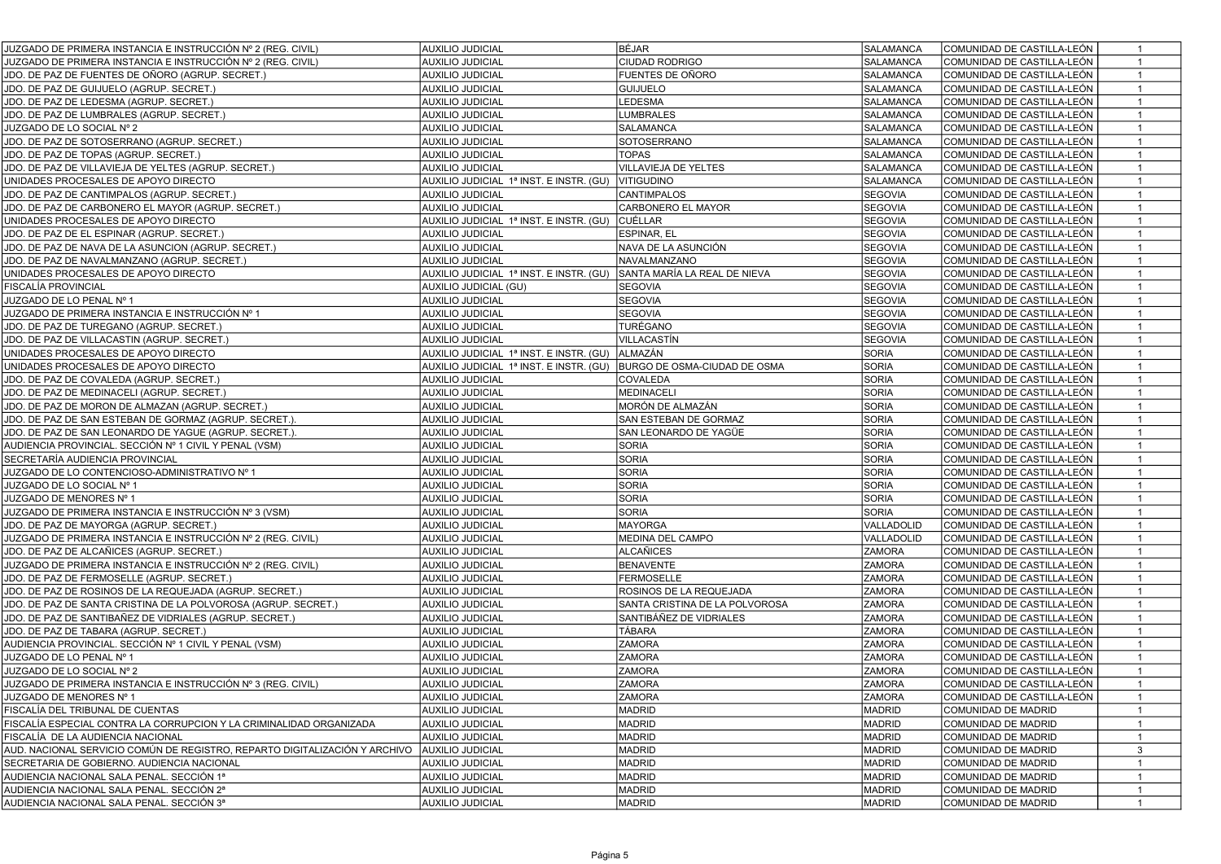| <b>AUXILIO JUDICIAL</b><br>SALAMANCA<br>JUZGADO DE PRIMERA INSTANCIA E INSTRUCCIÓN № 2 (REG. CIVIL)<br><b>CIUDAD RODRIGO</b><br>COMUNIDAD DE CASTILLA-LEÓN<br><b>AUXILIO JUDICIAL</b><br><b>FUENTES DE OÑORO</b><br>SALAMANCA<br>JDO. DE PAZ DE FUENTES DE OÑORO (AGRUP. SECRET.)<br>COMUNIDAD DE CASTILLA-LEÓN<br>SALAMANCA<br>JDO. DE PAZ DE GUIJUELO (AGRUP. SECRET.)<br>AUXILIO JUDICIAL<br><b>GUIJUELO</b><br>COMUNIDAD DE CASTILLA-LEÓN<br>$\mathbf{1}$<br>LEDESMA<br>SALAMANCA<br>JDO. DE PAZ DE LEDESMA (AGRUP. SECRET.)<br>AUXILIO JUDICIAL<br>COMUNIDAD DE CASTILLA-LEÓN<br>$\mathbf{1}$<br><b>AUXILIO JUDICIAL</b><br>SALAMANCA<br>JDO. DE PAZ DE LUMBRALES (AGRUP. SECRET.)<br><b>LUMBRALES</b><br>COMUNIDAD DE CASTILLA-LEÓN<br>$\mathbf{1}$<br>JUZGADO DE LO SOCIAL Nº 2<br><b>AUXILIO JUDICIAL</b><br>SALAMANCA<br>SALAMANCA<br>COMUNIDAD DE CASTILLA-LEÓN<br>$\mathbf{1}$<br>JDO. DE PAZ DE SOTOSERRANO (AGRUP. SECRET.)<br>SOTOSERRANO<br><b>SALAMANCA</b><br>COMUNIDAD DE CASTILLA-LEÓN<br><b>AUXILIO JUDICIAL</b><br>$\mathbf{1}$<br><b>TOPAS</b><br><b>SALAMANCA</b><br>COMUNIDAD DE CASTILLA-LEÓN<br>JDO. DE PAZ DE TOPAS (AGRUP. SECRET.)<br><b>AUXILIO JUDICIAL</b><br>$\mathbf{1}$<br>VILLAVIEJA DE YELTES<br>SALAMANCA<br>JDO. DE PAZ DE VILLAVIEJA DE YELTES (AGRUP. SECRET.)<br>AUXILIO JUDICIAL<br>COMUNIDAD DE CASTILLA-LEÓN<br>$\mathbf{1}$<br>SALAMANCA<br>$\mathbf{1}$<br>UNIDADES PROCESALES DE APOYO DIRECTO<br>AUXILIO JUDICIAL 1ª INST. E INSTR. (GU) VITIGUDINO<br> COMUNIDAD DE CASTILLA-LEÓN<br><b>AUXILIO JUDICIAL</b><br>CANTIMPALOS<br><b>SEGOVIA</b><br>$\overline{1}$<br>JDO. DE PAZ DE CANTIMPALOS (AGRUP. SECRET.)<br>COMUNIDAD DE CASTILLA-LEÓN<br><b>SEGOVIA</b><br>$\mathbf{1}$<br>JDO. DE PAZ DE CARBONERO EL MAYOR (AGRUP. SECRET.)<br><b>AUXILIO JUDICIAL</b><br>CARBONERO EL MAYOR<br>COMUNIDAD DE CASTILLA-LEÓN<br>AUXILIO JUDICIAL 1ª INST. E INSTR. (GU) CUÉLLAR<br><b>SEGOVIA</b><br>$\mathbf{1}$<br>UNIDADES PROCESALES DE APOYO DIRECTO<br> COMUNIDAD DE CASTILLA-LEÓN<br><b>SEGOVIA</b><br>JDO. DE PAZ DE EL ESPINAR (AGRUP. SECRET.)<br>AUXILIO JUDICIAL<br>ESPINAR, EL<br>COMUNIDAD DE CASTILLA-LEÓN<br>$\mathbf{1}$<br>AUXILIO JUDICIAL<br>NAVA DE LA ASUNCIÓN<br><b>SEGOVIA</b><br>$\overline{1}$<br>JDO. DE PAZ DE NAVA DE LA ASUNCION (AGRUP. SECRET.)<br>COMUNIDAD DE CASTILLA-LEÓN<br><b>SEGOVIA</b><br>COMUNIDAD DE CASTILLA-LEÓN<br>JDO. DE PAZ DE NAVALMANZANO (AGRUP. SECRET.)<br><b>AUXILIO JUDICIAL</b><br>NAVALMANZANO<br>$\mathbf{1}$<br>AUXILIO JUDICIAL 1ª INST. E INSTR. (GU)<br>SEGOVIA<br>UNIDADES PROCESALES DE APOYO DIRECTO<br>SANTA MARÍA LA REAL DE NIEVA<br>COMUNIDAD DE CASTILLA-LEÓN<br>$\overline{1}$<br>SEGOVIA<br>FISCALÍA PROVINCIAL<br>AUXILIO JUDICIAL (GU)<br><b>SEGOVIA</b><br>COMUNIDAD DE CASTILLA-LEÓN<br>$\overline{1}$<br><b>SEGOVIA</b><br>JUZGADO DE LO PENAL Nº 1<br><b>AUXILIO JUDICIAL</b><br>SEGOVIA<br>COMUNIDAD DE CASTILLA-LEÓN<br>$\mathbf{1}$<br>JUZGADO DE PRIMERA INSTANCIA E INSTRUCCIÓN № 1<br><b>AUXILIO JUDICIAL</b><br><b>SEGOVIA</b><br><b>SEGOVIA</b><br>COMUNIDAD DE CASTILLA-LEÓN<br>$\mathbf{1}$<br>TURÉGANO<br><b>SEGOVIA</b><br>COMUNIDAD DE CASTILLA-LEÓN<br>$\mathbf{1}$<br>JDO. DE PAZ DE TUREGANO (AGRUP. SECRET.)<br><b>AUXILIO JUDICIAL</b><br>JDO. DE PAZ DE VILLACASTIN (AGRUP. SECRET.)<br><b>AUXILIO JUDICIAL</b><br>VILLACASTÍN<br><b>SEGOVIA</b><br>COMUNIDAD DE CASTILLA-LEÓN<br>$\mathbf{1}$<br>SORIA<br>ALMAZÁN<br>$\overline{1}$<br>UNIDADES PROCESALES DE APOYO DIRECTO<br>AUXILIO JUDICIAL 1ª INST. E INSTR. (GU)<br>COMUNIDAD DE CASTILLA-LEÓN<br><b>SORIA</b><br>BURGO DE OSMA-CIUDAD DE OSMA<br>$\mathbf{1}$<br>UNIDADES PROCESALES DE APOYO DIRECTO<br>AUXILIO JUDICIAL 1ª INST. E INSTR. (GU)<br>COMUNIDAD DE CASTILLA-LEÓN<br><b>SORIA</b><br><b>AUXILIO JUDICIAL</b><br>COMUNIDAD DE CASTILLA-LEÓN<br>$\mathbf{1}$<br>JDO. DE PAZ DE COVALEDA (AGRUP. SECRET.)<br>COVALEDA<br><b>SORIA</b><br><b>AUXILIO JUDICIAL</b><br>JDO. DE PAZ DE MEDINACELI (AGRUP. SECRET.)<br>MEDINACELI<br>COMUNIDAD DE CASTILLA-LEÓN<br>$\mathbf{1}$<br><b>SORIA</b><br>MORÓN DE ALMAZÁN<br>JDO. DE PAZ DE MORON DE ALMAZAN (AGRUP. SECRET.)<br>AUXILIO JUDICIAL<br>COMUNIDAD DE CASTILLA-LEÓN<br><b>SORIA</b><br>JDO. DE PAZ DE SAN ESTEBAN DE GORMAZ (AGRUP. SECRET.).<br>AUXILIO JUDICIAL<br>SAN ESTEBAN DE GORMAZ<br>COMUNIDAD DE CASTILLA-LEÓN<br>$\mathbf{1}$<br><b>SORIA</b><br>JDO. DE PAZ DE SAN LEONARDO DE YAGUE (AGRUP. SECRET.).<br>AUXILIO JUDICIAL<br>SAN LEONARDO DE YAGÜE<br>COMUNIDAD DE CASTILLA-LEÓN<br>$\mathbf{1}$<br><b>SORIA</b><br><b>AUXILIO JUDICIAL</b><br>SORIA<br>AUDIENCIA PROVINCIAL. SECCIÓN № 1 CIVIL Y PENAL (VSM)<br>COMUNIDAD DE CASTILLA-LEÓN<br>$\mathbf{1}$<br><b>SORIA</b><br>SORIA<br>SECRETARÍA AUDIENCIA PROVINCIAL<br><b>AUXILIO JUDICIAL</b><br>COMUNIDAD DE CASTILLA-LEÓN<br>$\mathbf{1}$<br><b>SORIA</b><br>JUZGADO DE LO CONTENCIOSO-ADMINISTRATIVO Nº 1<br>SORIA<br>COMUNIDAD DE CASTILLA-LEÓN<br><b>AUXILIO JUDICIAL</b><br>$\mathbf{1}$<br>SORIA<br><b>SORIA</b><br>JUZGADO DE LO SOCIAL Nº 1<br>AUXILIO JUDICIAL<br>COMUNIDAD DE CASTILLA-LEÓN<br>$\mathbf{1}$<br><b>SORIA</b><br>SORIA<br>JUZGADO DE MENORES Nº 1<br><b>AUXILIO JUDICIAL</b><br>COMUNIDAD DE CASTILLA-LEÓN<br>$\mathbf{1}$<br>SORIA<br><b>SORIA</b><br>$\mathbf{1}$<br>JUZGADO DE PRIMERA INSTANCIA E INSTRUCCIÓN № 3 (VSM)<br>AUXILIO JUDICIAL<br>COMUNIDAD DE CASTILLA-LEÓN<br><b>AUXILIO JUDICIAL</b><br>MAYORGA<br>VALLADOLID<br>$\mathbf{1}$<br>JDO. DE PAZ DE MAYORGA (AGRUP. SECRET.)<br>COMUNIDAD DE CASTILLA-LEÓN<br>MEDINA DEL CAMPO<br>VALLADOLID<br>COMUNIDAD DE CASTILLA-LEÓN<br>$\mathbf{1}$<br>JUZGADO DE PRIMERA INSTANCIA E INSTRUCCIÓN № 2 (REG. CIVIL)<br><b>AUXILIO JUDICIAL</b><br><b>AUXILIO JUDICIAL</b><br>ALCAÑICES<br><b>ZAMORA</b><br>$\overline{1}$<br>JDO. DE PAZ DE ALCAÑICES (AGRUP. SECRET.)<br> COMUNIDAD DE CASTILLA-LEÓN<br><b>ZAMORA</b><br>JUZGADO DE PRIMERA INSTANCIA E INSTRUCCIÓN № 2 (REG. CIVIL)<br><b>AUXILIO JUDICIAL</b><br><b>BENAVENTE</b><br>COMUNIDAD DE CASTILLA-LEÓN<br>$\overline{1}$<br><b>ZAMORA</b><br>$\overline{1}$<br>JDO. DE PAZ DE FERMOSELLE (AGRUP. SECRET.)<br>AUXILIO JUDICIAL<br>FERMOSELLE<br>COMUNIDAD DE CASTILLA-LEÓN<br>ROSINOS DE LA REQUEJADA<br><b>ZAMORA</b><br>COMUNIDAD DE CASTILLA-LEÓN<br>JDO. DE PAZ DE ROSINOS DE LA REQUEJADA (AGRUP. SECRET.)<br>AUXILIO JUDICIAL<br>$\mathbf{1}$<br><b>ZAMORA</b><br>JDO. DE PAZ DE SANTA CRISTINA DE LA POLVOROSA (AGRUP. SECRET.)<br><b>AUXILIO JUDICIAL</b><br>SANTA CRISTINA DE LA POLVOROSA<br>COMUNIDAD DE CASTILLA-LEÓN<br>$\overline{1}$<br><b>ZAMORA</b><br>JDO. DE PAZ DE SANTIBAÑEZ DE VIDRIALES (AGRUP. SECRET.)<br><b>AUXILIO JUDICIAL</b><br>SANTIBÁÑEZ DE VIDRIALES<br>COMUNIDAD DE CASTILLA-LEÓN<br>$\mathbf{1}$<br>JDO. DE PAZ DE TABARA (AGRUP. SECRET.)<br><b>AUXILIO JUDICIAL</b><br>TÁBARA<br><b>ZAMORA</b><br>COMUNIDAD DE CASTILLA-LEÓN<br>$\overline{1}$<br><b>ZAMORA</b><br><b>ZAMORA</b><br>COMUNIDAD DE CASTILLA-LEÓN<br>AUDIENCIA PROVINCIAL. SECCIÓN № 1 CIVIL Y PENAL (VSM)<br>AUXILIO JUDICIAL<br>$\overline{1}$<br><b>ZAMORA</b><br><b>ZAMORA</b><br>JUZGADO DE LO PENAL Nº 1<br><b>AUXILIO JUDICIAL</b><br>COMUNIDAD DE CASTILLA-LEÓN<br>$\overline{1}$<br>JUZGADO DE LO SOCIAL Nº 2<br><b>ZAMORA</b><br><b>ZAMORA</b><br>COMUNIDAD DE CASTILLA-LEÓN<br>$\mathbf{1}$<br>AUXILIO JUDICIAL<br><b>ZAMORA</b><br><b>ZAMORA</b><br>COMUNIDAD DE CASTILLA-LEÓN<br>$\mathbf{1}$<br>JUZGADO DE PRIMERA INSTANCIA E INSTRUCCIÓN № 3 (REG. CIVIL)<br><b>AUXILIO JUDICIAL</b><br><b>AUXILIO JUDICIAL</b><br><b>ZAMORA</b><br><b>ZAMORA</b><br>JUZGADO DE MENORES № 1<br> COMUNIDAD DE CASTILLA-LEÓN<br>1<br>FISCALÍA DEL TRIBUNAL DE CUENTAS<br>AUXILIO JUDICIAL<br>MADRID<br><b>MADRID</b><br>COMUNIDAD DE MADRID<br>FISCALÍA ESPECIAL CONTRA LA CORRUPCION Y LA CRIMINALIDAD ORGANIZADA<br><b>AUXILIO JUDICIAL</b><br><b>MADRID</b><br><b>MADRID</b><br>COMUNIDAD DE MADRID<br>-1<br><b>MADRID</b><br><b>MADRID</b><br>COMUNIDAD DE MADRID<br>FISCALÍA DE LA AUDIENCIA NACIONAL<br>AUXILIO JUDICIAL<br><b>MADRID</b><br>AUD. NACIONAL SERVICIO COMÚN DE REGISTRO, REPARTO DIGITALIZACIÓN Y ARCHIVO<br><b>AUXILIO JUDICIAL</b><br><b>MADRID</b><br>COMUNIDAD DE MADRID<br>3<br>SECRETARIA DE GOBIERNO. AUDIENCIA NACIONAL<br><b>MADRID</b><br>AUXILIO JUDICIAL<br><b>MADRID</b><br>COMUNIDAD DE MADRID<br>$\mathbf{1}$<br>AUDIENCIA NACIONAL SALA PENAL. SECCIÓN 1ª<br>AUXILIO JUDICIAL<br>MADRID<br><b>MADRID</b><br>COMUNIDAD DE MADRID<br>$\mathbf{1}$<br>AUDIENCIA NACIONAL SALA PENAL, SECCIÓN 2ª<br>AUXILIO JUDICIAL<br><b>MADRID</b><br><b>MADRID</b><br>COMUNIDAD DE MADRID<br>$\mathbf{1}$<br>AUDIENCIA NACIONAL SALA PENAL, SECCIÓN 3ª<br><b>AUXILIO JUDICIAL</b><br>MADRID<br>COMUNIDAD DE MADRID<br>MADRID<br>$\mathbf{1}$ | JUZGADO DE PRIMERA INSTANCIA E INSTRUCCIÓN № 2 (REG. CIVIL) | <b>AUXILIO JUDICIAL</b> | BÉJAR | <b>SALAMANCA</b> | COMUNIDAD DE CASTILLA-LEÓN | $\overline{1}$ |
|--------------------------------------------------------------------------------------------------------------------------------------------------------------------------------------------------------------------------------------------------------------------------------------------------------------------------------------------------------------------------------------------------------------------------------------------------------------------------------------------------------------------------------------------------------------------------------------------------------------------------------------------------------------------------------------------------------------------------------------------------------------------------------------------------------------------------------------------------------------------------------------------------------------------------------------------------------------------------------------------------------------------------------------------------------------------------------------------------------------------------------------------------------------------------------------------------------------------------------------------------------------------------------------------------------------------------------------------------------------------------------------------------------------------------------------------------------------------------------------------------------------------------------------------------------------------------------------------------------------------------------------------------------------------------------------------------------------------------------------------------------------------------------------------------------------------------------------------------------------------------------------------------------------------------------------------------------------------------------------------------------------------------------------------------------------------------------------------------------------------------------------------------------------------------------------------------------------------------------------------------------------------------------------------------------------------------------------------------------------------------------------------------------------------------------------------------------------------------------------------------------------------------------------------------------------------------------------------------------------------------------------------------------------------------------------------------------------------------------------------------------------------------------------------------------------------------------------------------------------------------------------------------------------------------------------------------------------------------------------------------------------------------------------------------------------------------------------------------------------------------------------------------------------------------------------------------------------------------------------------------------------------------------------------------------------------------------------------------------------------------------------------------------------------------------------------------------------------------------------------------------------------------------------------------------------------------------------------------------------------------------------------------------------------------------------------------------------------------------------------------------------------------------------------------------------------------------------------------------------------------------------------------------------------------------------------------------------------------------------------------------------------------------------------------------------------------------------------------------------------------------------------------------------------------------------------------------------------------------------------------------------------------------------------------------------------------------------------------------------------------------------------------------------------------------------------------------------------------------------------------------------------------------------------------------------------------------------------------------------------------------------------------------------------------------------------------------------------------------------------------------------------------------------------------------------------------------------------------------------------------------------------------------------------------------------------------------------------------------------------------------------------------------------------------------------------------------------------------------------------------------------------------------------------------------------------------------------------------------------------------------------------------------------------------------------------------------------------------------------------------------------------------------------------------------------------------------------------------------------------------------------------------------------------------------------------------------------------------------------------------------------------------------------------------------------------------------------------------------------------------------------------------------------------------------------------------------------------------------------------------------------------------------------------------------------------------------------------------------------------------------------------------------------------------------------------------------------------------------------------------------------------------------------------------------------------------------------------------------------------------------------------------------------------------------------------------------------------------------------------------------------------------------------------------------------------------------------------------------------------------------------------------------------------------------------------------------------------------------------------------------------------------------------------------------------------------------------------------------------------------------------------------------------------------------------------------------------------------------------------------------------------------------------------------------------------------------------------------------------------------------------------------------------------------------------------------------------------------------------------------------------------------------------------------------------------------------------------------------------------------------------------------------------------------------------------------------------------------------------------------------------------------------------------------------------------------------------------------------------------------------------------------------------------------------------------------------------------------------------------------------------------------------------------------------------------------------------------------------------------------------------------------------------------------------------------------------------------------------------------------------------------------------------------------------------------------------------------------------------------------------------------------------------------------------------------------------------------------------------------------------------------------------------------------------------------------------------------------------------------------------------------------------------------------------------------------------------------------------------------------------------------------------------------------------------------------------------------------------------------------------------------------------------------------------------------------------------------------------------------------------------------------------------------------------------------------------------------------------------------------------------------------------------------------------------------------------------------|-------------------------------------------------------------|-------------------------|-------|------------------|----------------------------|----------------|
|                                                                                                                                                                                                                                                                                                                                                                                                                                                                                                                                                                                                                                                                                                                                                                                                                                                                                                                                                                                                                                                                                                                                                                                                                                                                                                                                                                                                                                                                                                                                                                                                                                                                                                                                                                                                                                                                                                                                                                                                                                                                                                                                                                                                                                                                                                                                                                                                                                                                                                                                                                                                                                                                                                                                                                                                                                                                                                                                                                                                                                                                                                                                                                                                                                                                                                                                                                                                                                                                                                                                                                                                                                                                                                                                                                                                                                                                                                                                                                                                                                                                                                                                                                                                                                                                                                                                                                                                                                                                                                                                                                                                                                                                                                                                                                                                                                                                                                                                                                                                                                                                                                                                                                                                                                                                                                                                                                                                                                                                                                                                                                                                                                                                                                                                                                                                                                                                                                                                                                                                                                                                                                                                                                                                                                                                                                                                                                                                                                                                                                                                                                                                                                                                                                                                                                                                                                                                                                                                                                                                                                                                                                                                                                                                                                                                                                                                                                                                                                                                                                                                                                                                                                                                                                                                                                                                                                                                                                                                                                                                                                                                                                                                                                                                                                                                                                                                                                                                                                                                                                                                                                                                                                                                                                                                                                                                                                            |                                                             |                         |       |                  |                            |                |
|                                                                                                                                                                                                                                                                                                                                                                                                                                                                                                                                                                                                                                                                                                                                                                                                                                                                                                                                                                                                                                                                                                                                                                                                                                                                                                                                                                                                                                                                                                                                                                                                                                                                                                                                                                                                                                                                                                                                                                                                                                                                                                                                                                                                                                                                                                                                                                                                                                                                                                                                                                                                                                                                                                                                                                                                                                                                                                                                                                                                                                                                                                                                                                                                                                                                                                                                                                                                                                                                                                                                                                                                                                                                                                                                                                                                                                                                                                                                                                                                                                                                                                                                                                                                                                                                                                                                                                                                                                                                                                                                                                                                                                                                                                                                                                                                                                                                                                                                                                                                                                                                                                                                                                                                                                                                                                                                                                                                                                                                                                                                                                                                                                                                                                                                                                                                                                                                                                                                                                                                                                                                                                                                                                                                                                                                                                                                                                                                                                                                                                                                                                                                                                                                                                                                                                                                                                                                                                                                                                                                                                                                                                                                                                                                                                                                                                                                                                                                                                                                                                                                                                                                                                                                                                                                                                                                                                                                                                                                                                                                                                                                                                                                                                                                                                                                                                                                                                                                                                                                                                                                                                                                                                                                                                                                                                                                                                            |                                                             |                         |       |                  |                            |                |
|                                                                                                                                                                                                                                                                                                                                                                                                                                                                                                                                                                                                                                                                                                                                                                                                                                                                                                                                                                                                                                                                                                                                                                                                                                                                                                                                                                                                                                                                                                                                                                                                                                                                                                                                                                                                                                                                                                                                                                                                                                                                                                                                                                                                                                                                                                                                                                                                                                                                                                                                                                                                                                                                                                                                                                                                                                                                                                                                                                                                                                                                                                                                                                                                                                                                                                                                                                                                                                                                                                                                                                                                                                                                                                                                                                                                                                                                                                                                                                                                                                                                                                                                                                                                                                                                                                                                                                                                                                                                                                                                                                                                                                                                                                                                                                                                                                                                                                                                                                                                                                                                                                                                                                                                                                                                                                                                                                                                                                                                                                                                                                                                                                                                                                                                                                                                                                                                                                                                                                                                                                                                                                                                                                                                                                                                                                                                                                                                                                                                                                                                                                                                                                                                                                                                                                                                                                                                                                                                                                                                                                                                                                                                                                                                                                                                                                                                                                                                                                                                                                                                                                                                                                                                                                                                                                                                                                                                                                                                                                                                                                                                                                                                                                                                                                                                                                                                                                                                                                                                                                                                                                                                                                                                                                                                                                                                                                            |                                                             |                         |       |                  |                            |                |
|                                                                                                                                                                                                                                                                                                                                                                                                                                                                                                                                                                                                                                                                                                                                                                                                                                                                                                                                                                                                                                                                                                                                                                                                                                                                                                                                                                                                                                                                                                                                                                                                                                                                                                                                                                                                                                                                                                                                                                                                                                                                                                                                                                                                                                                                                                                                                                                                                                                                                                                                                                                                                                                                                                                                                                                                                                                                                                                                                                                                                                                                                                                                                                                                                                                                                                                                                                                                                                                                                                                                                                                                                                                                                                                                                                                                                                                                                                                                                                                                                                                                                                                                                                                                                                                                                                                                                                                                                                                                                                                                                                                                                                                                                                                                                                                                                                                                                                                                                                                                                                                                                                                                                                                                                                                                                                                                                                                                                                                                                                                                                                                                                                                                                                                                                                                                                                                                                                                                                                                                                                                                                                                                                                                                                                                                                                                                                                                                                                                                                                                                                                                                                                                                                                                                                                                                                                                                                                                                                                                                                                                                                                                                                                                                                                                                                                                                                                                                                                                                                                                                                                                                                                                                                                                                                                                                                                                                                                                                                                                                                                                                                                                                                                                                                                                                                                                                                                                                                                                                                                                                                                                                                                                                                                                                                                                                                                            |                                                             |                         |       |                  |                            |                |
|                                                                                                                                                                                                                                                                                                                                                                                                                                                                                                                                                                                                                                                                                                                                                                                                                                                                                                                                                                                                                                                                                                                                                                                                                                                                                                                                                                                                                                                                                                                                                                                                                                                                                                                                                                                                                                                                                                                                                                                                                                                                                                                                                                                                                                                                                                                                                                                                                                                                                                                                                                                                                                                                                                                                                                                                                                                                                                                                                                                                                                                                                                                                                                                                                                                                                                                                                                                                                                                                                                                                                                                                                                                                                                                                                                                                                                                                                                                                                                                                                                                                                                                                                                                                                                                                                                                                                                                                                                                                                                                                                                                                                                                                                                                                                                                                                                                                                                                                                                                                                                                                                                                                                                                                                                                                                                                                                                                                                                                                                                                                                                                                                                                                                                                                                                                                                                                                                                                                                                                                                                                                                                                                                                                                                                                                                                                                                                                                                                                                                                                                                                                                                                                                                                                                                                                                                                                                                                                                                                                                                                                                                                                                                                                                                                                                                                                                                                                                                                                                                                                                                                                                                                                                                                                                                                                                                                                                                                                                                                                                                                                                                                                                                                                                                                                                                                                                                                                                                                                                                                                                                                                                                                                                                                                                                                                                                                            |                                                             |                         |       |                  |                            |                |
|                                                                                                                                                                                                                                                                                                                                                                                                                                                                                                                                                                                                                                                                                                                                                                                                                                                                                                                                                                                                                                                                                                                                                                                                                                                                                                                                                                                                                                                                                                                                                                                                                                                                                                                                                                                                                                                                                                                                                                                                                                                                                                                                                                                                                                                                                                                                                                                                                                                                                                                                                                                                                                                                                                                                                                                                                                                                                                                                                                                                                                                                                                                                                                                                                                                                                                                                                                                                                                                                                                                                                                                                                                                                                                                                                                                                                                                                                                                                                                                                                                                                                                                                                                                                                                                                                                                                                                                                                                                                                                                                                                                                                                                                                                                                                                                                                                                                                                                                                                                                                                                                                                                                                                                                                                                                                                                                                                                                                                                                                                                                                                                                                                                                                                                                                                                                                                                                                                                                                                                                                                                                                                                                                                                                                                                                                                                                                                                                                                                                                                                                                                                                                                                                                                                                                                                                                                                                                                                                                                                                                                                                                                                                                                                                                                                                                                                                                                                                                                                                                                                                                                                                                                                                                                                                                                                                                                                                                                                                                                                                                                                                                                                                                                                                                                                                                                                                                                                                                                                                                                                                                                                                                                                                                                                                                                                                                                            |                                                             |                         |       |                  |                            |                |
|                                                                                                                                                                                                                                                                                                                                                                                                                                                                                                                                                                                                                                                                                                                                                                                                                                                                                                                                                                                                                                                                                                                                                                                                                                                                                                                                                                                                                                                                                                                                                                                                                                                                                                                                                                                                                                                                                                                                                                                                                                                                                                                                                                                                                                                                                                                                                                                                                                                                                                                                                                                                                                                                                                                                                                                                                                                                                                                                                                                                                                                                                                                                                                                                                                                                                                                                                                                                                                                                                                                                                                                                                                                                                                                                                                                                                                                                                                                                                                                                                                                                                                                                                                                                                                                                                                                                                                                                                                                                                                                                                                                                                                                                                                                                                                                                                                                                                                                                                                                                                                                                                                                                                                                                                                                                                                                                                                                                                                                                                                                                                                                                                                                                                                                                                                                                                                                                                                                                                                                                                                                                                                                                                                                                                                                                                                                                                                                                                                                                                                                                                                                                                                                                                                                                                                                                                                                                                                                                                                                                                                                                                                                                                                                                                                                                                                                                                                                                                                                                                                                                                                                                                                                                                                                                                                                                                                                                                                                                                                                                                                                                                                                                                                                                                                                                                                                                                                                                                                                                                                                                                                                                                                                                                                                                                                                                                                            |                                                             |                         |       |                  |                            |                |
|                                                                                                                                                                                                                                                                                                                                                                                                                                                                                                                                                                                                                                                                                                                                                                                                                                                                                                                                                                                                                                                                                                                                                                                                                                                                                                                                                                                                                                                                                                                                                                                                                                                                                                                                                                                                                                                                                                                                                                                                                                                                                                                                                                                                                                                                                                                                                                                                                                                                                                                                                                                                                                                                                                                                                                                                                                                                                                                                                                                                                                                                                                                                                                                                                                                                                                                                                                                                                                                                                                                                                                                                                                                                                                                                                                                                                                                                                                                                                                                                                                                                                                                                                                                                                                                                                                                                                                                                                                                                                                                                                                                                                                                                                                                                                                                                                                                                                                                                                                                                                                                                                                                                                                                                                                                                                                                                                                                                                                                                                                                                                                                                                                                                                                                                                                                                                                                                                                                                                                                                                                                                                                                                                                                                                                                                                                                                                                                                                                                                                                                                                                                                                                                                                                                                                                                                                                                                                                                                                                                                                                                                                                                                                                                                                                                                                                                                                                                                                                                                                                                                                                                                                                                                                                                                                                                                                                                                                                                                                                                                                                                                                                                                                                                                                                                                                                                                                                                                                                                                                                                                                                                                                                                                                                                                                                                                                                            |                                                             |                         |       |                  |                            |                |
|                                                                                                                                                                                                                                                                                                                                                                                                                                                                                                                                                                                                                                                                                                                                                                                                                                                                                                                                                                                                                                                                                                                                                                                                                                                                                                                                                                                                                                                                                                                                                                                                                                                                                                                                                                                                                                                                                                                                                                                                                                                                                                                                                                                                                                                                                                                                                                                                                                                                                                                                                                                                                                                                                                                                                                                                                                                                                                                                                                                                                                                                                                                                                                                                                                                                                                                                                                                                                                                                                                                                                                                                                                                                                                                                                                                                                                                                                                                                                                                                                                                                                                                                                                                                                                                                                                                                                                                                                                                                                                                                                                                                                                                                                                                                                                                                                                                                                                                                                                                                                                                                                                                                                                                                                                                                                                                                                                                                                                                                                                                                                                                                                                                                                                                                                                                                                                                                                                                                                                                                                                                                                                                                                                                                                                                                                                                                                                                                                                                                                                                                                                                                                                                                                                                                                                                                                                                                                                                                                                                                                                                                                                                                                                                                                                                                                                                                                                                                                                                                                                                                                                                                                                                                                                                                                                                                                                                                                                                                                                                                                                                                                                                                                                                                                                                                                                                                                                                                                                                                                                                                                                                                                                                                                                                                                                                                                                            |                                                             |                         |       |                  |                            |                |
|                                                                                                                                                                                                                                                                                                                                                                                                                                                                                                                                                                                                                                                                                                                                                                                                                                                                                                                                                                                                                                                                                                                                                                                                                                                                                                                                                                                                                                                                                                                                                                                                                                                                                                                                                                                                                                                                                                                                                                                                                                                                                                                                                                                                                                                                                                                                                                                                                                                                                                                                                                                                                                                                                                                                                                                                                                                                                                                                                                                                                                                                                                                                                                                                                                                                                                                                                                                                                                                                                                                                                                                                                                                                                                                                                                                                                                                                                                                                                                                                                                                                                                                                                                                                                                                                                                                                                                                                                                                                                                                                                                                                                                                                                                                                                                                                                                                                                                                                                                                                                                                                                                                                                                                                                                                                                                                                                                                                                                                                                                                                                                                                                                                                                                                                                                                                                                                                                                                                                                                                                                                                                                                                                                                                                                                                                                                                                                                                                                                                                                                                                                                                                                                                                                                                                                                                                                                                                                                                                                                                                                                                                                                                                                                                                                                                                                                                                                                                                                                                                                                                                                                                                                                                                                                                                                                                                                                                                                                                                                                                                                                                                                                                                                                                                                                                                                                                                                                                                                                                                                                                                                                                                                                                                                                                                                                                                                            |                                                             |                         |       |                  |                            |                |
|                                                                                                                                                                                                                                                                                                                                                                                                                                                                                                                                                                                                                                                                                                                                                                                                                                                                                                                                                                                                                                                                                                                                                                                                                                                                                                                                                                                                                                                                                                                                                                                                                                                                                                                                                                                                                                                                                                                                                                                                                                                                                                                                                                                                                                                                                                                                                                                                                                                                                                                                                                                                                                                                                                                                                                                                                                                                                                                                                                                                                                                                                                                                                                                                                                                                                                                                                                                                                                                                                                                                                                                                                                                                                                                                                                                                                                                                                                                                                                                                                                                                                                                                                                                                                                                                                                                                                                                                                                                                                                                                                                                                                                                                                                                                                                                                                                                                                                                                                                                                                                                                                                                                                                                                                                                                                                                                                                                                                                                                                                                                                                                                                                                                                                                                                                                                                                                                                                                                                                                                                                                                                                                                                                                                                                                                                                                                                                                                                                                                                                                                                                                                                                                                                                                                                                                                                                                                                                                                                                                                                                                                                                                                                                                                                                                                                                                                                                                                                                                                                                                                                                                                                                                                                                                                                                                                                                                                                                                                                                                                                                                                                                                                                                                                                                                                                                                                                                                                                                                                                                                                                                                                                                                                                                                                                                                                                                            |                                                             |                         |       |                  |                            |                |
|                                                                                                                                                                                                                                                                                                                                                                                                                                                                                                                                                                                                                                                                                                                                                                                                                                                                                                                                                                                                                                                                                                                                                                                                                                                                                                                                                                                                                                                                                                                                                                                                                                                                                                                                                                                                                                                                                                                                                                                                                                                                                                                                                                                                                                                                                                                                                                                                                                                                                                                                                                                                                                                                                                                                                                                                                                                                                                                                                                                                                                                                                                                                                                                                                                                                                                                                                                                                                                                                                                                                                                                                                                                                                                                                                                                                                                                                                                                                                                                                                                                                                                                                                                                                                                                                                                                                                                                                                                                                                                                                                                                                                                                                                                                                                                                                                                                                                                                                                                                                                                                                                                                                                                                                                                                                                                                                                                                                                                                                                                                                                                                                                                                                                                                                                                                                                                                                                                                                                                                                                                                                                                                                                                                                                                                                                                                                                                                                                                                                                                                                                                                                                                                                                                                                                                                                                                                                                                                                                                                                                                                                                                                                                                                                                                                                                                                                                                                                                                                                                                                                                                                                                                                                                                                                                                                                                                                                                                                                                                                                                                                                                                                                                                                                                                                                                                                                                                                                                                                                                                                                                                                                                                                                                                                                                                                                                                            |                                                             |                         |       |                  |                            |                |
|                                                                                                                                                                                                                                                                                                                                                                                                                                                                                                                                                                                                                                                                                                                                                                                                                                                                                                                                                                                                                                                                                                                                                                                                                                                                                                                                                                                                                                                                                                                                                                                                                                                                                                                                                                                                                                                                                                                                                                                                                                                                                                                                                                                                                                                                                                                                                                                                                                                                                                                                                                                                                                                                                                                                                                                                                                                                                                                                                                                                                                                                                                                                                                                                                                                                                                                                                                                                                                                                                                                                                                                                                                                                                                                                                                                                                                                                                                                                                                                                                                                                                                                                                                                                                                                                                                                                                                                                                                                                                                                                                                                                                                                                                                                                                                                                                                                                                                                                                                                                                                                                                                                                                                                                                                                                                                                                                                                                                                                                                                                                                                                                                                                                                                                                                                                                                                                                                                                                                                                                                                                                                                                                                                                                                                                                                                                                                                                                                                                                                                                                                                                                                                                                                                                                                                                                                                                                                                                                                                                                                                                                                                                                                                                                                                                                                                                                                                                                                                                                                                                                                                                                                                                                                                                                                                                                                                                                                                                                                                                                                                                                                                                                                                                                                                                                                                                                                                                                                                                                                                                                                                                                                                                                                                                                                                                                                                            |                                                             |                         |       |                  |                            |                |
|                                                                                                                                                                                                                                                                                                                                                                                                                                                                                                                                                                                                                                                                                                                                                                                                                                                                                                                                                                                                                                                                                                                                                                                                                                                                                                                                                                                                                                                                                                                                                                                                                                                                                                                                                                                                                                                                                                                                                                                                                                                                                                                                                                                                                                                                                                                                                                                                                                                                                                                                                                                                                                                                                                                                                                                                                                                                                                                                                                                                                                                                                                                                                                                                                                                                                                                                                                                                                                                                                                                                                                                                                                                                                                                                                                                                                                                                                                                                                                                                                                                                                                                                                                                                                                                                                                                                                                                                                                                                                                                                                                                                                                                                                                                                                                                                                                                                                                                                                                                                                                                                                                                                                                                                                                                                                                                                                                                                                                                                                                                                                                                                                                                                                                                                                                                                                                                                                                                                                                                                                                                                                                                                                                                                                                                                                                                                                                                                                                                                                                                                                                                                                                                                                                                                                                                                                                                                                                                                                                                                                                                                                                                                                                                                                                                                                                                                                                                                                                                                                                                                                                                                                                                                                                                                                                                                                                                                                                                                                                                                                                                                                                                                                                                                                                                                                                                                                                                                                                                                                                                                                                                                                                                                                                                                                                                                                                            |                                                             |                         |       |                  |                            |                |
|                                                                                                                                                                                                                                                                                                                                                                                                                                                                                                                                                                                                                                                                                                                                                                                                                                                                                                                                                                                                                                                                                                                                                                                                                                                                                                                                                                                                                                                                                                                                                                                                                                                                                                                                                                                                                                                                                                                                                                                                                                                                                                                                                                                                                                                                                                                                                                                                                                                                                                                                                                                                                                                                                                                                                                                                                                                                                                                                                                                                                                                                                                                                                                                                                                                                                                                                                                                                                                                                                                                                                                                                                                                                                                                                                                                                                                                                                                                                                                                                                                                                                                                                                                                                                                                                                                                                                                                                                                                                                                                                                                                                                                                                                                                                                                                                                                                                                                                                                                                                                                                                                                                                                                                                                                                                                                                                                                                                                                                                                                                                                                                                                                                                                                                                                                                                                                                                                                                                                                                                                                                                                                                                                                                                                                                                                                                                                                                                                                                                                                                                                                                                                                                                                                                                                                                                                                                                                                                                                                                                                                                                                                                                                                                                                                                                                                                                                                                                                                                                                                                                                                                                                                                                                                                                                                                                                                                                                                                                                                                                                                                                                                                                                                                                                                                                                                                                                                                                                                                                                                                                                                                                                                                                                                                                                                                                                                            |                                                             |                         |       |                  |                            |                |
|                                                                                                                                                                                                                                                                                                                                                                                                                                                                                                                                                                                                                                                                                                                                                                                                                                                                                                                                                                                                                                                                                                                                                                                                                                                                                                                                                                                                                                                                                                                                                                                                                                                                                                                                                                                                                                                                                                                                                                                                                                                                                                                                                                                                                                                                                                                                                                                                                                                                                                                                                                                                                                                                                                                                                                                                                                                                                                                                                                                                                                                                                                                                                                                                                                                                                                                                                                                                                                                                                                                                                                                                                                                                                                                                                                                                                                                                                                                                                                                                                                                                                                                                                                                                                                                                                                                                                                                                                                                                                                                                                                                                                                                                                                                                                                                                                                                                                                                                                                                                                                                                                                                                                                                                                                                                                                                                                                                                                                                                                                                                                                                                                                                                                                                                                                                                                                                                                                                                                                                                                                                                                                                                                                                                                                                                                                                                                                                                                                                                                                                                                                                                                                                                                                                                                                                                                                                                                                                                                                                                                                                                                                                                                                                                                                                                                                                                                                                                                                                                                                                                                                                                                                                                                                                                                                                                                                                                                                                                                                                                                                                                                                                                                                                                                                                                                                                                                                                                                                                                                                                                                                                                                                                                                                                                                                                                                                            |                                                             |                         |       |                  |                            |                |
|                                                                                                                                                                                                                                                                                                                                                                                                                                                                                                                                                                                                                                                                                                                                                                                                                                                                                                                                                                                                                                                                                                                                                                                                                                                                                                                                                                                                                                                                                                                                                                                                                                                                                                                                                                                                                                                                                                                                                                                                                                                                                                                                                                                                                                                                                                                                                                                                                                                                                                                                                                                                                                                                                                                                                                                                                                                                                                                                                                                                                                                                                                                                                                                                                                                                                                                                                                                                                                                                                                                                                                                                                                                                                                                                                                                                                                                                                                                                                                                                                                                                                                                                                                                                                                                                                                                                                                                                                                                                                                                                                                                                                                                                                                                                                                                                                                                                                                                                                                                                                                                                                                                                                                                                                                                                                                                                                                                                                                                                                                                                                                                                                                                                                                                                                                                                                                                                                                                                                                                                                                                                                                                                                                                                                                                                                                                                                                                                                                                                                                                                                                                                                                                                                                                                                                                                                                                                                                                                                                                                                                                                                                                                                                                                                                                                                                                                                                                                                                                                                                                                                                                                                                                                                                                                                                                                                                                                                                                                                                                                                                                                                                                                                                                                                                                                                                                                                                                                                                                                                                                                                                                                                                                                                                                                                                                                                                            |                                                             |                         |       |                  |                            |                |
|                                                                                                                                                                                                                                                                                                                                                                                                                                                                                                                                                                                                                                                                                                                                                                                                                                                                                                                                                                                                                                                                                                                                                                                                                                                                                                                                                                                                                                                                                                                                                                                                                                                                                                                                                                                                                                                                                                                                                                                                                                                                                                                                                                                                                                                                                                                                                                                                                                                                                                                                                                                                                                                                                                                                                                                                                                                                                                                                                                                                                                                                                                                                                                                                                                                                                                                                                                                                                                                                                                                                                                                                                                                                                                                                                                                                                                                                                                                                                                                                                                                                                                                                                                                                                                                                                                                                                                                                                                                                                                                                                                                                                                                                                                                                                                                                                                                                                                                                                                                                                                                                                                                                                                                                                                                                                                                                                                                                                                                                                                                                                                                                                                                                                                                                                                                                                                                                                                                                                                                                                                                                                                                                                                                                                                                                                                                                                                                                                                                                                                                                                                                                                                                                                                                                                                                                                                                                                                                                                                                                                                                                                                                                                                                                                                                                                                                                                                                                                                                                                                                                                                                                                                                                                                                                                                                                                                                                                                                                                                                                                                                                                                                                                                                                                                                                                                                                                                                                                                                                                                                                                                                                                                                                                                                                                                                                                                            |                                                             |                         |       |                  |                            |                |
|                                                                                                                                                                                                                                                                                                                                                                                                                                                                                                                                                                                                                                                                                                                                                                                                                                                                                                                                                                                                                                                                                                                                                                                                                                                                                                                                                                                                                                                                                                                                                                                                                                                                                                                                                                                                                                                                                                                                                                                                                                                                                                                                                                                                                                                                                                                                                                                                                                                                                                                                                                                                                                                                                                                                                                                                                                                                                                                                                                                                                                                                                                                                                                                                                                                                                                                                                                                                                                                                                                                                                                                                                                                                                                                                                                                                                                                                                                                                                                                                                                                                                                                                                                                                                                                                                                                                                                                                                                                                                                                                                                                                                                                                                                                                                                                                                                                                                                                                                                                                                                                                                                                                                                                                                                                                                                                                                                                                                                                                                                                                                                                                                                                                                                                                                                                                                                                                                                                                                                                                                                                                                                                                                                                                                                                                                                                                                                                                                                                                                                                                                                                                                                                                                                                                                                                                                                                                                                                                                                                                                                                                                                                                                                                                                                                                                                                                                                                                                                                                                                                                                                                                                                                                                                                                                                                                                                                                                                                                                                                                                                                                                                                                                                                                                                                                                                                                                                                                                                                                                                                                                                                                                                                                                                                                                                                                                                            |                                                             |                         |       |                  |                            |                |
|                                                                                                                                                                                                                                                                                                                                                                                                                                                                                                                                                                                                                                                                                                                                                                                                                                                                                                                                                                                                                                                                                                                                                                                                                                                                                                                                                                                                                                                                                                                                                                                                                                                                                                                                                                                                                                                                                                                                                                                                                                                                                                                                                                                                                                                                                                                                                                                                                                                                                                                                                                                                                                                                                                                                                                                                                                                                                                                                                                                                                                                                                                                                                                                                                                                                                                                                                                                                                                                                                                                                                                                                                                                                                                                                                                                                                                                                                                                                                                                                                                                                                                                                                                                                                                                                                                                                                                                                                                                                                                                                                                                                                                                                                                                                                                                                                                                                                                                                                                                                                                                                                                                                                                                                                                                                                                                                                                                                                                                                                                                                                                                                                                                                                                                                                                                                                                                                                                                                                                                                                                                                                                                                                                                                                                                                                                                                                                                                                                                                                                                                                                                                                                                                                                                                                                                                                                                                                                                                                                                                                                                                                                                                                                                                                                                                                                                                                                                                                                                                                                                                                                                                                                                                                                                                                                                                                                                                                                                                                                                                                                                                                                                                                                                                                                                                                                                                                                                                                                                                                                                                                                                                                                                                                                                                                                                                                                            |                                                             |                         |       |                  |                            |                |
|                                                                                                                                                                                                                                                                                                                                                                                                                                                                                                                                                                                                                                                                                                                                                                                                                                                                                                                                                                                                                                                                                                                                                                                                                                                                                                                                                                                                                                                                                                                                                                                                                                                                                                                                                                                                                                                                                                                                                                                                                                                                                                                                                                                                                                                                                                                                                                                                                                                                                                                                                                                                                                                                                                                                                                                                                                                                                                                                                                                                                                                                                                                                                                                                                                                                                                                                                                                                                                                                                                                                                                                                                                                                                                                                                                                                                                                                                                                                                                                                                                                                                                                                                                                                                                                                                                                                                                                                                                                                                                                                                                                                                                                                                                                                                                                                                                                                                                                                                                                                                                                                                                                                                                                                                                                                                                                                                                                                                                                                                                                                                                                                                                                                                                                                                                                                                                                                                                                                                                                                                                                                                                                                                                                                                                                                                                                                                                                                                                                                                                                                                                                                                                                                                                                                                                                                                                                                                                                                                                                                                                                                                                                                                                                                                                                                                                                                                                                                                                                                                                                                                                                                                                                                                                                                                                                                                                                                                                                                                                                                                                                                                                                                                                                                                                                                                                                                                                                                                                                                                                                                                                                                                                                                                                                                                                                                                                            |                                                             |                         |       |                  |                            |                |
|                                                                                                                                                                                                                                                                                                                                                                                                                                                                                                                                                                                                                                                                                                                                                                                                                                                                                                                                                                                                                                                                                                                                                                                                                                                                                                                                                                                                                                                                                                                                                                                                                                                                                                                                                                                                                                                                                                                                                                                                                                                                                                                                                                                                                                                                                                                                                                                                                                                                                                                                                                                                                                                                                                                                                                                                                                                                                                                                                                                                                                                                                                                                                                                                                                                                                                                                                                                                                                                                                                                                                                                                                                                                                                                                                                                                                                                                                                                                                                                                                                                                                                                                                                                                                                                                                                                                                                                                                                                                                                                                                                                                                                                                                                                                                                                                                                                                                                                                                                                                                                                                                                                                                                                                                                                                                                                                                                                                                                                                                                                                                                                                                                                                                                                                                                                                                                                                                                                                                                                                                                                                                                                                                                                                                                                                                                                                                                                                                                                                                                                                                                                                                                                                                                                                                                                                                                                                                                                                                                                                                                                                                                                                                                                                                                                                                                                                                                                                                                                                                                                                                                                                                                                                                                                                                                                                                                                                                                                                                                                                                                                                                                                                                                                                                                                                                                                                                                                                                                                                                                                                                                                                                                                                                                                                                                                                                                            |                                                             |                         |       |                  |                            |                |
|                                                                                                                                                                                                                                                                                                                                                                                                                                                                                                                                                                                                                                                                                                                                                                                                                                                                                                                                                                                                                                                                                                                                                                                                                                                                                                                                                                                                                                                                                                                                                                                                                                                                                                                                                                                                                                                                                                                                                                                                                                                                                                                                                                                                                                                                                                                                                                                                                                                                                                                                                                                                                                                                                                                                                                                                                                                                                                                                                                                                                                                                                                                                                                                                                                                                                                                                                                                                                                                                                                                                                                                                                                                                                                                                                                                                                                                                                                                                                                                                                                                                                                                                                                                                                                                                                                                                                                                                                                                                                                                                                                                                                                                                                                                                                                                                                                                                                                                                                                                                                                                                                                                                                                                                                                                                                                                                                                                                                                                                                                                                                                                                                                                                                                                                                                                                                                                                                                                                                                                                                                                                                                                                                                                                                                                                                                                                                                                                                                                                                                                                                                                                                                                                                                                                                                                                                                                                                                                                                                                                                                                                                                                                                                                                                                                                                                                                                                                                                                                                                                                                                                                                                                                                                                                                                                                                                                                                                                                                                                                                                                                                                                                                                                                                                                                                                                                                                                                                                                                                                                                                                                                                                                                                                                                                                                                                                                            |                                                             |                         |       |                  |                            |                |
|                                                                                                                                                                                                                                                                                                                                                                                                                                                                                                                                                                                                                                                                                                                                                                                                                                                                                                                                                                                                                                                                                                                                                                                                                                                                                                                                                                                                                                                                                                                                                                                                                                                                                                                                                                                                                                                                                                                                                                                                                                                                                                                                                                                                                                                                                                                                                                                                                                                                                                                                                                                                                                                                                                                                                                                                                                                                                                                                                                                                                                                                                                                                                                                                                                                                                                                                                                                                                                                                                                                                                                                                                                                                                                                                                                                                                                                                                                                                                                                                                                                                                                                                                                                                                                                                                                                                                                                                                                                                                                                                                                                                                                                                                                                                                                                                                                                                                                                                                                                                                                                                                                                                                                                                                                                                                                                                                                                                                                                                                                                                                                                                                                                                                                                                                                                                                                                                                                                                                                                                                                                                                                                                                                                                                                                                                                                                                                                                                                                                                                                                                                                                                                                                                                                                                                                                                                                                                                                                                                                                                                                                                                                                                                                                                                                                                                                                                                                                                                                                                                                                                                                                                                                                                                                                                                                                                                                                                                                                                                                                                                                                                                                                                                                                                                                                                                                                                                                                                                                                                                                                                                                                                                                                                                                                                                                                                                            |                                                             |                         |       |                  |                            |                |
|                                                                                                                                                                                                                                                                                                                                                                                                                                                                                                                                                                                                                                                                                                                                                                                                                                                                                                                                                                                                                                                                                                                                                                                                                                                                                                                                                                                                                                                                                                                                                                                                                                                                                                                                                                                                                                                                                                                                                                                                                                                                                                                                                                                                                                                                                                                                                                                                                                                                                                                                                                                                                                                                                                                                                                                                                                                                                                                                                                                                                                                                                                                                                                                                                                                                                                                                                                                                                                                                                                                                                                                                                                                                                                                                                                                                                                                                                                                                                                                                                                                                                                                                                                                                                                                                                                                                                                                                                                                                                                                                                                                                                                                                                                                                                                                                                                                                                                                                                                                                                                                                                                                                                                                                                                                                                                                                                                                                                                                                                                                                                                                                                                                                                                                                                                                                                                                                                                                                                                                                                                                                                                                                                                                                                                                                                                                                                                                                                                                                                                                                                                                                                                                                                                                                                                                                                                                                                                                                                                                                                                                                                                                                                                                                                                                                                                                                                                                                                                                                                                                                                                                                                                                                                                                                                                                                                                                                                                                                                                                                                                                                                                                                                                                                                                                                                                                                                                                                                                                                                                                                                                                                                                                                                                                                                                                                                                            |                                                             |                         |       |                  |                            |                |
|                                                                                                                                                                                                                                                                                                                                                                                                                                                                                                                                                                                                                                                                                                                                                                                                                                                                                                                                                                                                                                                                                                                                                                                                                                                                                                                                                                                                                                                                                                                                                                                                                                                                                                                                                                                                                                                                                                                                                                                                                                                                                                                                                                                                                                                                                                                                                                                                                                                                                                                                                                                                                                                                                                                                                                                                                                                                                                                                                                                                                                                                                                                                                                                                                                                                                                                                                                                                                                                                                                                                                                                                                                                                                                                                                                                                                                                                                                                                                                                                                                                                                                                                                                                                                                                                                                                                                                                                                                                                                                                                                                                                                                                                                                                                                                                                                                                                                                                                                                                                                                                                                                                                                                                                                                                                                                                                                                                                                                                                                                                                                                                                                                                                                                                                                                                                                                                                                                                                                                                                                                                                                                                                                                                                                                                                                                                                                                                                                                                                                                                                                                                                                                                                                                                                                                                                                                                                                                                                                                                                                                                                                                                                                                                                                                                                                                                                                                                                                                                                                                                                                                                                                                                                                                                                                                                                                                                                                                                                                                                                                                                                                                                                                                                                                                                                                                                                                                                                                                                                                                                                                                                                                                                                                                                                                                                                                                            |                                                             |                         |       |                  |                            |                |
|                                                                                                                                                                                                                                                                                                                                                                                                                                                                                                                                                                                                                                                                                                                                                                                                                                                                                                                                                                                                                                                                                                                                                                                                                                                                                                                                                                                                                                                                                                                                                                                                                                                                                                                                                                                                                                                                                                                                                                                                                                                                                                                                                                                                                                                                                                                                                                                                                                                                                                                                                                                                                                                                                                                                                                                                                                                                                                                                                                                                                                                                                                                                                                                                                                                                                                                                                                                                                                                                                                                                                                                                                                                                                                                                                                                                                                                                                                                                                                                                                                                                                                                                                                                                                                                                                                                                                                                                                                                                                                                                                                                                                                                                                                                                                                                                                                                                                                                                                                                                                                                                                                                                                                                                                                                                                                                                                                                                                                                                                                                                                                                                                                                                                                                                                                                                                                                                                                                                                                                                                                                                                                                                                                                                                                                                                                                                                                                                                                                                                                                                                                                                                                                                                                                                                                                                                                                                                                                                                                                                                                                                                                                                                                                                                                                                                                                                                                                                                                                                                                                                                                                                                                                                                                                                                                                                                                                                                                                                                                                                                                                                                                                                                                                                                                                                                                                                                                                                                                                                                                                                                                                                                                                                                                                                                                                                                                            |                                                             |                         |       |                  |                            |                |
|                                                                                                                                                                                                                                                                                                                                                                                                                                                                                                                                                                                                                                                                                                                                                                                                                                                                                                                                                                                                                                                                                                                                                                                                                                                                                                                                                                                                                                                                                                                                                                                                                                                                                                                                                                                                                                                                                                                                                                                                                                                                                                                                                                                                                                                                                                                                                                                                                                                                                                                                                                                                                                                                                                                                                                                                                                                                                                                                                                                                                                                                                                                                                                                                                                                                                                                                                                                                                                                                                                                                                                                                                                                                                                                                                                                                                                                                                                                                                                                                                                                                                                                                                                                                                                                                                                                                                                                                                                                                                                                                                                                                                                                                                                                                                                                                                                                                                                                                                                                                                                                                                                                                                                                                                                                                                                                                                                                                                                                                                                                                                                                                                                                                                                                                                                                                                                                                                                                                                                                                                                                                                                                                                                                                                                                                                                                                                                                                                                                                                                                                                                                                                                                                                                                                                                                                                                                                                                                                                                                                                                                                                                                                                                                                                                                                                                                                                                                                                                                                                                                                                                                                                                                                                                                                                                                                                                                                                                                                                                                                                                                                                                                                                                                                                                                                                                                                                                                                                                                                                                                                                                                                                                                                                                                                                                                                                                            |                                                             |                         |       |                  |                            |                |
|                                                                                                                                                                                                                                                                                                                                                                                                                                                                                                                                                                                                                                                                                                                                                                                                                                                                                                                                                                                                                                                                                                                                                                                                                                                                                                                                                                                                                                                                                                                                                                                                                                                                                                                                                                                                                                                                                                                                                                                                                                                                                                                                                                                                                                                                                                                                                                                                                                                                                                                                                                                                                                                                                                                                                                                                                                                                                                                                                                                                                                                                                                                                                                                                                                                                                                                                                                                                                                                                                                                                                                                                                                                                                                                                                                                                                                                                                                                                                                                                                                                                                                                                                                                                                                                                                                                                                                                                                                                                                                                                                                                                                                                                                                                                                                                                                                                                                                                                                                                                                                                                                                                                                                                                                                                                                                                                                                                                                                                                                                                                                                                                                                                                                                                                                                                                                                                                                                                                                                                                                                                                                                                                                                                                                                                                                                                                                                                                                                                                                                                                                                                                                                                                                                                                                                                                                                                                                                                                                                                                                                                                                                                                                                                                                                                                                                                                                                                                                                                                                                                                                                                                                                                                                                                                                                                                                                                                                                                                                                                                                                                                                                                                                                                                                                                                                                                                                                                                                                                                                                                                                                                                                                                                                                                                                                                                                                            |                                                             |                         |       |                  |                            |                |
|                                                                                                                                                                                                                                                                                                                                                                                                                                                                                                                                                                                                                                                                                                                                                                                                                                                                                                                                                                                                                                                                                                                                                                                                                                                                                                                                                                                                                                                                                                                                                                                                                                                                                                                                                                                                                                                                                                                                                                                                                                                                                                                                                                                                                                                                                                                                                                                                                                                                                                                                                                                                                                                                                                                                                                                                                                                                                                                                                                                                                                                                                                                                                                                                                                                                                                                                                                                                                                                                                                                                                                                                                                                                                                                                                                                                                                                                                                                                                                                                                                                                                                                                                                                                                                                                                                                                                                                                                                                                                                                                                                                                                                                                                                                                                                                                                                                                                                                                                                                                                                                                                                                                                                                                                                                                                                                                                                                                                                                                                                                                                                                                                                                                                                                                                                                                                                                                                                                                                                                                                                                                                                                                                                                                                                                                                                                                                                                                                                                                                                                                                                                                                                                                                                                                                                                                                                                                                                                                                                                                                                                                                                                                                                                                                                                                                                                                                                                                                                                                                                                                                                                                                                                                                                                                                                                                                                                                                                                                                                                                                                                                                                                                                                                                                                                                                                                                                                                                                                                                                                                                                                                                                                                                                                                                                                                                                                            |                                                             |                         |       |                  |                            |                |
|                                                                                                                                                                                                                                                                                                                                                                                                                                                                                                                                                                                                                                                                                                                                                                                                                                                                                                                                                                                                                                                                                                                                                                                                                                                                                                                                                                                                                                                                                                                                                                                                                                                                                                                                                                                                                                                                                                                                                                                                                                                                                                                                                                                                                                                                                                                                                                                                                                                                                                                                                                                                                                                                                                                                                                                                                                                                                                                                                                                                                                                                                                                                                                                                                                                                                                                                                                                                                                                                                                                                                                                                                                                                                                                                                                                                                                                                                                                                                                                                                                                                                                                                                                                                                                                                                                                                                                                                                                                                                                                                                                                                                                                                                                                                                                                                                                                                                                                                                                                                                                                                                                                                                                                                                                                                                                                                                                                                                                                                                                                                                                                                                                                                                                                                                                                                                                                                                                                                                                                                                                                                                                                                                                                                                                                                                                                                                                                                                                                                                                                                                                                                                                                                                                                                                                                                                                                                                                                                                                                                                                                                                                                                                                                                                                                                                                                                                                                                                                                                                                                                                                                                                                                                                                                                                                                                                                                                                                                                                                                                                                                                                                                                                                                                                                                                                                                                                                                                                                                                                                                                                                                                                                                                                                                                                                                                                                            |                                                             |                         |       |                  |                            |                |
|                                                                                                                                                                                                                                                                                                                                                                                                                                                                                                                                                                                                                                                                                                                                                                                                                                                                                                                                                                                                                                                                                                                                                                                                                                                                                                                                                                                                                                                                                                                                                                                                                                                                                                                                                                                                                                                                                                                                                                                                                                                                                                                                                                                                                                                                                                                                                                                                                                                                                                                                                                                                                                                                                                                                                                                                                                                                                                                                                                                                                                                                                                                                                                                                                                                                                                                                                                                                                                                                                                                                                                                                                                                                                                                                                                                                                                                                                                                                                                                                                                                                                                                                                                                                                                                                                                                                                                                                                                                                                                                                                                                                                                                                                                                                                                                                                                                                                                                                                                                                                                                                                                                                                                                                                                                                                                                                                                                                                                                                                                                                                                                                                                                                                                                                                                                                                                                                                                                                                                                                                                                                                                                                                                                                                                                                                                                                                                                                                                                                                                                                                                                                                                                                                                                                                                                                                                                                                                                                                                                                                                                                                                                                                                                                                                                                                                                                                                                                                                                                                                                                                                                                                                                                                                                                                                                                                                                                                                                                                                                                                                                                                                                                                                                                                                                                                                                                                                                                                                                                                                                                                                                                                                                                                                                                                                                                                                            |                                                             |                         |       |                  |                            |                |
|                                                                                                                                                                                                                                                                                                                                                                                                                                                                                                                                                                                                                                                                                                                                                                                                                                                                                                                                                                                                                                                                                                                                                                                                                                                                                                                                                                                                                                                                                                                                                                                                                                                                                                                                                                                                                                                                                                                                                                                                                                                                                                                                                                                                                                                                                                                                                                                                                                                                                                                                                                                                                                                                                                                                                                                                                                                                                                                                                                                                                                                                                                                                                                                                                                                                                                                                                                                                                                                                                                                                                                                                                                                                                                                                                                                                                                                                                                                                                                                                                                                                                                                                                                                                                                                                                                                                                                                                                                                                                                                                                                                                                                                                                                                                                                                                                                                                                                                                                                                                                                                                                                                                                                                                                                                                                                                                                                                                                                                                                                                                                                                                                                                                                                                                                                                                                                                                                                                                                                                                                                                                                                                                                                                                                                                                                                                                                                                                                                                                                                                                                                                                                                                                                                                                                                                                                                                                                                                                                                                                                                                                                                                                                                                                                                                                                                                                                                                                                                                                                                                                                                                                                                                                                                                                                                                                                                                                                                                                                                                                                                                                                                                                                                                                                                                                                                                                                                                                                                                                                                                                                                                                                                                                                                                                                                                                                                            |                                                             |                         |       |                  |                            |                |
|                                                                                                                                                                                                                                                                                                                                                                                                                                                                                                                                                                                                                                                                                                                                                                                                                                                                                                                                                                                                                                                                                                                                                                                                                                                                                                                                                                                                                                                                                                                                                                                                                                                                                                                                                                                                                                                                                                                                                                                                                                                                                                                                                                                                                                                                                                                                                                                                                                                                                                                                                                                                                                                                                                                                                                                                                                                                                                                                                                                                                                                                                                                                                                                                                                                                                                                                                                                                                                                                                                                                                                                                                                                                                                                                                                                                                                                                                                                                                                                                                                                                                                                                                                                                                                                                                                                                                                                                                                                                                                                                                                                                                                                                                                                                                                                                                                                                                                                                                                                                                                                                                                                                                                                                                                                                                                                                                                                                                                                                                                                                                                                                                                                                                                                                                                                                                                                                                                                                                                                                                                                                                                                                                                                                                                                                                                                                                                                                                                                                                                                                                                                                                                                                                                                                                                                                                                                                                                                                                                                                                                                                                                                                                                                                                                                                                                                                                                                                                                                                                                                                                                                                                                                                                                                                                                                                                                                                                                                                                                                                                                                                                                                                                                                                                                                                                                                                                                                                                                                                                                                                                                                                                                                                                                                                                                                                                                            |                                                             |                         |       |                  |                            |                |
|                                                                                                                                                                                                                                                                                                                                                                                                                                                                                                                                                                                                                                                                                                                                                                                                                                                                                                                                                                                                                                                                                                                                                                                                                                                                                                                                                                                                                                                                                                                                                                                                                                                                                                                                                                                                                                                                                                                                                                                                                                                                                                                                                                                                                                                                                                                                                                                                                                                                                                                                                                                                                                                                                                                                                                                                                                                                                                                                                                                                                                                                                                                                                                                                                                                                                                                                                                                                                                                                                                                                                                                                                                                                                                                                                                                                                                                                                                                                                                                                                                                                                                                                                                                                                                                                                                                                                                                                                                                                                                                                                                                                                                                                                                                                                                                                                                                                                                                                                                                                                                                                                                                                                                                                                                                                                                                                                                                                                                                                                                                                                                                                                                                                                                                                                                                                                                                                                                                                                                                                                                                                                                                                                                                                                                                                                                                                                                                                                                                                                                                                                                                                                                                                                                                                                                                                                                                                                                                                                                                                                                                                                                                                                                                                                                                                                                                                                                                                                                                                                                                                                                                                                                                                                                                                                                                                                                                                                                                                                                                                                                                                                                                                                                                                                                                                                                                                                                                                                                                                                                                                                                                                                                                                                                                                                                                                                                            |                                                             |                         |       |                  |                            |                |
|                                                                                                                                                                                                                                                                                                                                                                                                                                                                                                                                                                                                                                                                                                                                                                                                                                                                                                                                                                                                                                                                                                                                                                                                                                                                                                                                                                                                                                                                                                                                                                                                                                                                                                                                                                                                                                                                                                                                                                                                                                                                                                                                                                                                                                                                                                                                                                                                                                                                                                                                                                                                                                                                                                                                                                                                                                                                                                                                                                                                                                                                                                                                                                                                                                                                                                                                                                                                                                                                                                                                                                                                                                                                                                                                                                                                                                                                                                                                                                                                                                                                                                                                                                                                                                                                                                                                                                                                                                                                                                                                                                                                                                                                                                                                                                                                                                                                                                                                                                                                                                                                                                                                                                                                                                                                                                                                                                                                                                                                                                                                                                                                                                                                                                                                                                                                                                                                                                                                                                                                                                                                                                                                                                                                                                                                                                                                                                                                                                                                                                                                                                                                                                                                                                                                                                                                                                                                                                                                                                                                                                                                                                                                                                                                                                                                                                                                                                                                                                                                                                                                                                                                                                                                                                                                                                                                                                                                                                                                                                                                                                                                                                                                                                                                                                                                                                                                                                                                                                                                                                                                                                                                                                                                                                                                                                                                                                            |                                                             |                         |       |                  |                            |                |
|                                                                                                                                                                                                                                                                                                                                                                                                                                                                                                                                                                                                                                                                                                                                                                                                                                                                                                                                                                                                                                                                                                                                                                                                                                                                                                                                                                                                                                                                                                                                                                                                                                                                                                                                                                                                                                                                                                                                                                                                                                                                                                                                                                                                                                                                                                                                                                                                                                                                                                                                                                                                                                                                                                                                                                                                                                                                                                                                                                                                                                                                                                                                                                                                                                                                                                                                                                                                                                                                                                                                                                                                                                                                                                                                                                                                                                                                                                                                                                                                                                                                                                                                                                                                                                                                                                                                                                                                                                                                                                                                                                                                                                                                                                                                                                                                                                                                                                                                                                                                                                                                                                                                                                                                                                                                                                                                                                                                                                                                                                                                                                                                                                                                                                                                                                                                                                                                                                                                                                                                                                                                                                                                                                                                                                                                                                                                                                                                                                                                                                                                                                                                                                                                                                                                                                                                                                                                                                                                                                                                                                                                                                                                                                                                                                                                                                                                                                                                                                                                                                                                                                                                                                                                                                                                                                                                                                                                                                                                                                                                                                                                                                                                                                                                                                                                                                                                                                                                                                                                                                                                                                                                                                                                                                                                                                                                                                            |                                                             |                         |       |                  |                            |                |
|                                                                                                                                                                                                                                                                                                                                                                                                                                                                                                                                                                                                                                                                                                                                                                                                                                                                                                                                                                                                                                                                                                                                                                                                                                                                                                                                                                                                                                                                                                                                                                                                                                                                                                                                                                                                                                                                                                                                                                                                                                                                                                                                                                                                                                                                                                                                                                                                                                                                                                                                                                                                                                                                                                                                                                                                                                                                                                                                                                                                                                                                                                                                                                                                                                                                                                                                                                                                                                                                                                                                                                                                                                                                                                                                                                                                                                                                                                                                                                                                                                                                                                                                                                                                                                                                                                                                                                                                                                                                                                                                                                                                                                                                                                                                                                                                                                                                                                                                                                                                                                                                                                                                                                                                                                                                                                                                                                                                                                                                                                                                                                                                                                                                                                                                                                                                                                                                                                                                                                                                                                                                                                                                                                                                                                                                                                                                                                                                                                                                                                                                                                                                                                                                                                                                                                                                                                                                                                                                                                                                                                                                                                                                                                                                                                                                                                                                                                                                                                                                                                                                                                                                                                                                                                                                                                                                                                                                                                                                                                                                                                                                                                                                                                                                                                                                                                                                                                                                                                                                                                                                                                                                                                                                                                                                                                                                                                            |                                                             |                         |       |                  |                            |                |
|                                                                                                                                                                                                                                                                                                                                                                                                                                                                                                                                                                                                                                                                                                                                                                                                                                                                                                                                                                                                                                                                                                                                                                                                                                                                                                                                                                                                                                                                                                                                                                                                                                                                                                                                                                                                                                                                                                                                                                                                                                                                                                                                                                                                                                                                                                                                                                                                                                                                                                                                                                                                                                                                                                                                                                                                                                                                                                                                                                                                                                                                                                                                                                                                                                                                                                                                                                                                                                                                                                                                                                                                                                                                                                                                                                                                                                                                                                                                                                                                                                                                                                                                                                                                                                                                                                                                                                                                                                                                                                                                                                                                                                                                                                                                                                                                                                                                                                                                                                                                                                                                                                                                                                                                                                                                                                                                                                                                                                                                                                                                                                                                                                                                                                                                                                                                                                                                                                                                                                                                                                                                                                                                                                                                                                                                                                                                                                                                                                                                                                                                                                                                                                                                                                                                                                                                                                                                                                                                                                                                                                                                                                                                                                                                                                                                                                                                                                                                                                                                                                                                                                                                                                                                                                                                                                                                                                                                                                                                                                                                                                                                                                                                                                                                                                                                                                                                                                                                                                                                                                                                                                                                                                                                                                                                                                                                                                            |                                                             |                         |       |                  |                            |                |
|                                                                                                                                                                                                                                                                                                                                                                                                                                                                                                                                                                                                                                                                                                                                                                                                                                                                                                                                                                                                                                                                                                                                                                                                                                                                                                                                                                                                                                                                                                                                                                                                                                                                                                                                                                                                                                                                                                                                                                                                                                                                                                                                                                                                                                                                                                                                                                                                                                                                                                                                                                                                                                                                                                                                                                                                                                                                                                                                                                                                                                                                                                                                                                                                                                                                                                                                                                                                                                                                                                                                                                                                                                                                                                                                                                                                                                                                                                                                                                                                                                                                                                                                                                                                                                                                                                                                                                                                                                                                                                                                                                                                                                                                                                                                                                                                                                                                                                                                                                                                                                                                                                                                                                                                                                                                                                                                                                                                                                                                                                                                                                                                                                                                                                                                                                                                                                                                                                                                                                                                                                                                                                                                                                                                                                                                                                                                                                                                                                                                                                                                                                                                                                                                                                                                                                                                                                                                                                                                                                                                                                                                                                                                                                                                                                                                                                                                                                                                                                                                                                                                                                                                                                                                                                                                                                                                                                                                                                                                                                                                                                                                                                                                                                                                                                                                                                                                                                                                                                                                                                                                                                                                                                                                                                                                                                                                                                            |                                                             |                         |       |                  |                            |                |
|                                                                                                                                                                                                                                                                                                                                                                                                                                                                                                                                                                                                                                                                                                                                                                                                                                                                                                                                                                                                                                                                                                                                                                                                                                                                                                                                                                                                                                                                                                                                                                                                                                                                                                                                                                                                                                                                                                                                                                                                                                                                                                                                                                                                                                                                                                                                                                                                                                                                                                                                                                                                                                                                                                                                                                                                                                                                                                                                                                                                                                                                                                                                                                                                                                                                                                                                                                                                                                                                                                                                                                                                                                                                                                                                                                                                                                                                                                                                                                                                                                                                                                                                                                                                                                                                                                                                                                                                                                                                                                                                                                                                                                                                                                                                                                                                                                                                                                                                                                                                                                                                                                                                                                                                                                                                                                                                                                                                                                                                                                                                                                                                                                                                                                                                                                                                                                                                                                                                                                                                                                                                                                                                                                                                                                                                                                                                                                                                                                                                                                                                                                                                                                                                                                                                                                                                                                                                                                                                                                                                                                                                                                                                                                                                                                                                                                                                                                                                                                                                                                                                                                                                                                                                                                                                                                                                                                                                                                                                                                                                                                                                                                                                                                                                                                                                                                                                                                                                                                                                                                                                                                                                                                                                                                                                                                                                                                            |                                                             |                         |       |                  |                            |                |
|                                                                                                                                                                                                                                                                                                                                                                                                                                                                                                                                                                                                                                                                                                                                                                                                                                                                                                                                                                                                                                                                                                                                                                                                                                                                                                                                                                                                                                                                                                                                                                                                                                                                                                                                                                                                                                                                                                                                                                                                                                                                                                                                                                                                                                                                                                                                                                                                                                                                                                                                                                                                                                                                                                                                                                                                                                                                                                                                                                                                                                                                                                                                                                                                                                                                                                                                                                                                                                                                                                                                                                                                                                                                                                                                                                                                                                                                                                                                                                                                                                                                                                                                                                                                                                                                                                                                                                                                                                                                                                                                                                                                                                                                                                                                                                                                                                                                                                                                                                                                                                                                                                                                                                                                                                                                                                                                                                                                                                                                                                                                                                                                                                                                                                                                                                                                                                                                                                                                                                                                                                                                                                                                                                                                                                                                                                                                                                                                                                                                                                                                                                                                                                                                                                                                                                                                                                                                                                                                                                                                                                                                                                                                                                                                                                                                                                                                                                                                                                                                                                                                                                                                                                                                                                                                                                                                                                                                                                                                                                                                                                                                                                                                                                                                                                                                                                                                                                                                                                                                                                                                                                                                                                                                                                                                                                                                                                            |                                                             |                         |       |                  |                            |                |
|                                                                                                                                                                                                                                                                                                                                                                                                                                                                                                                                                                                                                                                                                                                                                                                                                                                                                                                                                                                                                                                                                                                                                                                                                                                                                                                                                                                                                                                                                                                                                                                                                                                                                                                                                                                                                                                                                                                                                                                                                                                                                                                                                                                                                                                                                                                                                                                                                                                                                                                                                                                                                                                                                                                                                                                                                                                                                                                                                                                                                                                                                                                                                                                                                                                                                                                                                                                                                                                                                                                                                                                                                                                                                                                                                                                                                                                                                                                                                                                                                                                                                                                                                                                                                                                                                                                                                                                                                                                                                                                                                                                                                                                                                                                                                                                                                                                                                                                                                                                                                                                                                                                                                                                                                                                                                                                                                                                                                                                                                                                                                                                                                                                                                                                                                                                                                                                                                                                                                                                                                                                                                                                                                                                                                                                                                                                                                                                                                                                                                                                                                                                                                                                                                                                                                                                                                                                                                                                                                                                                                                                                                                                                                                                                                                                                                                                                                                                                                                                                                                                                                                                                                                                                                                                                                                                                                                                                                                                                                                                                                                                                                                                                                                                                                                                                                                                                                                                                                                                                                                                                                                                                                                                                                                                                                                                                                                            |                                                             |                         |       |                  |                            |                |
|                                                                                                                                                                                                                                                                                                                                                                                                                                                                                                                                                                                                                                                                                                                                                                                                                                                                                                                                                                                                                                                                                                                                                                                                                                                                                                                                                                                                                                                                                                                                                                                                                                                                                                                                                                                                                                                                                                                                                                                                                                                                                                                                                                                                                                                                                                                                                                                                                                                                                                                                                                                                                                                                                                                                                                                                                                                                                                                                                                                                                                                                                                                                                                                                                                                                                                                                                                                                                                                                                                                                                                                                                                                                                                                                                                                                                                                                                                                                                                                                                                                                                                                                                                                                                                                                                                                                                                                                                                                                                                                                                                                                                                                                                                                                                                                                                                                                                                                                                                                                                                                                                                                                                                                                                                                                                                                                                                                                                                                                                                                                                                                                                                                                                                                                                                                                                                                                                                                                                                                                                                                                                                                                                                                                                                                                                                                                                                                                                                                                                                                                                                                                                                                                                                                                                                                                                                                                                                                                                                                                                                                                                                                                                                                                                                                                                                                                                                                                                                                                                                                                                                                                                                                                                                                                                                                                                                                                                                                                                                                                                                                                                                                                                                                                                                                                                                                                                                                                                                                                                                                                                                                                                                                                                                                                                                                                                                            |                                                             |                         |       |                  |                            |                |
|                                                                                                                                                                                                                                                                                                                                                                                                                                                                                                                                                                                                                                                                                                                                                                                                                                                                                                                                                                                                                                                                                                                                                                                                                                                                                                                                                                                                                                                                                                                                                                                                                                                                                                                                                                                                                                                                                                                                                                                                                                                                                                                                                                                                                                                                                                                                                                                                                                                                                                                                                                                                                                                                                                                                                                                                                                                                                                                                                                                                                                                                                                                                                                                                                                                                                                                                                                                                                                                                                                                                                                                                                                                                                                                                                                                                                                                                                                                                                                                                                                                                                                                                                                                                                                                                                                                                                                                                                                                                                                                                                                                                                                                                                                                                                                                                                                                                                                                                                                                                                                                                                                                                                                                                                                                                                                                                                                                                                                                                                                                                                                                                                                                                                                                                                                                                                                                                                                                                                                                                                                                                                                                                                                                                                                                                                                                                                                                                                                                                                                                                                                                                                                                                                                                                                                                                                                                                                                                                                                                                                                                                                                                                                                                                                                                                                                                                                                                                                                                                                                                                                                                                                                                                                                                                                                                                                                                                                                                                                                                                                                                                                                                                                                                                                                                                                                                                                                                                                                                                                                                                                                                                                                                                                                                                                                                                                                            |                                                             |                         |       |                  |                            |                |
|                                                                                                                                                                                                                                                                                                                                                                                                                                                                                                                                                                                                                                                                                                                                                                                                                                                                                                                                                                                                                                                                                                                                                                                                                                                                                                                                                                                                                                                                                                                                                                                                                                                                                                                                                                                                                                                                                                                                                                                                                                                                                                                                                                                                                                                                                                                                                                                                                                                                                                                                                                                                                                                                                                                                                                                                                                                                                                                                                                                                                                                                                                                                                                                                                                                                                                                                                                                                                                                                                                                                                                                                                                                                                                                                                                                                                                                                                                                                                                                                                                                                                                                                                                                                                                                                                                                                                                                                                                                                                                                                                                                                                                                                                                                                                                                                                                                                                                                                                                                                                                                                                                                                                                                                                                                                                                                                                                                                                                                                                                                                                                                                                                                                                                                                                                                                                                                                                                                                                                                                                                                                                                                                                                                                                                                                                                                                                                                                                                                                                                                                                                                                                                                                                                                                                                                                                                                                                                                                                                                                                                                                                                                                                                                                                                                                                                                                                                                                                                                                                                                                                                                                                                                                                                                                                                                                                                                                                                                                                                                                                                                                                                                                                                                                                                                                                                                                                                                                                                                                                                                                                                                                                                                                                                                                                                                                                                            |                                                             |                         |       |                  |                            |                |
|                                                                                                                                                                                                                                                                                                                                                                                                                                                                                                                                                                                                                                                                                                                                                                                                                                                                                                                                                                                                                                                                                                                                                                                                                                                                                                                                                                                                                                                                                                                                                                                                                                                                                                                                                                                                                                                                                                                                                                                                                                                                                                                                                                                                                                                                                                                                                                                                                                                                                                                                                                                                                                                                                                                                                                                                                                                                                                                                                                                                                                                                                                                                                                                                                                                                                                                                                                                                                                                                                                                                                                                                                                                                                                                                                                                                                                                                                                                                                                                                                                                                                                                                                                                                                                                                                                                                                                                                                                                                                                                                                                                                                                                                                                                                                                                                                                                                                                                                                                                                                                                                                                                                                                                                                                                                                                                                                                                                                                                                                                                                                                                                                                                                                                                                                                                                                                                                                                                                                                                                                                                                                                                                                                                                                                                                                                                                                                                                                                                                                                                                                                                                                                                                                                                                                                                                                                                                                                                                                                                                                                                                                                                                                                                                                                                                                                                                                                                                                                                                                                                                                                                                                                                                                                                                                                                                                                                                                                                                                                                                                                                                                                                                                                                                                                                                                                                                                                                                                                                                                                                                                                                                                                                                                                                                                                                                                                            |                                                             |                         |       |                  |                            |                |
|                                                                                                                                                                                                                                                                                                                                                                                                                                                                                                                                                                                                                                                                                                                                                                                                                                                                                                                                                                                                                                                                                                                                                                                                                                                                                                                                                                                                                                                                                                                                                                                                                                                                                                                                                                                                                                                                                                                                                                                                                                                                                                                                                                                                                                                                                                                                                                                                                                                                                                                                                                                                                                                                                                                                                                                                                                                                                                                                                                                                                                                                                                                                                                                                                                                                                                                                                                                                                                                                                                                                                                                                                                                                                                                                                                                                                                                                                                                                                                                                                                                                                                                                                                                                                                                                                                                                                                                                                                                                                                                                                                                                                                                                                                                                                                                                                                                                                                                                                                                                                                                                                                                                                                                                                                                                                                                                                                                                                                                                                                                                                                                                                                                                                                                                                                                                                                                                                                                                                                                                                                                                                                                                                                                                                                                                                                                                                                                                                                                                                                                                                                                                                                                                                                                                                                                                                                                                                                                                                                                                                                                                                                                                                                                                                                                                                                                                                                                                                                                                                                                                                                                                                                                                                                                                                                                                                                                                                                                                                                                                                                                                                                                                                                                                                                                                                                                                                                                                                                                                                                                                                                                                                                                                                                                                                                                                                                            |                                                             |                         |       |                  |                            |                |
|                                                                                                                                                                                                                                                                                                                                                                                                                                                                                                                                                                                                                                                                                                                                                                                                                                                                                                                                                                                                                                                                                                                                                                                                                                                                                                                                                                                                                                                                                                                                                                                                                                                                                                                                                                                                                                                                                                                                                                                                                                                                                                                                                                                                                                                                                                                                                                                                                                                                                                                                                                                                                                                                                                                                                                                                                                                                                                                                                                                                                                                                                                                                                                                                                                                                                                                                                                                                                                                                                                                                                                                                                                                                                                                                                                                                                                                                                                                                                                                                                                                                                                                                                                                                                                                                                                                                                                                                                                                                                                                                                                                                                                                                                                                                                                                                                                                                                                                                                                                                                                                                                                                                                                                                                                                                                                                                                                                                                                                                                                                                                                                                                                                                                                                                                                                                                                                                                                                                                                                                                                                                                                                                                                                                                                                                                                                                                                                                                                                                                                                                                                                                                                                                                                                                                                                                                                                                                                                                                                                                                                                                                                                                                                                                                                                                                                                                                                                                                                                                                                                                                                                                                                                                                                                                                                                                                                                                                                                                                                                                                                                                                                                                                                                                                                                                                                                                                                                                                                                                                                                                                                                                                                                                                                                                                                                                                                            |                                                             |                         |       |                  |                            |                |
|                                                                                                                                                                                                                                                                                                                                                                                                                                                                                                                                                                                                                                                                                                                                                                                                                                                                                                                                                                                                                                                                                                                                                                                                                                                                                                                                                                                                                                                                                                                                                                                                                                                                                                                                                                                                                                                                                                                                                                                                                                                                                                                                                                                                                                                                                                                                                                                                                                                                                                                                                                                                                                                                                                                                                                                                                                                                                                                                                                                                                                                                                                                                                                                                                                                                                                                                                                                                                                                                                                                                                                                                                                                                                                                                                                                                                                                                                                                                                                                                                                                                                                                                                                                                                                                                                                                                                                                                                                                                                                                                                                                                                                                                                                                                                                                                                                                                                                                                                                                                                                                                                                                                                                                                                                                                                                                                                                                                                                                                                                                                                                                                                                                                                                                                                                                                                                                                                                                                                                                                                                                                                                                                                                                                                                                                                                                                                                                                                                                                                                                                                                                                                                                                                                                                                                                                                                                                                                                                                                                                                                                                                                                                                                                                                                                                                                                                                                                                                                                                                                                                                                                                                                                                                                                                                                                                                                                                                                                                                                                                                                                                                                                                                                                                                                                                                                                                                                                                                                                                                                                                                                                                                                                                                                                                                                                                                                            |                                                             |                         |       |                  |                            |                |
|                                                                                                                                                                                                                                                                                                                                                                                                                                                                                                                                                                                                                                                                                                                                                                                                                                                                                                                                                                                                                                                                                                                                                                                                                                                                                                                                                                                                                                                                                                                                                                                                                                                                                                                                                                                                                                                                                                                                                                                                                                                                                                                                                                                                                                                                                                                                                                                                                                                                                                                                                                                                                                                                                                                                                                                                                                                                                                                                                                                                                                                                                                                                                                                                                                                                                                                                                                                                                                                                                                                                                                                                                                                                                                                                                                                                                                                                                                                                                                                                                                                                                                                                                                                                                                                                                                                                                                                                                                                                                                                                                                                                                                                                                                                                                                                                                                                                                                                                                                                                                                                                                                                                                                                                                                                                                                                                                                                                                                                                                                                                                                                                                                                                                                                                                                                                                                                                                                                                                                                                                                                                                                                                                                                                                                                                                                                                                                                                                                                                                                                                                                                                                                                                                                                                                                                                                                                                                                                                                                                                                                                                                                                                                                                                                                                                                                                                                                                                                                                                                                                                                                                                                                                                                                                                                                                                                                                                                                                                                                                                                                                                                                                                                                                                                                                                                                                                                                                                                                                                                                                                                                                                                                                                                                                                                                                                                                            |                                                             |                         |       |                  |                            |                |
|                                                                                                                                                                                                                                                                                                                                                                                                                                                                                                                                                                                                                                                                                                                                                                                                                                                                                                                                                                                                                                                                                                                                                                                                                                                                                                                                                                                                                                                                                                                                                                                                                                                                                                                                                                                                                                                                                                                                                                                                                                                                                                                                                                                                                                                                                                                                                                                                                                                                                                                                                                                                                                                                                                                                                                                                                                                                                                                                                                                                                                                                                                                                                                                                                                                                                                                                                                                                                                                                                                                                                                                                                                                                                                                                                                                                                                                                                                                                                                                                                                                                                                                                                                                                                                                                                                                                                                                                                                                                                                                                                                                                                                                                                                                                                                                                                                                                                                                                                                                                                                                                                                                                                                                                                                                                                                                                                                                                                                                                                                                                                                                                                                                                                                                                                                                                                                                                                                                                                                                                                                                                                                                                                                                                                                                                                                                                                                                                                                                                                                                                                                                                                                                                                                                                                                                                                                                                                                                                                                                                                                                                                                                                                                                                                                                                                                                                                                                                                                                                                                                                                                                                                                                                                                                                                                                                                                                                                                                                                                                                                                                                                                                                                                                                                                                                                                                                                                                                                                                                                                                                                                                                                                                                                                                                                                                                                                            |                                                             |                         |       |                  |                            |                |
|                                                                                                                                                                                                                                                                                                                                                                                                                                                                                                                                                                                                                                                                                                                                                                                                                                                                                                                                                                                                                                                                                                                                                                                                                                                                                                                                                                                                                                                                                                                                                                                                                                                                                                                                                                                                                                                                                                                                                                                                                                                                                                                                                                                                                                                                                                                                                                                                                                                                                                                                                                                                                                                                                                                                                                                                                                                                                                                                                                                                                                                                                                                                                                                                                                                                                                                                                                                                                                                                                                                                                                                                                                                                                                                                                                                                                                                                                                                                                                                                                                                                                                                                                                                                                                                                                                                                                                                                                                                                                                                                                                                                                                                                                                                                                                                                                                                                                                                                                                                                                                                                                                                                                                                                                                                                                                                                                                                                                                                                                                                                                                                                                                                                                                                                                                                                                                                                                                                                                                                                                                                                                                                                                                                                                                                                                                                                                                                                                                                                                                                                                                                                                                                                                                                                                                                                                                                                                                                                                                                                                                                                                                                                                                                                                                                                                                                                                                                                                                                                                                                                                                                                                                                                                                                                                                                                                                                                                                                                                                                                                                                                                                                                                                                                                                                                                                                                                                                                                                                                                                                                                                                                                                                                                                                                                                                                                                            |                                                             |                         |       |                  |                            |                |
|                                                                                                                                                                                                                                                                                                                                                                                                                                                                                                                                                                                                                                                                                                                                                                                                                                                                                                                                                                                                                                                                                                                                                                                                                                                                                                                                                                                                                                                                                                                                                                                                                                                                                                                                                                                                                                                                                                                                                                                                                                                                                                                                                                                                                                                                                                                                                                                                                                                                                                                                                                                                                                                                                                                                                                                                                                                                                                                                                                                                                                                                                                                                                                                                                                                                                                                                                                                                                                                                                                                                                                                                                                                                                                                                                                                                                                                                                                                                                                                                                                                                                                                                                                                                                                                                                                                                                                                                                                                                                                                                                                                                                                                                                                                                                                                                                                                                                                                                                                                                                                                                                                                                                                                                                                                                                                                                                                                                                                                                                                                                                                                                                                                                                                                                                                                                                                                                                                                                                                                                                                                                                                                                                                                                                                                                                                                                                                                                                                                                                                                                                                                                                                                                                                                                                                                                                                                                                                                                                                                                                                                                                                                                                                                                                                                                                                                                                                                                                                                                                                                                                                                                                                                                                                                                                                                                                                                                                                                                                                                                                                                                                                                                                                                                                                                                                                                                                                                                                                                                                                                                                                                                                                                                                                                                                                                                                                            |                                                             |                         |       |                  |                            |                |
|                                                                                                                                                                                                                                                                                                                                                                                                                                                                                                                                                                                                                                                                                                                                                                                                                                                                                                                                                                                                                                                                                                                                                                                                                                                                                                                                                                                                                                                                                                                                                                                                                                                                                                                                                                                                                                                                                                                                                                                                                                                                                                                                                                                                                                                                                                                                                                                                                                                                                                                                                                                                                                                                                                                                                                                                                                                                                                                                                                                                                                                                                                                                                                                                                                                                                                                                                                                                                                                                                                                                                                                                                                                                                                                                                                                                                                                                                                                                                                                                                                                                                                                                                                                                                                                                                                                                                                                                                                                                                                                                                                                                                                                                                                                                                                                                                                                                                                                                                                                                                                                                                                                                                                                                                                                                                                                                                                                                                                                                                                                                                                                                                                                                                                                                                                                                                                                                                                                                                                                                                                                                                                                                                                                                                                                                                                                                                                                                                                                                                                                                                                                                                                                                                                                                                                                                                                                                                                                                                                                                                                                                                                                                                                                                                                                                                                                                                                                                                                                                                                                                                                                                                                                                                                                                                                                                                                                                                                                                                                                                                                                                                                                                                                                                                                                                                                                                                                                                                                                                                                                                                                                                                                                                                                                                                                                                                                            |                                                             |                         |       |                  |                            |                |
|                                                                                                                                                                                                                                                                                                                                                                                                                                                                                                                                                                                                                                                                                                                                                                                                                                                                                                                                                                                                                                                                                                                                                                                                                                                                                                                                                                                                                                                                                                                                                                                                                                                                                                                                                                                                                                                                                                                                                                                                                                                                                                                                                                                                                                                                                                                                                                                                                                                                                                                                                                                                                                                                                                                                                                                                                                                                                                                                                                                                                                                                                                                                                                                                                                                                                                                                                                                                                                                                                                                                                                                                                                                                                                                                                                                                                                                                                                                                                                                                                                                                                                                                                                                                                                                                                                                                                                                                                                                                                                                                                                                                                                                                                                                                                                                                                                                                                                                                                                                                                                                                                                                                                                                                                                                                                                                                                                                                                                                                                                                                                                                                                                                                                                                                                                                                                                                                                                                                                                                                                                                                                                                                                                                                                                                                                                                                                                                                                                                                                                                                                                                                                                                                                                                                                                                                                                                                                                                                                                                                                                                                                                                                                                                                                                                                                                                                                                                                                                                                                                                                                                                                                                                                                                                                                                                                                                                                                                                                                                                                                                                                                                                                                                                                                                                                                                                                                                                                                                                                                                                                                                                                                                                                                                                                                                                                                                            |                                                             |                         |       |                  |                            |                |
|                                                                                                                                                                                                                                                                                                                                                                                                                                                                                                                                                                                                                                                                                                                                                                                                                                                                                                                                                                                                                                                                                                                                                                                                                                                                                                                                                                                                                                                                                                                                                                                                                                                                                                                                                                                                                                                                                                                                                                                                                                                                                                                                                                                                                                                                                                                                                                                                                                                                                                                                                                                                                                                                                                                                                                                                                                                                                                                                                                                                                                                                                                                                                                                                                                                                                                                                                                                                                                                                                                                                                                                                                                                                                                                                                                                                                                                                                                                                                                                                                                                                                                                                                                                                                                                                                                                                                                                                                                                                                                                                                                                                                                                                                                                                                                                                                                                                                                                                                                                                                                                                                                                                                                                                                                                                                                                                                                                                                                                                                                                                                                                                                                                                                                                                                                                                                                                                                                                                                                                                                                                                                                                                                                                                                                                                                                                                                                                                                                                                                                                                                                                                                                                                                                                                                                                                                                                                                                                                                                                                                                                                                                                                                                                                                                                                                                                                                                                                                                                                                                                                                                                                                                                                                                                                                                                                                                                                                                                                                                                                                                                                                                                                                                                                                                                                                                                                                                                                                                                                                                                                                                                                                                                                                                                                                                                                                                            |                                                             |                         |       |                  |                            |                |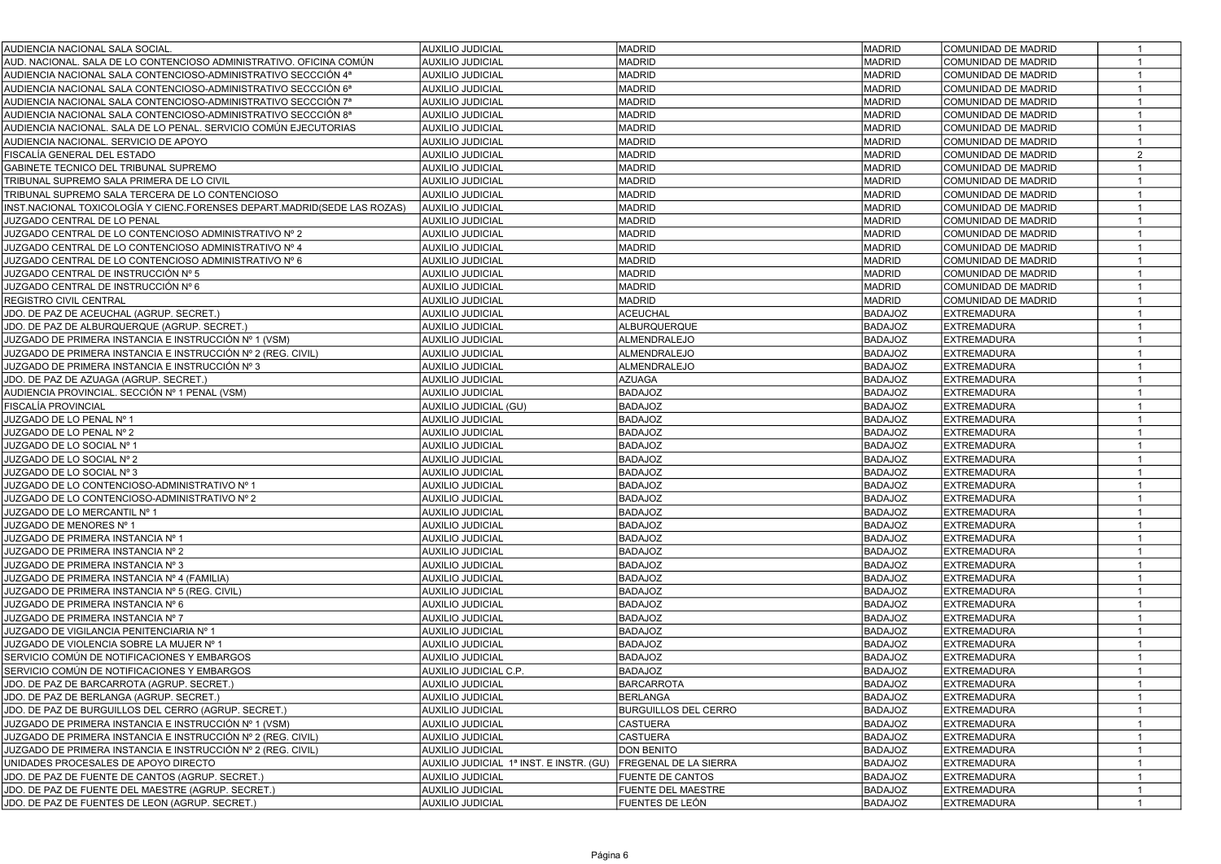| AUDIENCIA NACIONAL SALA SOCIAL                                           | <b>AUXILIO JUDICIAL</b>                 | <b>MADRID</b>                | <b>MADRID</b>  | COMUNIDAD DE MADRID | 1              |
|--------------------------------------------------------------------------|-----------------------------------------|------------------------------|----------------|---------------------|----------------|
| AUD. NACIONAL. SALA DE LO CONTENCIOSO ADMINISTRATIVO. OFICINA COMÚN      | <b>AUXILIO JUDICIAL</b>                 | <b>MADRID</b>                | <b>MADRID</b>  | COMUNIDAD DE MADRID | $\mathbf{1}$   |
| AUDIENCIA NACIONAL SALA CONTENCIOSO-ADMINISTRATIVO SECCCIÓN 4ª           | <b>AUXILIO JUDICIAL</b>                 | <b>MADRID</b>                | <b>MADRID</b>  | COMUNIDAD DE MADRID | 1              |
| AUDIENCIA NACIONAL SALA CONTENCIOSO-ADMINISTRATIVO SECCCIÓN 6ª           | <b>AUXILIO JUDICIAL</b>                 | <b>MADRID</b>                | <b>MADRID</b>  | COMUNIDAD DE MADRID | $\mathbf{1}$   |
| AUDIENCIA NACIONAL SALA CONTENCIOSO-ADMINISTRATIVO SECCCIÓN 7ª           | <b>AUXILIO JUDICIAL</b>                 | <b>MADRID</b>                | <b>MADRID</b>  | COMUNIDAD DE MADRID | $\mathbf{1}$   |
| AUDIENCIA NACIONAL SALA CONTENCIOSO-ADMINISTRATIVO SECCCIÓN 8ª           | <b>AUXILIO JUDICIAL</b>                 | <b>MADRID</b>                | MADRID         | COMUNIDAD DE MADRID | $\mathbf{1}$   |
| AUDIENCIA NACIONAL. SALA DE LO PENAL. SERVICIO COMÚN EJECUTORIAS         | <b>AUXILIO JUDICIAL</b>                 | <b>MADRID</b>                | MADRID         | COMUNIDAD DE MADRID | $\mathbf{1}$   |
| AUDIENCIA NACIONAL. SERVICIO DE APOYO                                    | <b>AUXILIO JUDICIAL</b>                 | <b>MADRID</b>                | MADRID         | COMUNIDAD DE MADRID | $\mathbf{1}$   |
| FISCALÍA GENERAL DEL ESTADO                                              | <b>AUXILIO JUDICIAL</b>                 | <b>MADRID</b>                | <b>MADRID</b>  | COMUNIDAD DE MADRID | $\overline{2}$ |
| GABINETE TECNICO DEL TRIBUNAL SUPREMO                                    | <b>AUXILIO JUDICIAL</b>                 | <b>MADRID</b>                | <b>MADRID</b>  | COMUNIDAD DE MADRID | $\mathbf{1}$   |
| TRIBUNAL SUPREMO SALA PRIMERA DE LO CIVIL                                | <b>AUXILIO JUDICIAL</b>                 | <b>MADRID</b>                | MADRID         | COMUNIDAD DE MADRID | $\mathbf{1}$   |
| TRIBUNAL SUPREMO SALA TERCERA DE LO CONTENCIOSO                          | <b>AUXILIO JUDICIAL</b>                 | <b>MADRID</b>                | MADRID         | COMUNIDAD DE MADRID | $\mathbf{1}$   |
| INST.NACIONAL TOXICOLOGÍA Y CIENC.FORENSES DEPART.MADRID(SEDE LAS ROZAS) | <b>AUXILIO JUDICIAL</b>                 | <b>MADRID</b>                | MADRID         | COMUNIDAD DE MADRID | $\mathbf{1}$   |
| JUZGADO CENTRAL DE LO PENAL                                              | <b>AUXILIO JUDICIAL</b>                 | <b>MADRID</b>                | MADRID         | COMUNIDAD DE MADRID | $\overline{1}$ |
| JUZGADO CENTRAL DE LO CONTENCIOSO ADMINISTRATIVO Nº 2                    | <b>AUXILIO JUDICIAL</b>                 | <b>MADRID</b>                | MADRID         | COMUNIDAD DE MADRID | $\mathbf{1}$   |
| JUZGADO CENTRAL DE LO CONTENCIOSO ADMINISTRATIVO Nº 4                    | <b>AUXILIO JUDICIAL</b>                 | <b>MADRID</b>                | MADRID         | COMUNIDAD DE MADRID | $\mathbf{1}$   |
| JUZGADO CENTRAL DE LO CONTENCIOSO ADMINISTRATIVO Nº 6                    | <b>AUXILIO JUDICIAL</b>                 | <b>MADRID</b>                | MADRID         | COMUNIDAD DE MADRID | $\mathbf{1}$   |
| JUZGADO CENTRAL DE INSTRUCCIÓN № 5                                       | <b>AUXILIO JUDICIAL</b>                 | <b>MADRID</b>                | <b>MADRID</b>  | COMUNIDAD DE MADRID | $\mathbf{1}$   |
| JUZGADO CENTRAL DE INSTRUCCIÓN Nº 6                                      | <b>AUXILIO JUDICIAL</b>                 | <b>MADRID</b>                | <b>MADRID</b>  | COMUNIDAD DE MADRID | $\mathbf{1}$   |
| REGISTRO CIVIL CENTRAL                                                   | <b>AUXILIO JUDICIAL</b>                 | <b>MADRID</b>                | <b>MADRID</b>  | COMUNIDAD DE MADRID |                |
| JDO. DE PAZ DE ACEUCHAL (AGRUP. SECRET.)                                 | <b>AUXILIO JUDICIAL</b>                 | <b>ACEUCHAL</b>              | BADAJOZ        | <b>EXTREMADURA</b>  |                |
| JDO. DE PAZ DE ALBURQUERQUE (AGRUP. SECRET.)                             | <b>AUXILIO JUDICIAL</b>                 | ALBURQUERQUE                 | <b>BADAJOZ</b> | <b>EXTREMADURA</b>  |                |
| JUZGADO DE PRIMERA INSTANCIA E INSTRUCCIÓN Nº 1 (VSM)                    | <b>AUXILIO JUDICIAL</b>                 | ALMENDRALEJO                 | <b>BADAJOZ</b> | <b>EXTREMADURA</b>  | 1              |
| JUZGADO DE PRIMERA INSTANCIA E INSTRUCCIÓN № 2 (REG. CIVIL)              | <b>AUXILIO JUDICIAL</b>                 | ALMENDRALEJO                 | <b>BADAJOZ</b> | <b>EXTREMADURA</b>  |                |
| JUZGADO DE PRIMERA INSTANCIA E INSTRUCCIÓN Nº 3                          | <b>AUXILIO JUDICIAL</b>                 | ALMENDRALEJO                 | <b>BADAJOZ</b> | <b>EXTREMADURA</b>  | 1              |
| JDO. DE PAZ DE AZUAGA (AGRUP, SECRET.)                                   | <b>AUXILIO JUDICIAL</b>                 | <b>AZUAGA</b>                | <b>BADAJOZ</b> | <b>EXTREMADURA</b>  | $\mathbf{1}$   |
| AUDIENCIA PROVINCIAL, SECCIÓN Nº 1 PENAL (VSM)                           | <b>AUXILIO JUDICIAL</b>                 | <b>BADAJOZ</b>               | <b>BADAJOZ</b> | <b>EXTREMADURA</b>  | $\mathbf{1}$   |
| FISCALÍA PROVINCIAL                                                      | AUXILIO JUDICIAL (GU)                   | <b>BADAJOZ</b>               | <b>BADAJOZ</b> | <b>EXTREMADURA</b>  | $\mathbf{1}$   |
| JUZGADO DE LO PENAL Nº 1                                                 | <b>AUXILIO JUDICIAL</b>                 | <b>BADAJOZ</b>               | <b>BADAJOZ</b> | <b>EXTREMADURA</b>  | $\mathbf{1}$   |
| JUZGADO DE LO PENAL Nº 2                                                 | <b>AUXILIO JUDICIAL</b>                 | <b>BADAJOZ</b>               | <b>BADAJOZ</b> | <b>EXTREMADURA</b>  | $\mathbf{1}$   |
| JUZGADO DE LO SOCIAL Nº 1                                                | <b>AUXILIO JUDICIAL</b>                 | <b>BADAJOZ</b>               | <b>BADAJOZ</b> | <b>EXTREMADURA</b>  | $\mathbf{1}$   |
| JUZGADO DE LO SOCIAL Nº 2                                                | <b>AUXILIO JUDICIAL</b>                 | <b>BADAJOZ</b>               | <b>BADAJOZ</b> | <b>EXTREMADURA</b>  | $\mathbf{1}$   |
| JUZGADO DE LO SOCIAL Nº 3                                                | <b>AUXILIO JUDICIAL</b>                 | <b>BADAJOZ</b>               | <b>BADAJOZ</b> | <b>EXTREMADURA</b>  | $\overline{1}$ |
| JUZGADO DE LO CONTENCIOSO-ADMINISTRATIVO Nº 1                            | <b>AUXILIO JUDICIAL</b>                 | <b>BADAJOZ</b>               | <b>BADAJOZ</b> | <b>EXTREMADURA</b>  | $\mathbf{1}$   |
| JUZGADO DE LO CONTENCIOSO-ADMINISTRATIVO Nº 2                            | <b>AUXILIO JUDICIAL</b>                 | <b>BADAJOZ</b>               | <b>BADAJOZ</b> | <b>EXTREMADURA</b>  | $\mathbf{1}$   |
| JUZGADO DE LO MERCANTIL Nº 1                                             | <b>AUXILIO JUDICIAL</b>                 | <b>BADAJOZ</b>               | <b>BADAJOZ</b> | <b>EXTREMADURA</b>  | $\mathbf{1}$   |
| JUZGADO DE MENORES Nº 1                                                  | <b>AUXILIO JUDICIAL</b>                 | <b>BADAJOZ</b>               | <b>BADAJOZ</b> | <b>EXTREMADURA</b>  | $\mathbf{1}$   |
| JUZGADO DE PRIMERA INSTANCIA Nº 1                                        | <b>AUXILIO JUDICIAL</b>                 | <b>BADAJOZ</b>               | <b>BADAJOZ</b> | <b>EXTREMADURA</b>  | $\mathbf{1}$   |
| JUZGADO DE PRIMERA INSTANCIA Nº 2                                        | <b>AUXILIO JUDICIAL</b>                 | <b>BADAJOZ</b>               | <b>BADAJOZ</b> | <b>EXTREMADURA</b>  | $\mathbf{1}$   |
| JUZGADO DE PRIMERA INSTANCIA Nº 3                                        | <b>AUXILIO JUDICIAL</b>                 | <b>BADAJOZ</b>               | <b>BADAJOZ</b> | <b>EXTREMADURA</b>  | $\mathbf{1}$   |
| JUZGADO DE PRIMERA INSTANCIA Nº 4 (FAMILIA)                              | <b>AUXILIO JUDICIAL</b>                 | <b>BADAJOZ</b>               | <b>BADAJOZ</b> | <b>EXTREMADURA</b>  | $\mathbf{1}$   |
| JUZGADO DE PRIMERA INSTANCIA Nº 5 (REG. CIVIL)                           | <b>AUXILIO JUDICIAL</b>                 | <b>BADAJOZ</b>               | <b>BADAJOZ</b> | <b>EXTREMADURA</b>  | $\mathbf{1}$   |
| JUZGADO DE PRIMERA INSTANCIA Nº 6                                        | <b>AUXILIO JUDICIAL</b>                 | <b>BADAJOZ</b>               | <b>BADAJOZ</b> | <b>EXTREMADURA</b>  | $\mathbf{1}$   |
| JUZGADO DE PRIMERA INSTANCIA Nº 7                                        | <b>AUXILIO JUDICIAL</b>                 | <b>BADAJOZ</b>               | <b>BADAJOZ</b> | <b>EXTREMADURA</b>  | $\overline{1}$ |
| JUZGADO DE VIGILANCIA PENITENCIARIA Nº 1                                 | <b>AUXILIO JUDICIAL</b>                 | <b>BADAJOZ</b>               | <b>BADAJOZ</b> | <b>EXTREMADURA</b>  |                |
| JUZGADO DE VIOLENCIA SOBRE LA MUJER Nº 1                                 | <b>AUXILIO JUDICIAL</b>                 | <b>BADAJOZ</b>               | <b>BADAJOZ</b> | <b>EXTREMADURA</b>  |                |
| SERVICIO COMÚN DE NOTIFICACIONES Y EMBARGOS                              | AUXILIO JUDICIAL                        | <b>BADAJOZ</b>               | <b>BADAJOZ</b> | <b>EXTREMADURA</b>  |                |
| SERVICIO COMÚN DE NOTIFICACIONES Y EMBARGOS                              | AUXILIO JUDICIAL C.P.                   | <b>BADAJOZ</b>               | <b>BADAJOZ</b> | <b>EXTREMADURA</b>  | 1              |
| JDO. DE PAZ DE BARCARROTA (AGRUP. SECRET.)                               | <b>AUXILIO JUDICIAL</b>                 | <b>BARCARROTA</b>            | <b>BADAJOZ</b> | <b>EXTREMADURA</b>  | 1              |
| JDO. DE PAZ DE BERLANGA (AGRUP. SECRET.)                                 | AUXILIO JUDICIAL                        | BERLANGA                     | <b>BADAJOZ</b> | <b>EXTREMADURA</b>  | $\mathbf{1}$   |
| JDO. DE PAZ DE BURGUILLOS DEL CERRO (AGRUP. SECRET.)                     | AUXILIO JUDICIAL                        | <b>BURGUILLOS DEL CERRO</b>  | <b>BADAJOZ</b> | <b>EXTREMADURA</b>  | $\mathbf{1}$   |
| JUZGADO DE PRIMERA INSTANCIA E INSTRUCCIÓN Nº 1 (VSM)                    | <b>AUXILIO JUDICIAL</b>                 | <b>CASTUERA</b>              | <b>BADAJOZ</b> | <b>EXTREMADURA</b>  | $\mathbf{1}$   |
| JUZGADO DE PRIMERA INSTANCIA E INSTRUCCIÓN Nº 2 (REG. CIVIL)             | <b>AUXILIO JUDICIAL</b>                 | <b>CASTUERA</b>              | <b>BADAJOZ</b> | <b>EXTREMADURA</b>  | 1              |
| JUZGADO DE PRIMERA INSTANCIA E INSTRUCCIÓN № 2 (REG. CIVIL)              | <b>AUXILIO JUDICIAL</b>                 | <b>DON BENITO</b>            | <b>BADAJOZ</b> | <b>EXTREMADURA</b>  | $\overline{1}$ |
| UNIDADES PROCESALES DE APOYO DIRECTO                                     | AUXILIO JUDICIAL 1ª INST. E INSTR. (GU) | <b>FREGENAL DE LA SIERRA</b> | <b>BADAJOZ</b> | <b>EXTREMADURA</b>  | $\mathbf{1}$   |
| JDO. DE PAZ DE FUENTE DE CANTOS (AGRUP. SECRET.)                         | <b>AUXILIO JUDICIAL</b>                 | <b>FUENTE DE CANTOS</b>      | <b>BADAJOZ</b> | <b>EXTREMADURA</b>  | $\mathbf{1}$   |
| JDO. DE PAZ DE FUENTE DEL MAESTRE (AGRUP. SECRET.)                       | <b>AUXILIO JUDICIAL</b>                 | <b>FUENTE DEL MAESTRE</b>    | <b>BADAJOZ</b> | <b>EXTREMADURA</b>  | $\mathbf{1}$   |
| JDO. DE PAZ DE FUENTES DE LEON (AGRUP. SECRET.)                          | <b>AUXILIO JUDICIAL</b>                 | FUENTES DE LEÓN              | <b>BADAJOZ</b> | <b>EXTREMADURA</b>  | $\mathbf{1}$   |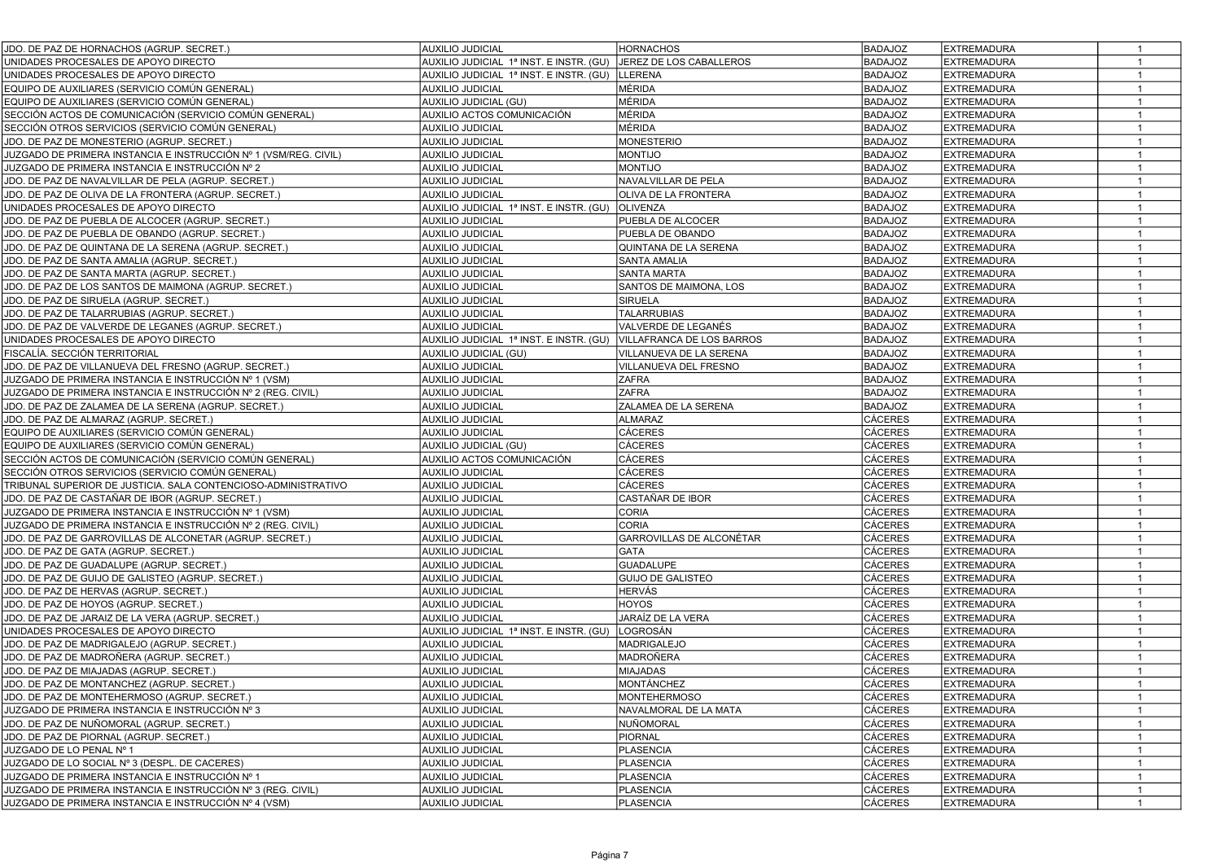| JDO. DE PAZ DE HORNACHOS (AGRUP. SECRET.)                       | <b>AUXILIO JUDICIAL</b>                 | <b>HORNACHOS</b>          | <b>BADAJOZ</b> | <b>EXTREMADURA</b> | $\overline{1}$ |
|-----------------------------------------------------------------|-----------------------------------------|---------------------------|----------------|--------------------|----------------|
| UNIDADES PROCESALES DE APOYO DIRECTO                            | AUXILIO JUDICIAL 1ª INST. E INSTR. (GU) | JEREZ DE LOS CABALLEROS   | <b>BADAJOZ</b> | <b>EXTREMADURA</b> | $\overline{1}$ |
| UNIDADES PROCESALES DE APOYO DIRECTO                            | AUXILIO JUDICIAL 1ª INST. E INSTR. (GU) | <b>LLERENA</b>            | <b>BADAJOZ</b> | <b>EXTREMADURA</b> |                |
| EQUIPO DE AUXILIARES (SERVICIO COMÚN GENERAL)                   | <b>AUXILIO JUDICIAL</b>                 | MÉRIDA                    | <b>BADAJOZ</b> | <b>EXTREMADURA</b> |                |
| EQUIPO DE AUXILIARES (SERVICIO COMÚN GENERAL)                   | AUXILIO JUDICIAL (GU)                   | MÉRIDA                    | <b>BADAJOZ</b> | <b>EXTREMADURA</b> | -1             |
| SECCIÓN ACTOS DE COMUNICACIÓN (SERVICIO COMÚN GENERAL)          | AUXILIO ACTOS COMUNICACIÓN              | MÉRIDA                    | <b>BADAJOZ</b> | <b>EXTREMADURA</b> | $\overline{1}$ |
| SECCIÓN OTROS SERVICIOS (SERVICIO COMÚN GENERAL)                | <b>AUXILIO JUDICIAL</b>                 | MÉRIDA                    | <b>BADAJOZ</b> | <b>EXTREMADURA</b> | $\mathbf{1}$   |
| JDO. DE PAZ DE MONESTERIO (AGRUP. SECRET.)                      | <b>AUXILIO JUDICIAL</b>                 | <b>MONESTERIO</b>         | <b>BADAJOZ</b> | <b>EXTREMADURA</b> | $\mathbf{1}$   |
| JUZGADO DE PRIMERA INSTANCIA E INSTRUCCIÓN № 1 (VSM/REG. CIVIL) | <b>AUXILIO JUDICIAL</b>                 | <b>OLITION</b>            | <b>BADAJOZ</b> | <b>EXTREMADURA</b> | $\mathbf{1}$   |
| JUZGADO DE PRIMERA INSTANCIA E INSTRUCCIÓN № 2                  | <b>AUXILIO JUDICIAL</b>                 | <b>OLITION</b>            | <b>BADAJOZ</b> | <b>EXTREMADURA</b> | $\overline{1}$ |
| JDO. DE PAZ DE NAVALVILLAR DE PELA (AGRUP. SECRET.)             | <b>AUXILIO JUDICIAL</b>                 | NAVALVILLAR DE PELA       | <b>BADAJOZ</b> | <b>EXTREMADURA</b> | $\overline{1}$ |
| JDO. DE PAZ DE OLIVA DE LA FRONTERA (AGRUP. SECRET.)            | <b>AUXILIO JUDICIAL</b>                 | OLIVA DE LA FRONTERA      | <b>BADAJOZ</b> | <b>EXTREMADURA</b> | $\overline{1}$ |
| UNIDADES PROCESALES DE APOYO DIRECTO                            | AUXILIO JUDICIAL 1ª INST. E INSTR. (GU) | <b>OLIVENZA</b>           | <b>BADAJOZ</b> | <b>EXTREMADURA</b> | $\mathbf{1}$   |
| JDO. DE PAZ DE PUEBLA DE ALCOCER (AGRUP. SECRET.)               | <b>AUXILIO JUDICIAL</b>                 | PUEBLA DE ALCOCER         | <b>BADAJOZ</b> | <b>EXTREMADURA</b> | $\overline{1}$ |
| JDO. DE PAZ DE PUEBLA DE OBANDO (AGRUP. SECRET.)                | <b>AUXILIO JUDICIAL</b>                 | PUEBLA DE OBANDO          | <b>BADAJOZ</b> | <b>EXTREMADURA</b> | $\overline{1}$ |
| JDO. DE PAZ DE QUINTANA DE LA SERENA (AGRUP. SECRET.)           | <b>AUXILIO JUDICIAL</b>                 | QUINTANA DE LA SERENA     | <b>BADAJOZ</b> | <b>EXTREMADURA</b> | $\overline{1}$ |
| JDO. DE PAZ DE SANTA AMALIA (AGRUP. SECRET.)                    | <b>AUXILIO JUDICIAL</b>                 | <b>SANTA AMALIA</b>       | <b>BADAJOZ</b> | <b>EXTREMADURA</b> | $\overline{1}$ |
| JDO. DE PAZ DE SANTA MARTA (AGRUP. SECRET.)                     | <b>AUXILIO JUDICIAL</b>                 | SANTA MARTA               | <b>BADAJOZ</b> | <b>EXTREMADURA</b> | $\overline{1}$ |
| JDO. DE PAZ DE LOS SANTOS DE MAIMONA (AGRUP. SECRET.)           | <b>AUXILIO JUDICIAL</b>                 | SANTOS DE MAIMONA, LOS    | <b>BADAJOZ</b> | <b>EXTREMADURA</b> | $\mathbf{1}$   |
| JDO. DE PAZ DE SIRUELA (AGRUP. SECRET.)                         | <b>AUXILIO JUDICIAL</b>                 | <b>SIRUELA</b>            | <b>BADAJOZ</b> | <b>EXTREMADURA</b> | $\overline{1}$ |
| JDO. DE PAZ DE TALARRUBIAS (AGRUP. SECRET.)                     | <b>AUXILIO JUDICIAL</b>                 | <b>TALARRUBIAS</b>        | <b>BADAJOZ</b> | <b>EXTREMADURA</b> | $\mathbf{1}$   |
| JDO. DE PAZ DE VALVERDE DE LEGANES (AGRUP. SECRET.)             | <b>AUXILIO JUDICIAL</b>                 | VALVERDE DE LEGANÉS       | <b>BADAJOZ</b> | <b>EXTREMADURA</b> | $\mathbf{1}$   |
| UNIDADES PROCESALES DE APOYO DIRECTO                            | AUXILIO JUDICIAL 1ª INST. E INSTR. (GU) | VILLAFRANCA DE LOS BARROS | <b>BADAJOZ</b> | <b>EXTREMADURA</b> | $\overline{1}$ |
| FISCALÍA. SECCIÓN TERRITORIAL                                   | AUXILIO JUDICIAL (GU)                   | VILLANUEVA DE LA SERENA   | <b>BADAJOZ</b> | <b>EXTREMADURA</b> | $\overline{1}$ |
| JDO. DE PAZ DE VILLANUEVA DEL FRESNO (AGRUP. SECRET.)           | <b>AUXILIO JUDICIAL</b>                 | VILLANUEVA DEL FRESNO     | <b>BADAJOZ</b> | <b>EXTREMADURA</b> | $\mathbf{1}$   |
| JUZGADO DE PRIMERA INSTANCIA E INSTRUCCIÓN № 1 (VSM)            | <b>AUXILIO JUDICIAL</b>                 | <b>ZAFRA</b>              | <b>BADAJOZ</b> | <b>EXTREMADURA</b> |                |
| JUZGADO DE PRIMERA INSTANCIA E INSTRUCCIÓN № 2 (REG. CIVIL)     | <b>AUXILIO JUDICIAL</b>                 | <b>ZAFRA</b>              | <b>BADAJOZ</b> | <b>EXTREMADURA</b> |                |
| JDO. DE PAZ DE ZALAMEA DE LA SERENA (AGRUP. SECRET.)            | <b>AUXILIO JUDICIAL</b>                 | ZALAMEA DE LA SERENA      | <b>BADAJOZ</b> | <b>EXTREMADURA</b> |                |
| JDO. DE PAZ DE ALMARAZ (AGRUP. SECRET.)                         | <b>AUXILIO JUDICIAL</b>                 | <b>ALMARAZ</b>            | CÁCERES        | <b>EXTREMADURA</b> | -1             |
| EQUIPO DE AUXILIARES (SERVICIO COMÚN GENERAL)                   | <b>AUXILIO JUDICIAL</b>                 | <b>CÁCERES</b>            | <b>CÁCERES</b> | <b>EXTREMADURA</b> |                |
| EQUIPO DE AUXILIARES (SERVICIO COMÚN GENERAL)                   | AUXILIO JUDICIAL (GU)                   | CÁCERES                   | CÁCERES        | <b>EXTREMADURA</b> | $\mathbf{1}$   |
| SECCIÓN ACTOS DE COMUNICACIÓN (SERVICIO COMÚN GENERAL)          | AUXILIO ACTOS COMUNICACIÓN              | <b>CÁCERES</b>            | <b>CÁCERES</b> | <b>EXTREMADURA</b> | $\overline{1}$ |
| SECCIÓN OTROS SERVICIOS (SERVICIO COMÚN GENERAL)                | AUXILIO JUDICIAL                        | <b>CÁCERES</b>            | <b>CÁCERES</b> | <b>EXTREMADURA</b> | $\mathbf{1}$   |
| TRIBUNAL SUPERIOR DE JUSTICIA. SALA CONTENCIOSO-ADMINISTRATIVO  | <b>AUXILIO JUDICIAL</b>                 | <b>CÁCERES</b>            | <b>CÁCERES</b> | <b>EXTREMADURA</b> | $\mathbf{1}$   |
| JDO. DE PAZ DE CASTAÑAR DE IBOR (AGRUP. SECRET.)                | <b>AUXILIO JUDICIAL</b>                 | CASTAÑAR DE IBOR          | CÁCERES        | <b>EXTREMADURA</b> | $\overline{1}$ |
| JUZGADO DE PRIMERA INSTANCIA E INSTRUCCIÓN № 1 (VSM)            | <b>AUXILIO JUDICIAL</b>                 | <b>CORIA</b>              | <b>CÁCERES</b> | <b>EXTREMADURA</b> | $\overline{1}$ |
| JUZGADO DE PRIMERA INSTANCIA E INSTRUCCIÓN № 2 (REG. CIVIL)     | <b>AUXILIO JUDICIAL</b>                 | <b>CORIA</b>              | <b>CÁCERES</b> | <b>EXTREMADURA</b> | $\overline{1}$ |
| JDO. DE PAZ DE GARROVILLAS DE ALCONETAR (AGRUP. SECRET.)        | <b>AUXILIO JUDICIAL</b>                 | GARROVILLAS DE ALCONÉTAR  | CÁCERES        | <b>EXTREMADURA</b> | $\mathbf{1}$   |
| JDO. DE PAZ DE GATA (AGRUP. SECRET.)                            | <b>AUXILIO JUDICIAL</b>                 | <b>GATA</b>               | <b>CÁCERES</b> | <b>EXTREMADURA</b> | $\overline{1}$ |
| JDO. DE PAZ DE GUADALUPE (AGRUP. SECRET.)                       | <b>AUXILIO JUDICIAL</b>                 | <b>GUADALUPE</b>          | <b>CÁCERES</b> | <b>EXTREMADURA</b> | $\overline{1}$ |
| JDO. DE PAZ DE GUIJO DE GALISTEO (AGRUP. SECRET.)               | <b>AUXILIO JUDICIAL</b>                 | <b>GUIJO DE GALISTEO</b>  | <b>CÁCERES</b> | <b>EXTREMADURA</b> | $\overline{1}$ |
| JDO. DE PAZ DE HERVAS (AGRUP. SECRET.)                          | <b>AUXILIO JUDICIAL</b>                 | HERVÁS                    | <b>CÁCERES</b> | <b>EXTREMADURA</b> | $\overline{1}$ |
| JDO. DE PAZ DE HOYOS (AGRUP. SECRET.)                           | <b>AUXILIO JUDICIAL</b>                 | <b>HOYOS</b>              | <b>CÁCERES</b> | <b>EXTREMADURA</b> | $\overline{1}$ |
| JDO. DE PAZ DE JARAIZ DE LA VERA (AGRUP. SECRET.)               | <b>AUXILIO JUDICIAL</b>                 | JARAÍZ DE LA VERA         | <b>CÁCERES</b> | <b>EXTREMADURA</b> | $\mathbf{1}$   |
| UNIDADES PROCESALES DE APOYO DIRECTO                            | AUXILIO JUDICIAL 1ª INST. E INSTR. (GU) | LOGROSÁN                  | <b>CÁCERES</b> | <b>EXTREMADURA</b> | $\overline{1}$ |
| JDO. DE PAZ DE MADRIGALEJO (AGRUP. SECRET.)                     | <b>AUXILIO JUDICIAL</b>                 | <b>MADRIGALEJO</b>        | <b>CÁCERES</b> | <b>EXTREMADURA</b> | $\mathbf{1}$   |
| JDO. DE PAZ DE MADROÑERA (AGRUP. SECRET.)                       | <b>AUXILIO JUDICIAL</b>                 | MADROÑERA                 | <b>CÁCERES</b> | <b>EXTREMADURA</b> | $\mathbf{1}$   |
| JDO. DE PAZ DE MIAJADAS (AGRUP. SECRET.)                        | <b>AUXILIO JUDICIAL</b>                 | <b>MIAJADAS</b>           | CÁCERES        | <b>EXTREMADURA</b> | $\overline{1}$ |
| JDO. DE PAZ DE MONTANCHEZ (AGRUP. SECRET.)                      | <b>AUXILIO JUDICIAL</b>                 | MONTÁNCHEZ                | <b>CÁCERES</b> | <b>EXTREMADURA</b> | $\overline{1}$ |
| JDO. DE PAZ DE MONTEHERMOSO (AGRUP. SECRET.)                    | AUXILIO JUDICIAL                        | MONTEHERMOSO              | CÁCERES        | EXTREMADURA        | $\mathbf{1}$   |
| JUZGADO DE PRIMERA INSTANCIA E INSTRUCCIÓN № 3                  | <b>AUXILIO JUDICIAL</b>                 | NAVALMORAL DE LA MATA     | <b>CÁCERES</b> | <b>EXTREMADURA</b> | $\overline{1}$ |
| JDO. DE PAZ DE NUÑOMORAL (AGRUP. SECRET.)                       | <b>AUXILIO JUDICIAL</b>                 | NUÑOMORAL                 | <b>CÁCERES</b> | <b>EXTREMADURA</b> | $\overline{1}$ |
| JDO. DE PAZ DE PIORNAL (AGRUP. SECRET.)                         | <b>AUXILIO JUDICIAL</b>                 | PIORNAL                   | <b>CÁCERES</b> | <b>EXTREMADURA</b> |                |
| JUZGADO DE LO PENAL Nº 1                                        | <b>AUXILIO JUDICIAL</b>                 | PLASENCIA                 | <b>CÁCERES</b> | <b>EXTREMADURA</b> | $\overline{1}$ |
| JUZGADO DE LO SOCIAL Nº 3 (DESPL. DE CACERES)                   | <b>AUXILIO JUDICIAL</b>                 | <b>PLASENCIA</b>          | <b>CÁCERES</b> | <b>EXTREMADURA</b> | $\mathbf{1}$   |
| JUZGADO DE PRIMERA INSTANCIA E INSTRUCCIÓN № 1                  | <b>AUXILIO JUDICIAL</b>                 | <b>PLASENCIA</b>          | <b>CÁCERES</b> | <b>EXTREMADURA</b> | $\overline{1}$ |
| JUZGADO DE PRIMERA INSTANCIA E INSTRUCCIÓN Nº 3 (REG. CIVIL)    | <b>AUXILIO JUDICIAL</b>                 | <b>PLASENCIA</b>          | <b>CÁCERES</b> | <b>EXTREMADURA</b> | $\mathbf{1}$   |
| JUZGADO DE PRIMERA INSTANCIA E INSTRUCCIÓN № 4 (VSM)            | <b>AUXILIO JUDICIAL</b>                 | PLASENCIA                 | <b>CÁCERES</b> | <b>EXTREMADURA</b> | $\overline{1}$ |
|                                                                 |                                         |                           |                |                    |                |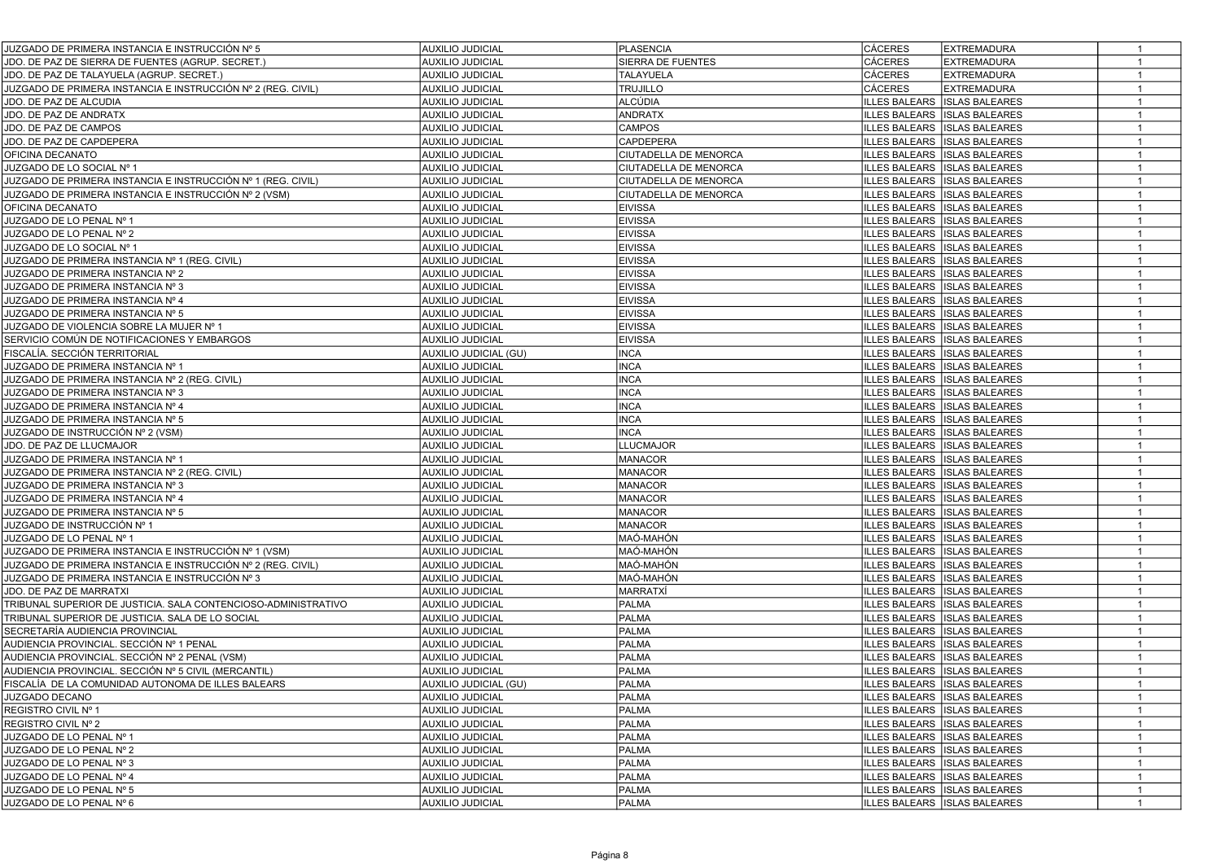| JUZGADO DE PRIMERA INSTANCIA E INSTRUCCIÓN Nº 5                | <b>AUXILIO JUDICIAL</b> | <b>PLASENCIA</b>      | <b>CÁCERES</b> | <b>EXTREMADURA</b>                  | $\mathbf{1}$   |  |
|----------------------------------------------------------------|-------------------------|-----------------------|----------------|-------------------------------------|----------------|--|
| JDO. DE PAZ DE SIERRA DE FUENTES (AGRUP. SECRET.)              | <b>AUXILIO JUDICIAL</b> | SIERRA DE FUENTES     | <b>CÁCERES</b> | <b>EXTREMADURA</b>                  | $\mathbf{1}$   |  |
| JDO. DE PAZ DE TALAYUELA (AGRUP. SECRET.)                      | <b>AUXILIO JUDICIAL</b> | <b>TALAYUELA</b>      | <b>CÁCERES</b> | <b>EXTREMADURA</b>                  | $\mathbf{1}$   |  |
| JUZGADO DE PRIMERA INSTANCIA E INSTRUCCIÓN № 2 (REG. CIVIL)    | <b>AUXILIO JUDICIAL</b> | <b>TRUJILLO</b>       | <b>CÁCERES</b> | <b>EXTREMADURA</b>                  | $\overline{1}$ |  |
| JDO. DE PAZ DE ALCUDIA                                         | <b>AUXILIO JUDICIAL</b> | ALCÚDIA               |                | ILLES BALEARS  ISLAS BALEARES       | $\mathbf{1}$   |  |
| JDO. DE PAZ DE ANDRATX                                         | <b>AUXILIO JUDICIAL</b> | <b>ANDRATX</b>        |                | ILLES BALEARS   ISLAS BALEARES      | $\mathbf{1}$   |  |
| JDO. DE PAZ DE CAMPOS                                          | <b>AUXILIO JUDICIAL</b> | CAMPOS                |                | ILLES BALEARS  ISLAS BALEARES       | $\mathbf{1}$   |  |
| JDO. DE PAZ DE CAPDEPERA                                       | <b>AUXILIO JUDICIAL</b> | CAPDEPERA             |                | ILLES BALEARS  ISLAS BALEARES       | $\mathbf{1}$   |  |
| OFICINA DECANATO                                               | <b>AUXILIO JUDICIAL</b> | CIUTADELLA DE MENORCA |                | ILLES BALEARS  ISLAS BALEARES       | $\mathbf{1}$   |  |
| JUZGADO DE LO SOCIAL Nº 1                                      | <b>AUXILIO JUDICIAL</b> | CIUTADELLA DE MENORCA |                | ILLES BALEARS  ISLAS BALEARES       | $\overline{1}$ |  |
| JUZGADO DE PRIMERA INSTANCIA E INSTRUCCIÓN № 1 (REG. CIVIL)    | <b>AUXILIO JUDICIAL</b> | CIUTADELLA DE MENORCA |                | ILLES BALEARS  ISLAS BALEARES       | $\mathbf{1}$   |  |
| JUZGADO DE PRIMERA INSTANCIA E INSTRUCCIÓN № 2 (VSM)           | <b>AUXILIO JUDICIAL</b> | CIUTADELLA DE MENORCA |                | ILLES BALEARS  ISLAS BALEARES       | $\overline{1}$ |  |
| OFICINA DECANATO                                               | <b>AUXILIO JUDICIAL</b> | <b>EIVISSA</b>        |                | ILLES BALEARS  ISLAS BALEARES       | $\mathbf{1}$   |  |
| JUZGADO DE LO PENAL Nº 1                                       | <b>AUXILIO JUDICIAL</b> | <b>EIVISSA</b>        |                | ILLES BALEARS ISSLAS BALEARES       | $\mathbf{1}$   |  |
| JUZGADO DE LO PENAL Nº 2                                       | <b>AUXILIO JUDICIAL</b> | <b>EIVISSA</b>        |                | ILLES BALEARS ISLAS BALEARES        | $\mathbf{1}$   |  |
| JUZGADO DE LO SOCIAL Nº 1                                      | <b>AUXILIO JUDICIAL</b> | <b>EIVISSA</b>        |                | ILLES BALEARS   ISLAS BALEARES      | $\mathbf{1}$   |  |
| JUZGADO DE PRIMERA INSTANCIA № 1 (REG. CIVIL)                  | <b>AUXILIO JUDICIAL</b> | <b>EIVISSA</b>        |                | ILLES BALEARS ISLAS BALEARES        | $\mathbf{1}$   |  |
| JUZGADO DE PRIMERA INSTANCIA Nº 2                              | <b>AUXILIO JUDICIAL</b> | <b>EIVISSA</b>        |                | ILLES BALEARS   ISLAS BALEARES      | $\mathbf{1}$   |  |
| JUZGADO DE PRIMERA INSTANCIA Nº 3                              | <b>AUXILIO JUDICIAL</b> | <b>EIVISSA</b>        |                | ILLES BALEARS   ISLAS BALEARES      | $\mathbf{1}$   |  |
| JUZGADO DE PRIMERA INSTANCIA Nº 4                              | <b>AUXILIO JUDICIAL</b> | <b>EIVISSA</b>        |                | ILLES BALEARS  ISLAS BALEARES       | $\overline{1}$ |  |
| JUZGADO DE PRIMERA INSTANCIA Nº 5                              | <b>AUXILIO JUDICIAL</b> | <b>EIVISSA</b>        |                | ILLES BALEARS  ISLAS BALEARES       | $\overline{1}$ |  |
| JUZGADO DE VIOLENCIA SOBRE LA MUJER Nº 1                       | <b>AUXILIO JUDICIAL</b> | <b>EIVISSA</b>        |                | ILLES BALEARS   ISLAS BALEARES      | $\overline{1}$ |  |
| SERVICIO COMÚN DE NOTIFICACIONES Y EMBARGOS                    | <b>AUXILIO JUDICIAL</b> | <b>EIVISSA</b>        |                | ILLES BALEARS  ISLAS BALEARES       | $\overline{1}$ |  |
| FISCALÍA. SECCIÓN TERRITORIAL                                  | AUXILIO JUDICIAL (GU)   | INCA                  |                | LLES BALEARS   ISLAS BALEARES       | $\mathbf{1}$   |  |
| JUZGADO DE PRIMERA INSTANCIA Nº 1                              | <b>AUXILIO JUDICIAL</b> | <b>INCA</b>           |                | ILLES BALEARS   ISLAS BALEARES      | $\mathbf{1}$   |  |
| JUZGADO DE PRIMERA INSTANCIA Nº 2 (REG. CIVIL)                 | <b>AUXILIO JUDICIAL</b> | <b>INCA</b>           |                | LLES BALEARS   ISLAS BALEARES       | $\mathbf{1}$   |  |
| JUZGADO DE PRIMERA INSTANCIA Nº 3                              | <b>AUXILIO JUDICIAL</b> | <b>INCA</b>           |                | ILLES BALEARS  ISLAS BALEARES       | $\mathbf{1}$   |  |
| JUZGADO DE PRIMERA INSTANCIA Nº 4                              | <b>AUXILIO JUDICIAL</b> | <b>INCA</b>           |                | ILLES BALEARS  ISLAS BALEARES       | $\mathbf{1}$   |  |
| JUZGADO DE PRIMERA INSTANCIA Nº 5                              | <b>AUXILIO JUDICIAL</b> | <b>INCA</b>           |                | ILLES BALEARS  ISLAS BALEARES       | $\mathbf{1}$   |  |
| JUZGADO DE INSTRUCCIÓN № 2 (VSM)                               | <b>AUXILIO JUDICIAL</b> | <b>INCA</b>           |                | ILLES BALEARS  ISLAS BALEARES       | $\mathbf{1}$   |  |
| JDO. DE PAZ DE LLUCMAJOR                                       | <b>AUXILIO JUDICIAL</b> | <b>LLUCMAJOR</b>      |                | <b>ILLES BALEARS ISLAS BALEARES</b> | $\mathbf{1}$   |  |
| JUZGADO DE PRIMERA INSTANCIA Nº 1                              | <b>AUXILIO JUDICIAL</b> | <b>MANACOR</b>        |                | ILLES BALEARS  ISLAS BALEARES       | $\mathbf{1}$   |  |
| JUZGADO DE PRIMERA INSTANCIA Nº 2 (REG. CIVIL)                 | <b>AUXILIO JUDICIAL</b> | MANACOR               |                | ILLES BALEARS ISLAS BALEARES        | $\overline{1}$ |  |
| JUZGADO DE PRIMERA INSTANCIA Nº 3                              | <b>AUXILIO JUDICIAL</b> | MANACOR               |                | ILLES BALEARS   ISLAS BALEARES      | $\mathbf{1}$   |  |
| JUZGADO DE PRIMERA INSTANCIA Nº 4                              | <b>AUXILIO JUDICIAL</b> | <b>MANACOR</b>        |                | ILLES BALEARS  ISLAS BALEARES       | $\mathbf{1}$   |  |
| JUZGADO DE PRIMERA INSTANCIA Nº 5                              | <b>AUXILIO JUDICIAL</b> | <b>MANACOR</b>        |                | ILLES BALEARS  ISLAS BALEARES       | $\mathbf{1}$   |  |
| JUZGADO DE INSTRUCCIÓN № 1                                     | <b>AUXILIO JUDICIAL</b> | MANACOR               |                | ILLES BALEARS  ISLAS BALEARES       | $\overline{1}$ |  |
| JUZGADO DE LO PENAL Nº 1                                       | <b>AUXILIO JUDICIAL</b> | MAÓ-MAHÓN             |                | ILLES BALEARS   ISLAS BALEARES      | $\mathbf{1}$   |  |
| JUZGADO DE PRIMERA INSTANCIA E INSTRUCCIÓN № 1 (VSM)           | <b>AUXILIO JUDICIAL</b> | MAÓ-MAHÓN             |                | ILLES BALEARS ISLAS BALEARES        | $\mathbf{1}$   |  |
| JUZGADO DE PRIMERA INSTANCIA E INSTRUCCIÓN № 2 (REG. CIVIL)    | <b>AUXILIO JUDICIAL</b> | MAÓ-MAHÓN             |                | ILLES BALEARS ISLAS BALEARES        | $\mathbf{1}$   |  |
| JUZGADO DE PRIMERA INSTANCIA E INSTRUCCIÓN № 3                 | <b>AUXILIO JUDICIAL</b> | MAÓ-MAHÓN             |                | ILLES BALEARS ISLAS BALEARES        | $\overline{1}$ |  |
| JDO. DE PAZ DE MARRATXI                                        | <b>AUXILIO JUDICIAL</b> | MARRATXÍ              |                | ILLES BALEARS ISLAS BALEARES        | $\mathbf{1}$   |  |
| TRIBUNAL SUPERIOR DE JUSTICIA. SALA CONTENCIOSO-ADMINISTRATIVO | <b>AUXILIO JUDICIAL</b> | <b>PALMA</b>          |                | <b>ILLES BALEARS ISLAS BALEARES</b> | $\mathbf{1}$   |  |
| TRIBUNAL SUPERIOR DE JUSTICIA. SALA DE LO SOCIAL               | <b>AUXILIO JUDICIAL</b> | <b>PALMA</b>          |                | ILLES BALEARS   ISLAS BALEARES      | $\mathbf{1}$   |  |
| SECRETARÍA AUDIENCIA PROVINCIAL                                | <b>AUXILIO JUDICIAL</b> | <b>PALMA</b>          |                | ILLES BALEARS   ISLAS BALEARES      | $\overline{1}$ |  |
| AUDIENCIA PROVINCIAL. SECCIÓN № 1 PENAL                        | <b>AUXILIO JUDICIAL</b> | <b>PALMA</b>          |                | ILLES BALEARS  ISLAS BALEARES       | $\mathbf{1}$   |  |
| AUDIENCIA PROVINCIAL. SECCIÓN № 2 PENAL (VSM)                  | <b>AUXILIO JUDICIAL</b> | PALMA                 |                | ILLES BALEARS  ISLAS BALEARES       |                |  |
| AUDIENCIA PROVINCIAL. SECCIÓN № 5 CIVIL (MERCANTIL)            | <b>AUXILIO JUDICIAL</b> | PALMA                 |                | LLES BALEARS   ISLAS BALEARES       | $\mathbf{1}$   |  |
| FISCALÍA DE LA COMUNIDAD AUTONOMA DE ILLES BALEARS             | AUXILIO JUDICIAL (GU)   | <b>PALMA</b>          |                | ILLES BALEARS   ISLAS BALEARES      | $\mathbf{1}$   |  |
| JUZGADO DECANO                                                 | AUXILIO JUDICIAL        | PALMA                 |                | ILLES BALEARS ISLAS BALEARES        | $\mathbf{1}$   |  |
| REGISTRO CIVIL Nº 1                                            | <b>AUXILIO JUDICIAL</b> | <b>PALMA</b>          |                | ILLES BALEARS   ISLAS BALEARES      | $\mathbf{1}$   |  |
| REGISTRO CIVIL Nº 2                                            | <b>AUXILIO JUDICIAL</b> | PALMA                 |                | ILLES BALEARS ISLAS BALEARES        | $\mathbf{1}$   |  |
| JUZGADO DE LO PENAL Nº 1                                       | AUXILIO JUDICIAL        | PALMA                 |                | ILLES BALEARS ISLAS BALEARES        | $\mathbf{1}$   |  |
| JUZGADO DE LO PENAL Nº 2                                       | <b>AUXILIO JUDICIAL</b> | <b>PALMA</b>          |                | ILLES BALEARS ISLAS BALEARES        | $\mathbf{1}$   |  |
| JUZGADO DE LO PENAL Nº 3                                       | AUXILIO JUDICIAL        | <b>PALMA</b>          |                | ILLES BALEARS ISLAS BALEARES        | $\mathbf{1}$   |  |
| JUZGADO DE LO PENAL Nº 4                                       | AUXILIO JUDICIAL        | <b>PALMA</b>          |                | ILLES BALEARS ISLAS BALEARES        | $\mathbf{1}$   |  |
| JUZGADO DE LO PENAL Nº 5                                       | <b>AUXILIO JUDICIAL</b> | <b>PALMA</b>          |                | ILLES BALEARS ISLAS BALEARES        | $\mathbf{1}$   |  |
| JUZGADO DE LO PENAL Nº 6                                       | <b>AUXILIO JUDICIAL</b> | PALMA                 |                | ILLES BALEARS ISLAS BALEARES        | $\mathbf{1}$   |  |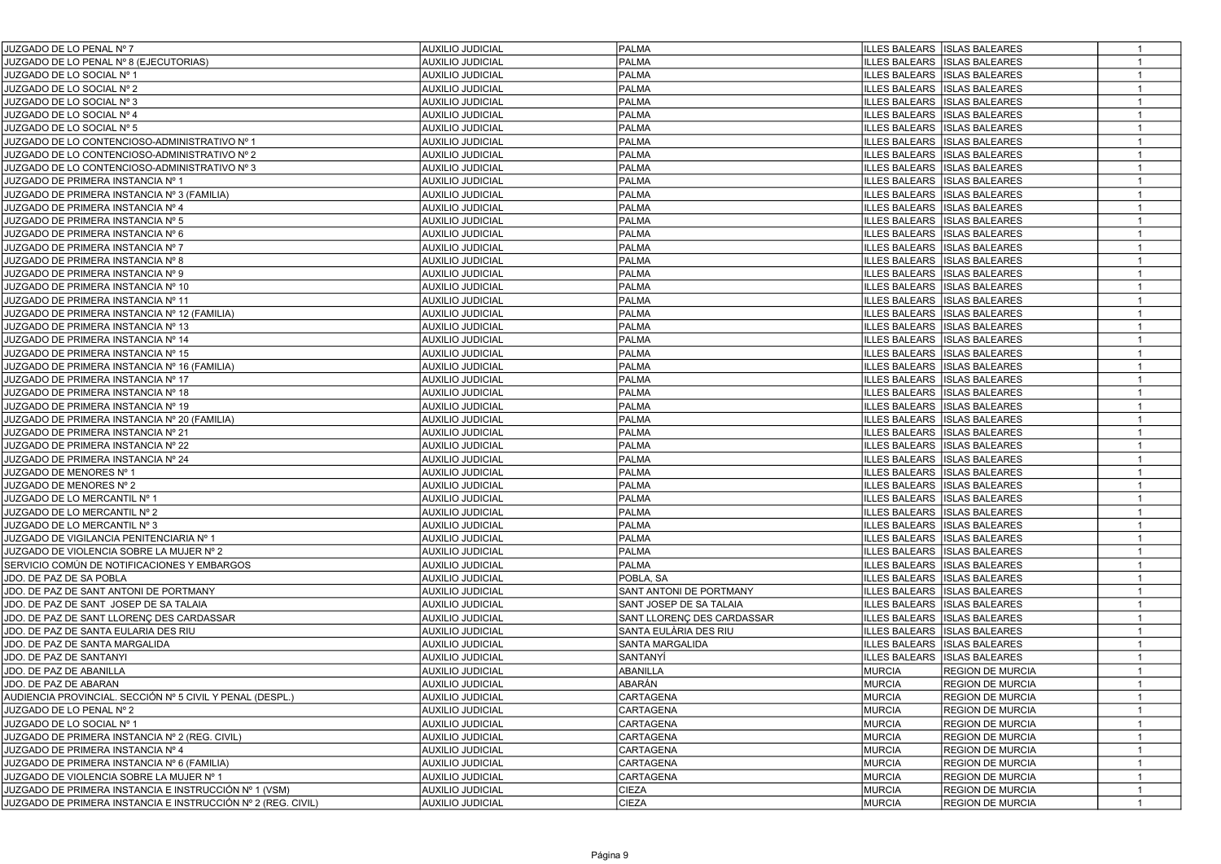| JUZGADO DE LO PENAL Nº 7                                     | <b>AUXILIO JUDICIAL</b> | <b>PALMA</b>               |               | ILLES BALEARS ISLAS BALEARES   | $\overline{1}$ |
|--------------------------------------------------------------|-------------------------|----------------------------|---------------|--------------------------------|----------------|
| JUZGADO DE LO PENAL Nº 8 (EJECUTORIAS)                       | AUXILIO JUDICIAL        | PALMA                      |               | ILLES BALEARS   ISLAS BALEARES | $\mathbf{1}$   |
| JUZGADO DE LO SOCIAL Nº 1                                    | AUXILIO JUDICIAL        | PALMA                      |               | ILLES BALEARS   ISLAS BALEARES |                |
| JUZGADO DE LO SOCIAL Nº 2                                    | AUXILIO JUDICIAL        | <b>PALMA</b>               |               | ILLES BALEARS   ISLAS BALEARES | $\mathbf{1}$   |
| JUZGADO DE LO SOCIAL Nº 3                                    | AUXILIO JUDICIAL        | <b>PALMA</b>               |               | LLES BALEARS   ISLAS BALEARES  | $\mathbf{1}$   |
| JUZGADO DE LO SOCIAL Nº 4                                    | AUXILIO JUDICIAL        | <b>PALMA</b>               |               | ILLES BALEARS   ISLAS BALEARES | $\mathbf{1}$   |
| JUZGADO DE LO SOCIAL Nº 5                                    | AUXILIO JUDICIAL        | <b>PALMA</b>               |               | ILLES BALEARS   ISLAS BALEARES | $\mathbf{1}$   |
| JUZGADO DE LO CONTENCIOSO-ADMINISTRATIVO Nº 1                | <b>AUXILIO JUDICIAL</b> | <b>PALMA</b>               |               | ILLES BALEARS   ISLAS BALEARES | $\mathbf{1}$   |
| JUZGADO DE LO CONTENCIOSO-ADMINISTRATIVO Nº 2                | <b>AUXILIO JUDICIAL</b> | <b>PALMA</b>               |               | ILLES BALEARS   ISLAS BALEARES | $\mathbf{1}$   |
| JUZGADO DE LO CONTENCIOSO-ADMINISTRATIVO Nº 3                | <b>AUXILIO JUDICIAL</b> | <b>PALMA</b>               |               | ILLES BALEARS   ISLAS BALEARES | $\mathbf{1}$   |
| JUZGADO DE PRIMERA INSTANCIA Nº 1                            | AUXILIO JUDICIAL        | PALMA                      |               | ILLES BALEARS   ISLAS BALEARES | $\mathbf{1}$   |
| JUZGADO DE PRIMERA INSTANCIA Nº 3 (FAMILIA)                  | AUXILIO JUDICIAL        | <b>PALMA</b>               |               | ILLES BALEARS ISLAS BALEARES   | $\mathbf{1}$   |
| JUZGADO DE PRIMERA INSTANCIA Nº 4                            | AUXILIO JUDICIAL        | <b>PALMA</b>               |               | ILLES BALEARS   ISLAS BALEARES | $\mathbf{1}$   |
| JUZGADO DE PRIMERA INSTANCIA Nº 5                            | <b>AUXILIO JUDICIAL</b> | <b>PALMA</b>               |               | ILLES BALEARS   ISLAS BALEARES | $\mathbf{1}$   |
| JUZGADO DE PRIMERA INSTANCIA Nº 6                            | <b>AUXILIO JUDICIAL</b> | <b>PALMA</b>               |               | ILLES BALEARS   ISLAS BALEARES | $\mathbf{1}$   |
| JUZGADO DE PRIMERA INSTANCIA Nº 7                            | <b>AUXILIO JUDICIAL</b> | PALMA                      |               | ILLES BALEARS   ISLAS BALEARES | $\overline{1}$ |
| JUZGADO DE PRIMERA INSTANCIA Nº 8                            | <b>AUXILIO JUDICIAL</b> | PALMA                      |               | ILLES BALEARS   ISLAS BALEARES | $\overline{1}$ |
| JUZGADO DE PRIMERA INSTANCIA Nº 9                            | <b>AUXILIO JUDICIAL</b> | <b>PALMA</b>               |               | ILLES BALEARS  ISLAS BALEARES  | $\mathbf{1}$   |
| JUZGADO DE PRIMERA INSTANCIA Nº 10                           | <b>AUXILIO JUDICIAL</b> | <b>PALMA</b>               |               | ILLES BALEARS   ISLAS BALEARES | $\mathbf{1}$   |
| JUZGADO DE PRIMERA INSTANCIA Nº 11                           | <b>AUXILIO JUDICIAL</b> | PALMA                      |               | ILLES BALEARS ISLAS BALEARES   | $\mathbf{1}$   |
| JUZGADO DE PRIMERA INSTANCIA Nº 12 (FAMILIA)                 | <b>AUXILIO JUDICIAL</b> | PALMA                      |               | ILLES BALEARS ISLAS BALEARES   | $\overline{1}$ |
| JUZGADO DE PRIMERA INSTANCIA Nº 13                           | <b>AUXILIO JUDICIAL</b> | <b>PALMA</b>               |               | ILLES BALEARS   ISLAS BALEARES | $\mathbf{1}$   |
| JUZGADO DE PRIMERA INSTANCIA Nº 14                           | AUXILIO JUDICIAL        | <b>PALMA</b>               |               | ILLES BALEARS ISLAS BALEARES   | $\mathbf{1}$   |
| JUZGADO DE PRIMERA INSTANCIA Nº 15                           | <b>AUXILIO JUDICIAL</b> | <b>PALMA</b>               |               | ILLES BALEARS ISLAS BALEARES   | $\mathbf{1}$   |
| JUZGADO DE PRIMERA INSTANCIA Nº 16 (FAMILIA)                 | <b>AUXILIO JUDICIAL</b> | PALMA                      |               | ILLES BALEARS ISLAS BALEARES   | $\mathbf{1}$   |
| JUZGADO DE PRIMERA INSTANCIA Nº 17                           | AUXILIO JUDICIAL        | PALMA                      |               | ILLES BALEARS   ISLAS BALEARES | $\mathbf{1}$   |
| JUZGADO DE PRIMERA INSTANCIA Nº 18                           | AUXILIO JUDICIAL        | PALMA                      |               | ILLES BALEARS   ISLAS BALEARES | $\mathbf{1}$   |
| JUZGADO DE PRIMERA INSTANCIA Nº 19                           | <b>AUXILIO JUDICIAL</b> | <b>PALMA</b>               |               | ILLES BALEARS   ISLAS BALEARES |                |
| JUZGADO DE PRIMERA INSTANCIA Nº 20 (FAMILIA)                 | AUXILIO JUDICIAL        | <b>PALMA</b>               |               | ILLES BALEARS   ISLAS BALEARES | $\mathbf{1}$   |
| JUZGADO DE PRIMERA INSTANCIA Nº 21                           | AUXILIO JUDICIAL        | <b>PALMA</b>               |               | LLES BALEARS   ISLAS BALEARES  | $\mathbf{1}$   |
| JUZGADO DE PRIMERA INSTANCIA Nº 22                           | AUXILIO JUDICIAL        | <b>PALMA</b>               |               | ILLES BALEARS   ISLAS BALEARES | $\mathbf{1}$   |
| JUZGADO DE PRIMERA INSTANCIA Nº 24                           | AUXILIO JUDICIAL        | <b>PALMA</b>               |               | ILLES BALEARS   ISLAS BALEARES | $\mathbf{1}$   |
| JUZGADO DE MENORES Nº 1                                      | AUXILIO JUDICIAL        | <b>PALMA</b>               |               | ILLES BALEARS   ISLAS BALEARES | $\mathbf{1}$   |
| JUZGADO DE MENORES Nº 2                                      | AUXILIO JUDICIAL        | <b>PALMA</b>               |               | ILLES BALEARS   ISLAS BALEARES | $\mathbf{1}$   |
| JUZGADO DE LO MERCANTIL Nº 1                                 | AUXILIO JUDICIAL        | <b>PALMA</b>               |               | ILLES BALEARS   ISLAS BALEARES | $\mathbf{1}$   |
| JUZGADO DE LO MERCANTIL Nº 2                                 | AUXILIO JUDICIAL        | <b>PALMA</b>               |               | ILLES BALEARS   ISLAS BALEARES | $\mathbf{1}$   |
| JUZGADO DE LO MERCANTIL Nº 3                                 | AUXILIO JUDICIAL        | <b>PALMA</b>               |               | ILLES BALEARS ISLAS BALEARES   | $\mathbf{1}$   |
| JUZGADO DE VIGILANCIA PENITENCIARIA Nº 1                     | <b>AUXILIO JUDICIAL</b> | <b>PALMA</b>               |               | ILLES BALEARS   ISLAS BALEARES | $\mathbf{1}$   |
| JUZGADO DE VIOLENCIA SOBRE LA MUJER Nº 2                     | AUXILIO JUDICIAL        | <b>PALMA</b>               |               | ILLES BALEARS   ISLAS BALEARES | $\mathbf{1}$   |
| SERVICIO COMÚN DE NOTIFICACIONES Y EMBARGOS                  | <b>AUXILIO JUDICIAL</b> | <b>PALMA</b>               |               | ILLES BALEARS   ISLAS BALEARES | $\overline{1}$ |
| JDO. DE PAZ DE SA POBLA                                      | <b>AUXILIO JUDICIAL</b> | POBLA, SA                  |               | ILLES BALEARS   ISLAS BALEARES | $\overline{1}$ |
| JDO. DE PAZ DE SANT ANTONI DE PORTMANY                       | <b>AUXILIO JUDICIAL</b> | SANT ANTONI DE PORTMANY    |               | ILLES BALEARS   ISLAS BALEARES | $\overline{1}$ |
| JDO. DE PAZ DE SANT JOSEP DE SA TALAIA                       | <b>AUXILIO JUDICIAL</b> | SANT JOSEP DE SA TALAIA    |               | ILLES BALEARS   ISLAS BALEARES | $\mathbf{1}$   |
| JDO. DE PAZ DE SANT LLORENC DES CARDASSAR                    | <b>AUXILIO JUDICIAL</b> | SANT LLORENÇ DES CARDASSAR |               | ILLES BALEARS   ISLAS BALEARES | $\overline{1}$ |
| JDO. DE PAZ DE SANTA EULARIA DES RIU                         | <b>AUXILIO JUDICIAL</b> | SANTA EULÀRIA DES RIU      |               | ILLES BALEARS   ISLAS BALEARES | $\mathbf{1}$   |
| JDO. DE PAZ DE SANTA MARGALIDA                               | <b>AUXILIO JUDICIAL</b> | SANTA MARGALIDA            |               | ILLES BALEARS   ISLAS BALEARES | $\mathbf{1}$   |
| JDO. DE PAZ DE SANTANYI                                      | <b>AUXILIO JUDICIAL</b> | SANTANYÍ                   |               | ILLES BALEARS   ISLAS BALEARES | $\overline{1}$ |
| JDO. DE PAZ DE ABANILLA                                      | AUXILIO JUDICIAL        | ABANILLA                   | <b>MURCIA</b> | <b>REGION DE MURCIA</b>        | $\mathbf{1}$   |
| JDO. DE PAZ DE ABARAN                                        | AUXILIO JUDICIAL        | ABARÁN                     | <b>MURCIA</b> | <b>REGION DE MURCIA</b>        | $\overline{1}$ |
| AUDIENCIA PROVINCIAL. SECCION № 5 CIVIL Y PENAL (DESPL.)     | <b>AUXILIO JUDICIAL</b> | CARTAGENA                  | <b>MURCIA</b> | <b>REGION DE MURCIA</b>        | $\mathbf{1}$   |
| JUZGADO DE LO PENAL Nº 2                                     | <b>AUXILIO JUDICIAL</b> | CARTAGENA                  | <b>MURCIA</b> | <b>REGION DE MURCIA</b>        | $\mathbf{1}$   |
| JUZGADO DE LO SOCIAL Nº 1                                    | <b>AUXILIO JUDICIAL</b> | CARTAGENA                  | <b>MURCIA</b> | <b>REGION DE MURCIA</b>        | $\overline{1}$ |
| JUZGADO DE PRIMERA INSTANCIA Nº 2 (REG. CIVIL)               | <b>AUXILIO JUDICIAL</b> | CARTAGENA                  | <b>MURCIA</b> | <b>REGION DE MURCIA</b>        |                |
| JUZGADO DE PRIMERA INSTANCIA Nº 4                            | AUXILIO JUDICIAL        | CARTAGENA                  | <b>MURCIA</b> | <b>REGION DE MURCIA</b>        | $\mathbf{1}$   |
| JUZGADO DE PRIMERA INSTANCIA Nº 6 (FAMILIA)                  | AUXILIO JUDICIAL        | <b>CARTAGENA</b>           | <b>MURCIA</b> | <b>REGION DE MURCIA</b>        | $\mathbf{1}$   |
| JUZGADO DE VIOLENCIA SOBRE LA MUJER Nº 1                     | AUXILIO JUDICIAL        | <b>CARTAGENA</b>           | MURCIA        | <b>REGION DE MURCIA</b>        | $\mathbf{1}$   |
| JUZGADO DE PRIMERA INSTANCIA E INSTRUCCIÓN № 1 (VSM)         | AUXILIO JUDICIAL        | <b>CIEZA</b>               | <b>MURCIA</b> | <b>REGION DE MURCIA</b>        | $\mathbf{1}$   |
| JUZGADO DE PRIMERA INSTANCIA E INSTRUCCIÓN Nº 2 (REG. CIVIL) | <b>AUXILIO JUDICIAL</b> | <b>CIEZA</b>               | MURCIA        | <b>REGION DE MURCIA</b>        | $\mathbf{1}$   |
|                                                              |                         |                            |               |                                |                |